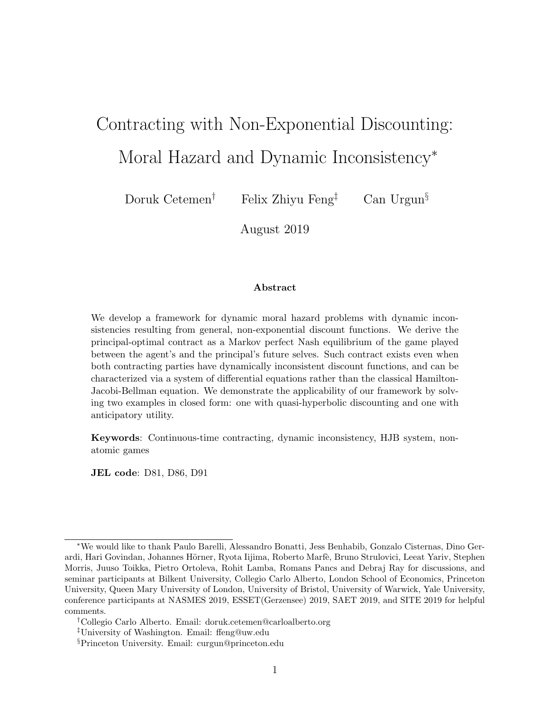# Contracting with Non-Exponential Discounting:

Moral Hazard and Dynamic Inconsistency<sup>∗</sup>

Doruk Cetemen<sup>†</sup> Felix Zhiyu Feng<sup>‡</sup> Can Urgun<sup>§</sup>

August 2019

#### Abstract

We develop a framework for dynamic moral hazard problems with dynamic inconsistencies resulting from general, non-exponential discount functions. We derive the principal-optimal contract as a Markov perfect Nash equilibrium of the game played between the agent's and the principal's future selves. Such contract exists even when both contracting parties have dynamically inconsistent discount functions, and can be characterized via a system of differential equations rather than the classical Hamilton-Jacobi-Bellman equation. We demonstrate the applicability of our framework by solving two examples in closed form: one with quasi-hyperbolic discounting and one with anticipatory utility.

Keywords: Continuous-time contracting, dynamic inconsistency, HJB system, nonatomic games

JEL code: D81, D86, D91

<sup>∗</sup>We would like to thank Paulo Barelli, Alessandro Bonatti, Jess Benhabib, Gonzalo Cisternas, Dino Gerardi, Hari Govindan, Johannes Hörner, Ryota Iijima, Roberto Marfè, Bruno Strulovici, Leeat Yariv, Stephen Morris, Juuso Toikka, Pietro Ortoleva, Rohit Lamba, Romans Pancs and Debraj Ray for discussions, and seminar participants at Bilkent University, Collegio Carlo Alberto, London School of Economics, Princeton University, Queen Mary University of London, University of Bristol, University of Warwick, Yale University, conference participants at NASMES 2019, ESSET(Gerzensee) 2019, SAET 2019, and SITE 2019 for helpful comments.

<sup>†</sup>Collegio Carlo Alberto. Email: doruk.cetemen@carloalberto.org

<sup>‡</sup>University of Washington. Email: ffeng@uw.edu

<sup>§</sup>Princeton University. Email: curgun@princeton.edu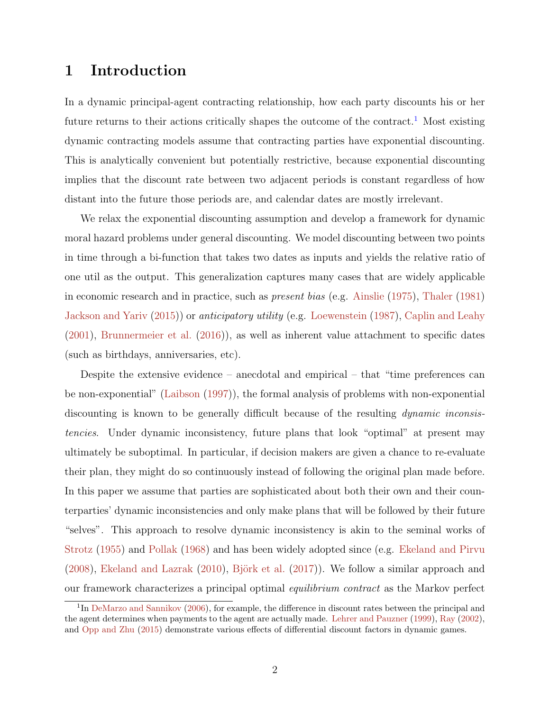# 1 Introduction

In a dynamic principal-agent contracting relationship, how each party discounts his or her future returns to their actions critically shapes the outcome of the contract.<sup>[1](#page-1-0)</sup> Most existing dynamic contracting models assume that contracting parties have exponential discounting. This is analytically convenient but potentially restrictive, because exponential discounting implies that the discount rate between two adjacent periods is constant regardless of how distant into the future those periods are, and calendar dates are mostly irrelevant.

We relax the exponential discounting assumption and develop a framework for dynamic moral hazard problems under general discounting. We model discounting between two points in time through a bi-function that takes two dates as inputs and yields the relative ratio of one util as the output. This generalization captures many cases that are widely applicable in economic research and in practice, such as present bias (e.g. [Ainslie](#page-49-0) [\(1975\)](#page-49-0), [Thaler](#page-53-0) [\(1981\)](#page-53-0) [Jackson and Yariv](#page-52-0) [\(2015\)](#page-52-0)) or anticipatory utility (e.g. [Loewenstein](#page-52-1) [\(1987\)](#page-52-1), [Caplin and Leahy](#page-50-0)  $(2001)$ , [Brunnermeier et al.](#page-49-1)  $(2016)$ , as well as inherent value attachment to specific dates (such as birthdays, anniversaries, etc).

Despite the extensive evidence – anecdotal and empirical – that "time preferences can be non-exponential" [\(Laibson](#page-52-2) [\(1997\)](#page-52-2)), the formal analysis of problems with non-exponential discounting is known to be generally difficult because of the resulting *dynamic inconsis*tencies. Under dynamic inconsistency, future plans that look "optimal" at present may ultimately be suboptimal. In particular, if decision makers are given a chance to re-evaluate their plan, they might do so continuously instead of following the original plan made before. In this paper we assume that parties are sophisticated about both their own and their counterparties' dynamic inconsistencies and only make plans that will be followed by their future "selves". This approach to resolve dynamic inconsistency is akin to the seminal works of [Strotz](#page-53-1) [\(1955\)](#page-53-1) and [Pollak](#page-53-2) [\(1968\)](#page-53-2) and has been widely adopted since (e.g. [Ekeland and Pirvu](#page-50-1)  $(2008)$ , [Ekeland and Lazrak](#page-50-2)  $(2010)$ , Björk et al.  $(2017)$ ). We follow a similar approach and our framework characterizes a principal optimal equilibrium contract as the Markov perfect

<span id="page-1-0"></span><sup>&</sup>lt;sup>1</sup>In [DeMarzo and Sannikov](#page-50-3) [\(2006\)](#page-50-3), for example, the difference in discount rates between the principal and the agent determines when payments to the agent are actually made. [Lehrer and Pauzner](#page-52-3) [\(1999\)](#page-52-3), [Ray](#page-53-3) [\(2002\)](#page-53-3), and [Opp and Zhu](#page-53-4) [\(2015\)](#page-53-4) demonstrate various effects of differential discount factors in dynamic games.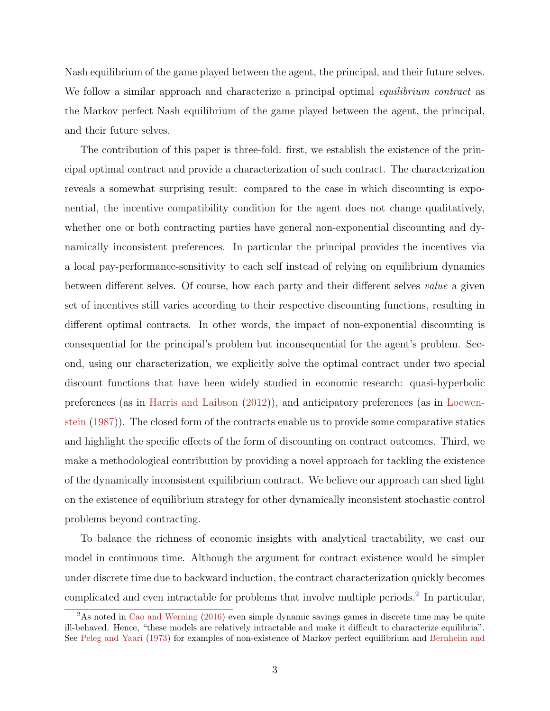Nash equilibrium of the game played between the agent, the principal, and their future selves. We follow a similar approach and characterize a principal optimal *equilibrium contract* as the Markov perfect Nash equilibrium of the game played between the agent, the principal, and their future selves.

The contribution of this paper is three-fold: first, we establish the existence of the principal optimal contract and provide a characterization of such contract. The characterization reveals a somewhat surprising result: compared to the case in which discounting is exponential, the incentive compatibility condition for the agent does not change qualitatively, whether one or both contracting parties have general non-exponential discounting and dynamically inconsistent preferences. In particular the principal provides the incentives via a local pay-performance-sensitivity to each self instead of relying on equilibrium dynamics between different selves. Of course, how each party and their different selves value a given set of incentives still varies according to their respective discounting functions, resulting in different optimal contracts. In other words, the impact of non-exponential discounting is consequential for the principal's problem but inconsequential for the agent's problem. Second, using our characterization, we explicitly solve the optimal contract under two special discount functions that have been widely studied in economic research: quasi-hyperbolic preferences (as in [Harris and Laibson](#page-51-0) [\(2012\)](#page-51-0)), and anticipatory preferences (as in [Loewen](#page-52-1)[stein](#page-52-1) [\(1987\)](#page-52-1)). The closed form of the contracts enable us to provide some comparative statics and highlight the specific effects of the form of discounting on contract outcomes. Third, we make a methodological contribution by providing a novel approach for tackling the existence of the dynamically inconsistent equilibrium contract. We believe our approach can shed light on the existence of equilibrium strategy for other dynamically inconsistent stochastic control problems beyond contracting.

To balance the richness of economic insights with analytical tractability, we cast our model in continuous time. Although the argument for contract existence would be simpler under discrete time due to backward induction, the contract characterization quickly becomes complicated and even intractable for problems that involve multiple periods.<sup>[2](#page-2-0)</sup> In particular,

<span id="page-2-0"></span><sup>&</sup>lt;sup>2</sup>As noted in [Cao and Werning](#page-50-4) [\(2016\)](#page-50-4) even simple dynamic savings games in discrete time may be quite ill-behaved. Hence, "these models are relatively intractable and make it difficult to characterize equilibria". See [Peleg and Yaari](#page-53-5) [\(1973\)](#page-53-5) for examples of non-existence of Markov perfect equilibrium and [Bernheim and](#page-49-3)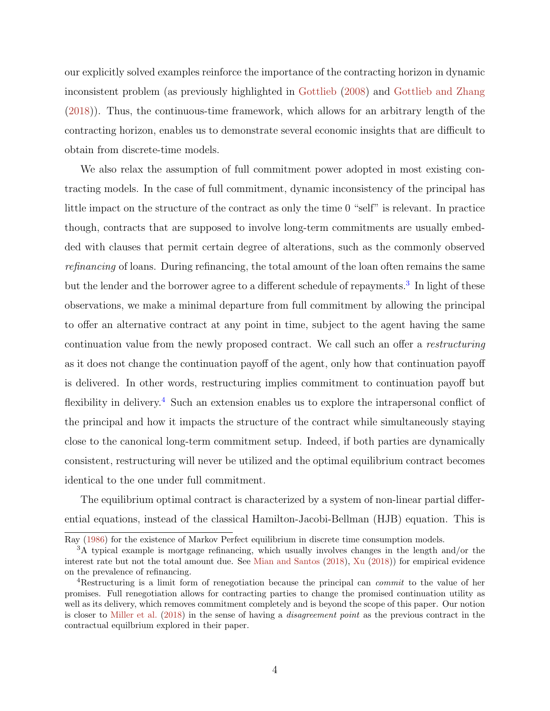[our explicitly solved examples reinforce the importance of the contracting horizon in dynamic](#page-49-3) [inconsistent problem \(as previously highlighted in](#page-49-3) [Gottlieb](#page-51-1) [\(2008\)](#page-51-1) and [Gottlieb and Zhang](#page-51-2) [\(2018\)\). Thus, the continuous-time framework, which allows for an arbitrary length of the](#page-49-3) [contracting horizon, enables us to demonstrate several economic insights that are difficult to](#page-49-3) [obtain from discrete-time models.](#page-49-3)

[We also relax the assumption of full commitment power adopted in most existing con](#page-49-3)[tracting models. In the case of full commitment, dynamic inconsistency of the principal has](#page-49-3) [little impact on the structure of the contract as only the time 0 "self" is relevant. In practice](#page-49-3) [though, contracts that are supposed to involve long-term commitments are usually embed](#page-49-3)[ded with clauses that permit certain degree of alterations, such as the commonly observed](#page-49-3) refinancing [of loans. During refinancing, the total amount of the loan often remains the same](#page-49-3) [but the lender and the borrower agree to a different schedule of repayments.](#page-49-3)<sup>[3](#page-3-0)</sup> In light of these [observations, we make a minimal departure from full commitment by allowing the principal](#page-49-3) [to offer an alternative contract at any point in time, subject to the agent having the same](#page-49-3) [continuation value from the newly proposed contract. We call such an offer a](#page-49-3) restructuring [as it does not change the continuation payoff of the agent, only how that continuation payoff](#page-49-3) [is delivered. In other words, restructuring implies commitment to continuation payoff but](#page-49-3) flexibility in delivery.<sup>[4](#page-3-1)</sup> [Such an extension enables us to explore the intrapersonal conflict of](#page-49-3) [the principal and how it impacts the structure of the contract while simultaneously staying](#page-49-3) [close to the canonical long-term commitment setup. Indeed, if both parties are dynamically](#page-49-3) [consistent, restructuring will never be utilized and the optimal equilibrium contract becomes](#page-49-3) [identical to the one under full commitment.](#page-49-3)

[The equilibrium optimal contract is characterized by a system of non-linear partial differ](#page-49-3)[ential equations, instead of the classical Hamilton-Jacobi-Bellman \(HJB\) equation. This is](#page-49-3)

[Ray](#page-49-3) [\(1986\)](#page-49-3) for the existence of Markov Perfect equilibrium in discrete time consumption models.

<span id="page-3-0"></span><sup>3</sup>A typical example is mortgage refinancing, which usually involves changes in the length and/or the interest rate but not the total amount due. See [Mian and Santos](#page-52-4) [\(2018\)](#page-52-4), [Xu](#page-54-0) [\(2018\)](#page-54-0)) for empirical evidence on the prevalence of refinancing.

<span id="page-3-1"></span><sup>&</sup>lt;sup>4</sup>Restructuring is a limit form of renegotiation because the principal can *commit* to the value of her promises. Full renegotiation allows for contracting parties to change the promised continuation utility as well as its delivery, which removes commitment completely and is beyond the scope of this paper. Our notion is closer to [Miller et al.](#page-53-6) [\(2018\)](#page-53-6) in the sense of having a disagreement point as the previous contract in the contractual equilbrium explored in their paper.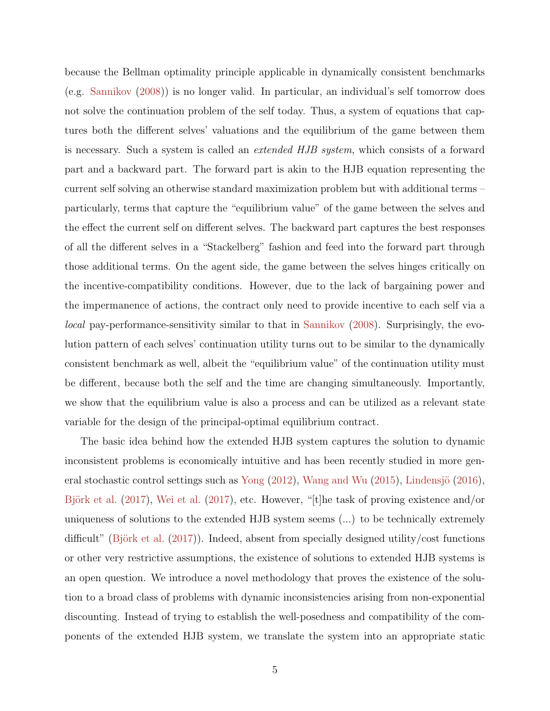because the Bellman optimality principle applicable in dynamically consistent benchmarks (e.g. [Sannikov](#page-53-7) [\(2008\)](#page-53-7)) is no longer valid. In particular, an individual's self tomorrow does not solve the continuation problem of the self today. Thus, a system of equations that captures both the different selves' valuations and the equilibrium of the game between them is necessary. Such a system is called an extended HJB system, which consists of a forward part and a backward part. The forward part is akin to the HJB equation representing the current self solving an otherwise standard maximization problem but with additional terms – particularly, terms that capture the "equilibrium value" of the game between the selves and the effect the current self on different selves. The backward part captures the best responses of all the different selves in a "Stackelberg" fashion and feed into the forward part through those additional terms. On the agent side, the game between the selves hinges critically on the incentive-compatibility conditions. However, due to the lack of bargaining power and the impermanence of actions, the contract only need to provide incentive to each self via a local pay-performance-sensitivity similar to that in [Sannikov](#page-53-7) [\(2008\)](#page-53-7). Surprisingly, the evolution pattern of each selves' continuation utility turns out to be similar to the dynamically consistent benchmark as well, albeit the "equilibrium value" of the continuation utility must be different, because both the self and the time are changing simultaneously. Importantly, we show that the equilibrium value is also a process and can be utilized as a relevant state variable for the design of the principal-optimal equilibrium contract.

The basic idea behind how the extended HJB system captures the solution to dynamic inconsistent problems is economically intuitive and has been recently studied in more gen-eral stochastic control settings such as [Yong](#page-54-1)  $(2012)$ , [Wang and Wu](#page-54-2)  $(2015)$ , Lindensjö  $(2016)$ , Björk et al.  $(2017)$ , [Wei et al.](#page-54-3)  $(2017)$ , etc. However, "[t]he task of proving existence and/or uniqueness of solutions to the extended HJB system seems (...) to be technically extremely difficult" (Björk et al.  $(2017)$ ). Indeed, absent from specially designed utility/cost functions or other very restrictive assumptions, the existence of solutions to extended HJB systems is an open question. We introduce a novel methodology that proves the existence of the solution to a broad class of problems with dynamic inconsistencies arising from non-exponential discounting. Instead of trying to establish the well-posedness and compatibility of the components of the extended HJB system, we translate the system into an appropriate static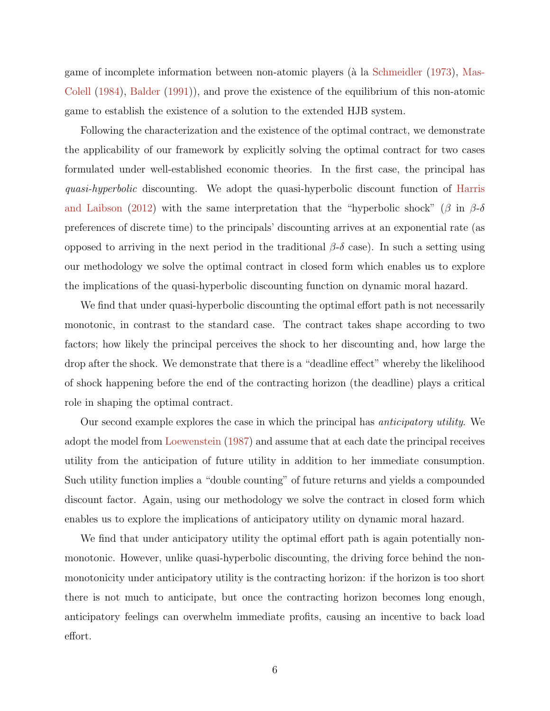game of incomplete information between non-atomic players (à la [Schmeidler](#page-53-8) [\(1973\)](#page-53-8), [Mas-](#page-52-6)[Colell](#page-52-6) [\(1984\)](#page-52-6), [Balder](#page-49-4) [\(1991\)](#page-49-4)), and prove the existence of the equilibrium of this non-atomic game to establish the existence of a solution to the extended HJB system.

Following the characterization and the existence of the optimal contract, we demonstrate the applicability of our framework by explicitly solving the optimal contract for two cases formulated under well-established economic theories. In the first case, the principal has quasi-hyperbolic discounting. We adopt the quasi-hyperbolic discount function of [Harris](#page-51-0) [and Laibson](#page-51-0) [\(2012\)](#page-51-0) with the same interpretation that the "hyperbolic shock" (β in  $\beta$ -δ preferences of discrete time) to the principals' discounting arrives at an exponential rate (as opposed to arriving in the next period in the traditional  $β$ -δ case). In such a setting using our methodology we solve the optimal contract in closed form which enables us to explore the implications of the quasi-hyperbolic discounting function on dynamic moral hazard.

We find that under quasi-hyperbolic discounting the optimal effort path is not necessarily monotonic, in contrast to the standard case. The contract takes shape according to two factors; how likely the principal perceives the shock to her discounting and, how large the drop after the shock. We demonstrate that there is a "deadline effect" whereby the likelihood of shock happening before the end of the contracting horizon (the deadline) plays a critical role in shaping the optimal contract.

Our second example explores the case in which the principal has *anticipatory utility*. We adopt the model from [Loewenstein](#page-52-1) [\(1987\)](#page-52-1) and assume that at each date the principal receives utility from the anticipation of future utility in addition to her immediate consumption. Such utility function implies a "double counting" of future returns and yields a compounded discount factor. Again, using our methodology we solve the contract in closed form which enables us to explore the implications of anticipatory utility on dynamic moral hazard.

We find that under anticipatory utility the optimal effort path is again potentially nonmonotonic. However, unlike quasi-hyperbolic discounting, the driving force behind the nonmonotonicity under anticipatory utility is the contracting horizon: if the horizon is too short there is not much to anticipate, but once the contracting horizon becomes long enough, anticipatory feelings can overwhelm immediate profits, causing an incentive to back load effort.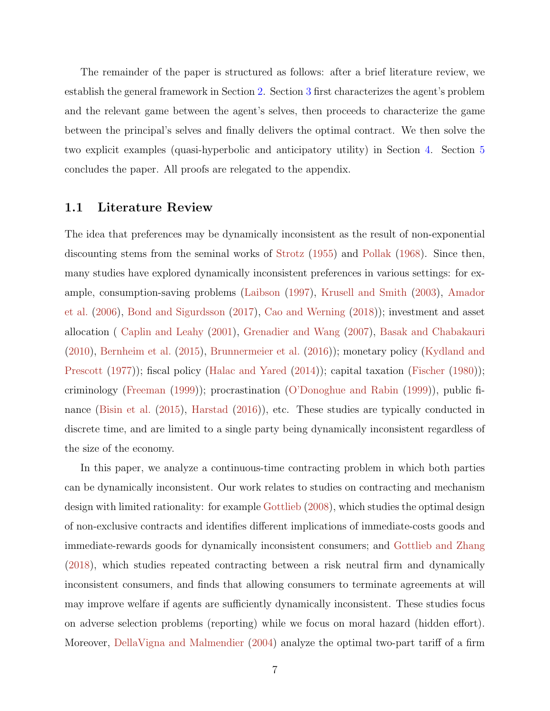The remainder of the paper is structured as follows: after a brief literature review, we establish the general framework in Section [2.](#page-8-0) Section [3](#page-12-0) first characterizes the agent's problem and the relevant game between the agent's selves, then proceeds to characterize the game between the principal's selves and finally delivers the optimal contract. We then solve the two explicit examples (quasi-hyperbolic and anticipatory utility) in Section [4.](#page-20-0) Section [5](#page-29-0) concludes the paper. All proofs are relegated to the appendix.

## 1.1 Literature Review

The idea that preferences may be dynamically inconsistent as the result of non-exponential discounting stems from the seminal works of [Strotz](#page-53-1) [\(1955\)](#page-53-1) and [Pollak](#page-53-2) [\(1968\)](#page-53-2). Since then, many studies have explored dynamically inconsistent preferences in various settings: for example, consumption-saving problems [\(Laibson](#page-52-2) [\(1997\)](#page-52-2), [Krusell and Smith](#page-52-7) [\(2003\)](#page-52-7), [Amador](#page-49-5) [et al.](#page-49-5) [\(2006\)](#page-49-5), [Bond and Sigurdsson](#page-49-6) [\(2017\)](#page-49-6), [Cao and Werning](#page-50-5) [\(2018\)](#page-50-5)); investment and asset allocation ( [Caplin and Leahy](#page-50-0) [\(2001\)](#page-50-0), [Grenadier and Wang](#page-51-3) [\(2007\)](#page-51-3), [Basak and Chabakauri](#page-49-7) [\(2010\)](#page-49-7), [Bernheim et al.](#page-49-8) [\(2015\)](#page-49-8), [Brunnermeier et al.](#page-49-1) [\(2016\)](#page-49-1)); monetary policy [\(Kydland and](#page-52-8) [Prescott](#page-52-8) [\(1977\)](#page-52-8)); fiscal policy [\(Halac and Yared](#page-51-4) [\(2014\)](#page-51-4)); capital taxation [\(Fischer](#page-50-6) [\(1980\)](#page-50-6)); criminology [\(Freeman](#page-51-5) [\(1999\)](#page-51-5)); procrastination [\(O'Donoghue and Rabin](#page-53-9) [\(1999\)](#page-53-9)), public finance [\(Bisin et al.](#page-49-9) [\(2015\)](#page-49-9), [Harstad](#page-51-6) [\(2016\)](#page-51-6)), etc. These studies are typically conducted in discrete time, and are limited to a single party being dynamically inconsistent regardless of the size of the economy.

In this paper, we analyze a continuous-time contracting problem in which both parties can be dynamically inconsistent. Our work relates to studies on contracting and mechanism design with limited rationality: for example [Gottlieb](#page-51-1) [\(2008\)](#page-51-1), which studies the optimal design of non-exclusive contracts and identifies different implications of immediate-costs goods and immediate-rewards goods for dynamically inconsistent consumers; and [Gottlieb and Zhang](#page-51-2) [\(2018\)](#page-51-2), which studies repeated contracting between a risk neutral firm and dynamically inconsistent consumers, and finds that allowing consumers to terminate agreements at will may improve welfare if agents are sufficiently dynamically inconsistent. These studies focus on adverse selection problems (reporting) while we focus on moral hazard (hidden effort). Moreover, [DellaVigna and Malmendier](#page-50-7) [\(2004\)](#page-50-7) analyze the optimal two-part tariff of a firm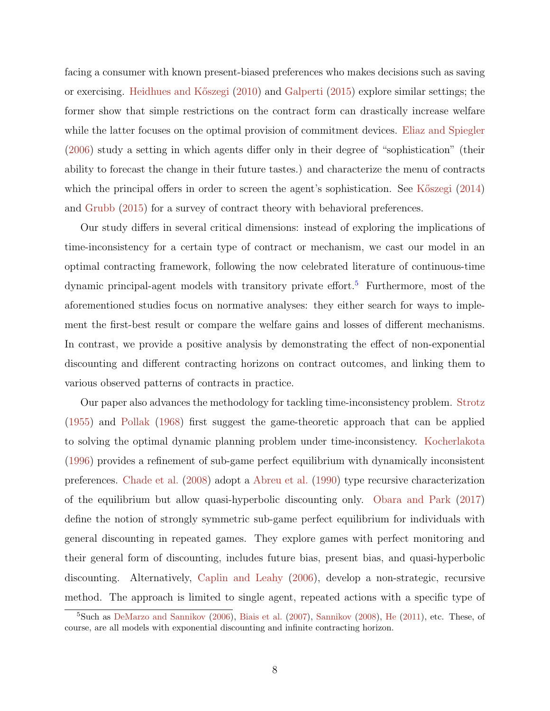facing a consumer with known present-biased preferences who makes decisions such as saving or exercising. [Heidhues and K˝oszegi](#page-51-7) [\(2010\)](#page-51-7) and [Galperti](#page-51-8) [\(2015\)](#page-51-8) explore similar settings; the former show that simple restrictions on the contract form can drastically increase welfare while the latter focuses on the optimal provision of commitment devices. [Eliaz and Spiegler](#page-50-8) [\(2006\)](#page-50-8) study a setting in which agents differ only in their degree of "sophistication" (their ability to forecast the change in their future tastes.) and characterize the menu of contracts which the principal offers in order to screen the agent's sophistication. See K $\delta$ szegi [\(2014\)](#page-52-9) and [Grubb](#page-51-9) [\(2015\)](#page-51-9) for a survey of contract theory with behavioral preferences.

Our study differs in several critical dimensions: instead of exploring the implications of time-inconsistency for a certain type of contract or mechanism, we cast our model in an optimal contracting framework, following the now celebrated literature of continuous-time dynamic principal-agent models with transitory private effort.<sup>[5](#page-7-0)</sup> Furthermore, most of the aforementioned studies focus on normative analyses: they either search for ways to implement the first-best result or compare the welfare gains and losses of different mechanisms. In contrast, we provide a positive analysis by demonstrating the effect of non-exponential discounting and different contracting horizons on contract outcomes, and linking them to various observed patterns of contracts in practice.

Our paper also advances the methodology for tackling time-inconsistency problem. [Strotz](#page-53-1) [\(1955\)](#page-53-1) and [Pollak](#page-53-2) [\(1968\)](#page-53-2) first suggest the game-theoretic approach that can be applied to solving the optimal dynamic planning problem under time-inconsistency. [Kocherlakota](#page-52-10) [\(1996\)](#page-52-10) provides a refinement of sub-game perfect equilibrium with dynamically inconsistent preferences. [Chade et al.](#page-50-9) [\(2008\)](#page-50-9) adopt a [Abreu et al.](#page-49-10) [\(1990\)](#page-49-10) type recursive characterization of the equilibrium but allow quasi-hyperbolic discounting only. [Obara and Park](#page-53-10) [\(2017\)](#page-53-10) define the notion of strongly symmetric sub-game perfect equilibrium for individuals with general discounting in repeated games. They explore games with perfect monitoring and their general form of discounting, includes future bias, present bias, and quasi-hyperbolic discounting. Alternatively, [Caplin and Leahy](#page-50-10) [\(2006\)](#page-50-10), develop a non-strategic, recursive method. The approach is limited to single agent, repeated actions with a specific type of

<span id="page-7-0"></span><sup>5</sup>Such as [DeMarzo and Sannikov](#page-50-3) [\(2006\)](#page-50-3), [Biais et al.](#page-49-11) [\(2007\)](#page-49-11), [Sannikov](#page-53-7) [\(2008\)](#page-53-7), [He](#page-51-10) [\(2011\)](#page-51-10), etc. These, of course, are all models with exponential discounting and infinite contracting horizon.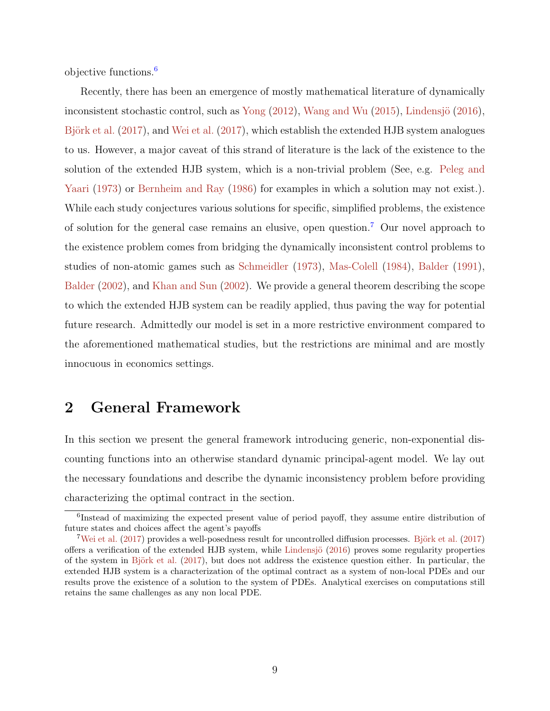objective functions.[6](#page-8-1)

Recently, there has been an emergence of mostly mathematical literature of dynamically inconsistent stochastic control, such as [Yong](#page-54-1)  $(2012)$ , [Wang and Wu](#page-54-2)  $(2015)$ , Lindensjö  $(2016)$ , Björk et al.  $(2017)$ , and [Wei et al.](#page-54-3)  $(2017)$ , which establish the extended HJB system analogues to us. However, a major caveat of this strand of literature is the lack of the existence to the solution of the extended HJB system, which is a non-trivial problem (See, e.g. [Peleg and](#page-53-5) [Yaari](#page-53-5) [\(1973\)](#page-53-5) or [Bernheim and Ray](#page-49-3) [\(1986\)](#page-49-3) for examples in which a solution may not exist.). While each study conjectures various solutions for specific, simplified problems, the existence of solution for the general case remains an elusive, open question.[7](#page-8-2) Our novel approach to the existence problem comes from bridging the dynamically inconsistent control problems to studies of non-atomic games such as [Schmeidler](#page-53-8) [\(1973\)](#page-53-8), [Mas-Colell](#page-52-6) [\(1984\)](#page-52-6), [Balder](#page-49-4) [\(1991\)](#page-49-4), [Balder](#page-49-12) [\(2002\)](#page-49-12), and [Khan and Sun](#page-52-11) [\(2002\)](#page-52-11). We provide a general theorem describing the scope to which the extended HJB system can be readily applied, thus paving the way for potential future research. Admittedly our model is set in a more restrictive environment compared to the aforementioned mathematical studies, but the restrictions are minimal and are mostly innocuous in economics settings.

# <span id="page-8-0"></span>2 General Framework

In this section we present the general framework introducing generic, non-exponential discounting functions into an otherwise standard dynamic principal-agent model. We lay out the necessary foundations and describe the dynamic inconsistency problem before providing characterizing the optimal contract in the section.

<span id="page-8-1"></span><sup>6</sup> Instead of maximizing the expected present value of period payoff, they assume entire distribution of future states and choices affect the agent's payoffs

<span id="page-8-2"></span> $7$ [Wei et al.](#page-54-3) [\(2017\)](#page-49-2) provides a well-posedness result for uncontrolled diffusion processes. Björk et al. (2017) offers a verification of the extended HJB system, while Lindensjö  $(2016)$  proves some regularity properties of the system in Björk et al.  $(2017)$ , but does not address the existence question either. In particular, the extended HJB system is a characterization of the optimal contract as a system of non-local PDEs and our results prove the existence of a solution to the system of PDEs. Analytical exercises on computations still retains the same challenges as any non local PDE.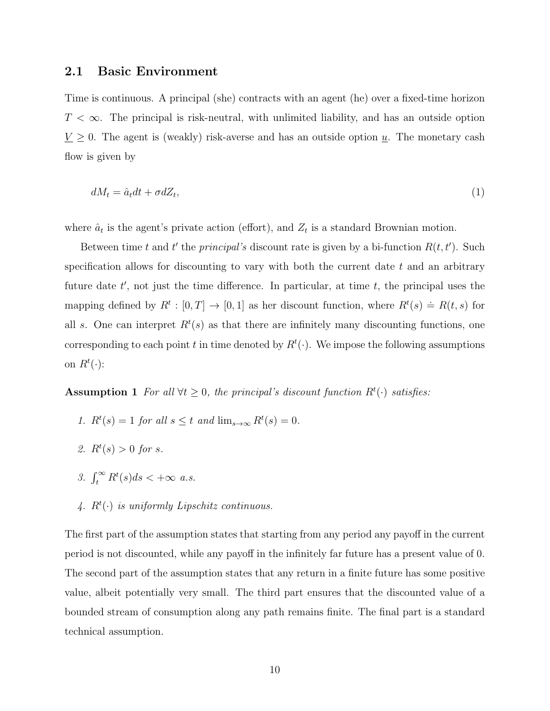### 2.1 Basic Environment

Time is continuous. A principal (she) contracts with an agent (he) over a fixed-time horizon  $T < \infty$ . The principal is risk-neutral, with unlimited liability, and has an outside option  $\underline{V} \ge 0$ . The agent is (weakly) risk-averse and has an outside option  $\underline{u}$ . The monetary cash flow is given by

$$
dM_t = \hat{a}_t dt + \sigma dZ_t,\tag{1}
$$

where  $\hat{a}_t$  is the agent's private action (effort), and  $Z_t$  is a standard Brownian motion.

Between time t and t' the principal's discount rate is given by a bi-function  $R(t, t')$ . Such specification allows for discounting to vary with both the current date  $t$  and an arbitrary future date  $t'$ , not just the time difference. In particular, at time  $t$ , the principal uses the mapping defined by  $R^t : [0, T] \to [0, 1]$  as her discount function, where  $R^t(s) \doteq R(t, s)$  for all s. One can interpret  $R<sup>t</sup>(s)$  as that there are infinitely many discounting functions, one corresponding to each point t in time denoted by  $R^t(\cdot)$ . We impose the following assumptions on  $R^t(\cdot)$ :

<span id="page-9-0"></span>Assumption 1 For all  $\forall t \geq 0$ , the principal's discount function  $R^t(\cdot)$  satisfies:

- 1.  $R^t(s) = 1$  for all  $s \leq t$  and  $\lim_{s \to \infty} R^t(s) = 0$ .
- 2.  $R^t(s) > 0$  for s.
- 3.  $\int_t^{\infty} R^t(s)ds < +\infty$  a.s.
- 4.  $R^t(\cdot)$  is uniformly Lipschitz continuous.

The first part of the assumption states that starting from any period any payoff in the current period is not discounted, while any payoff in the infinitely far future has a present value of 0. The second part of the assumption states that any return in a finite future has some positive value, albeit potentially very small. The third part ensures that the discounted value of a bounded stream of consumption along any path remains finite. The final part is a standard technical assumption.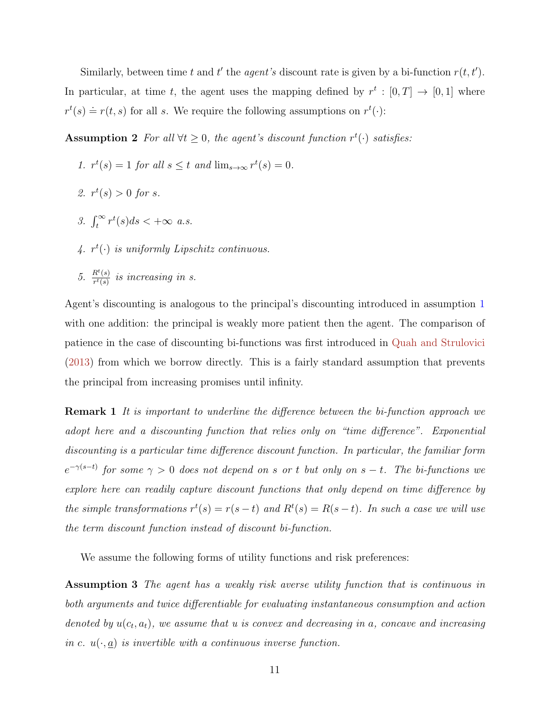Similarly, between time t and t' the agent's discount rate is given by a bi-function  $r(t, t')$ . In particular, at time t, the agent uses the mapping defined by  $r^t : [0, T] \rightarrow [0, 1]$  where  $r^{t}(s) \doteq r(t, s)$  for all s. We require the following assumptions on  $r^{t}(\cdot)$ :

Assumption 2 For all  $\forall t \geq 0$ , the agent's discount function  $r^t(\cdot)$  satisfies:

- <span id="page-10-0"></span>1.  $r^t(s) = 1$  for all  $s \leq t$  and  $\lim_{s \to \infty} r^t(s) = 0$ .
- 2.  $r^t(s) > 0$  for s.
- 3.  $\int_t^{\infty} r^t(s)ds < +\infty$  a.s.
- 4.  $r^t(\cdot)$  is uniformly Lipschitz continuous.
- 5.  $rac{R^t(s)}{r^t(s)}$  $\frac{R^c(s)}{r^t(s)}$  is increasing in s.

Agent's discounting is analogous to the principal's discounting introduced in assumption [1](#page-9-0) with one addition: the principal is weakly more patient then the agent. The comparison of patience in the case of discounting bi-functions was first introduced in [Quah and Strulovici](#page-53-11) [\(2013\)](#page-53-11) from which we borrow directly. This is a fairly standard assumption that prevents the principal from increasing promises until infinity.

**Remark 1** It is important to underline the difference between the bi-function approach we adopt here and a discounting function that relies only on "time difference". Exponential discounting is a particular time difference discount function. In particular, the familiar form  $e^{-\gamma(s-t)}$  for some  $\gamma > 0$  does not depend on s or t but only on s – t. The bi-functions we explore here can readily capture discount functions that only depend on time difference by the simple transformations  $r^t(s) = r(s-t)$  and  $R^t(s) = R(s-t)$ . In such a case we will use the term discount function instead of discount bi-function.

<span id="page-10-1"></span>We assume the following forms of utility functions and risk preferences:

Assumption 3 The agent has a weakly risk averse utility function that is continuous in both arguments and twice differentiable for evaluating instantaneous consumption and action denoted by  $u(c_t, a_t)$ , we assume that u is convex and decreasing in a, concave and increasing in c.  $u(\cdot, \underline{a})$  is invertible with a continuous inverse function.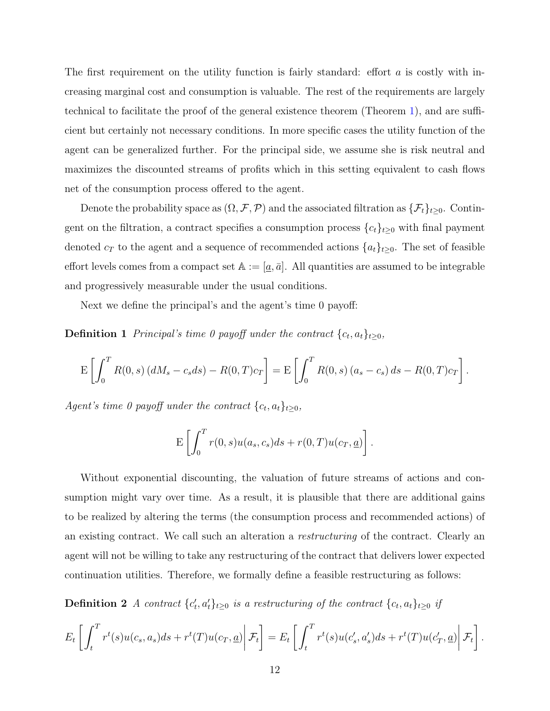The first requirement on the utility function is fairly standard: effort  $\alpha$  is costly with increasing marginal cost and consumption is valuable. The rest of the requirements are largely technical to facilitate the proof of the general existence theorem (Theorem [1\)](#page-17-0), and are sufficient but certainly not necessary conditions. In more specific cases the utility function of the agent can be generalized further. For the principal side, we assume she is risk neutral and maximizes the discounted streams of profits which in this setting equivalent to cash flows net of the consumption process offered to the agent.

Denote the probability space as  $(\Omega, \mathcal{F}, \mathcal{P})$  and the associated filtration as  $\{\mathcal{F}_t\}_{t\geq 0}$ . Contingent on the filtration, a contract specifies a consumption process  ${c_t}_{t\geq0}$  with final payment denoted  $c_T$  to the agent and a sequence of recommended actions  $\{a_t\}_{t\geq 0}$ . The set of feasible effort levels comes from a compact set  $\mathbb{A} := [\underline{a}, \overline{a}]$ . All quantities are assumed to be integrable and progressively measurable under the usual conditions.

Next we define the principal's and the agent's time 0 payoff:

**Definition 1** Principal's time 0 payoff under the contract  $\{c_t, a_t\}_{t\geq0}$ ,

$$
E\left[\int_0^T R(0,s) (dM_s - c_s ds) - R(0,T)c_T\right] = E\left[\int_0^T R(0,s) (a_s - c_s) ds - R(0,T)c_T\right].
$$

Agent's time 0 payoff under the contract  $\{c_t, a_t\}_{t\geq0}$ ,

$$
\mathbf{E}\left[\int_0^T r(0,s)u(a_s,c_s)ds + r(0,T)u(c_T,\underline{a})\right].
$$

Without exponential discounting, the valuation of future streams of actions and consumption might vary over time. As a result, it is plausible that there are additional gains to be realized by altering the terms (the consumption process and recommended actions) of an existing contract. We call such an alteration a restructuring of the contract. Clearly an agent will not be willing to take any restructuring of the contract that delivers lower expected continuation utilities. Therefore, we formally define a feasible restructuring as follows:

**Definition 2** A contract  $\{c'_t, a'_t\}_{t\geq 0}$  is a restructuring of the contract  $\{c_t, a_t\}_{t\geq 0}$  if

$$
E_t\left[\int_t^T r^t(s)u(c_s,a_s)ds + r^t(T)u(c_T,a)\middle|\mathcal{F}_t\right] = E_t\left[\int_t^T r^t(s)u(c'_s,a'_s)ds + r^t(T)u(c'_T,a)\middle|\mathcal{F}_t\right].
$$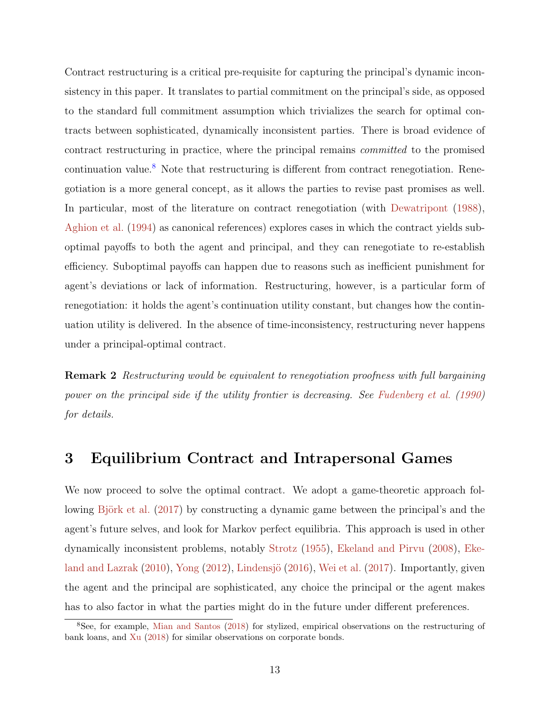Contract restructuring is a critical pre-requisite for capturing the principal's dynamic inconsistency in this paper. It translates to partial commitment on the principal's side, as opposed to the standard full commitment assumption which trivializes the search for optimal contracts between sophisticated, dynamically inconsistent parties. There is broad evidence of contract restructuring in practice, where the principal remains committed to the promised continuation value.<sup>[8](#page-12-1)</sup> Note that restructuring is different from contract renegotiation. Renegotiation is a more general concept, as it allows the parties to revise past promises as well. In particular, most of the literature on contract renegotiation (with [Dewatripont](#page-50-11) [\(1988\)](#page-50-11), [Aghion et al.](#page-49-13) [\(1994\)](#page-49-13) as canonical references) explores cases in which the contract yields suboptimal payoffs to both the agent and principal, and they can renegotiate to re-establish efficiency. Suboptimal payoffs can happen due to reasons such as inefficient punishment for agent's deviations or lack of information. Restructuring, however, is a particular form of renegotiation: it holds the agent's continuation utility constant, but changes how the continuation utility is delivered. In the absence of time-inconsistency, restructuring never happens under a principal-optimal contract.

Remark 2 Restructuring would be equivalent to renegotiation proofness with full bargaining power on the principal side if the utility frontier is decreasing. See [Fudenberg et al.](#page-51-11) [\(1990\)](#page-51-11) for details.

# <span id="page-12-0"></span>3 Equilibrium Contract and Intrapersonal Games

We now proceed to solve the optimal contract. We adopt a game-theoretic approach fol-lowing Björk et al. [\(2017\)](#page-49-2) by constructing a dynamic game between the principal's and the agent's future selves, and look for Markov perfect equilibria. This approach is used in other dynamically inconsistent problems, notably [Strotz](#page-53-1) [\(1955\)](#page-53-1), [Ekeland and Pirvu](#page-50-1) [\(2008\)](#page-50-1), [Eke](#page-50-2)[land and Lazrak](#page-50-2)  $(2010)$ , [Yong](#page-54-1)  $(2012)$ , Lindensjö  $(2016)$ , [Wei et al.](#page-54-3)  $(2017)$ . Importantly, given the agent and the principal are sophisticated, any choice the principal or the agent makes has to also factor in what the parties might do in the future under different preferences.

<span id="page-12-1"></span><sup>8</sup>See, for example, [Mian and Santos](#page-52-4) [\(2018\)](#page-52-4) for stylized, empirical observations on the restructuring of bank loans, and [Xu](#page-54-0) [\(2018\)](#page-54-0) for similar observations on corporate bonds.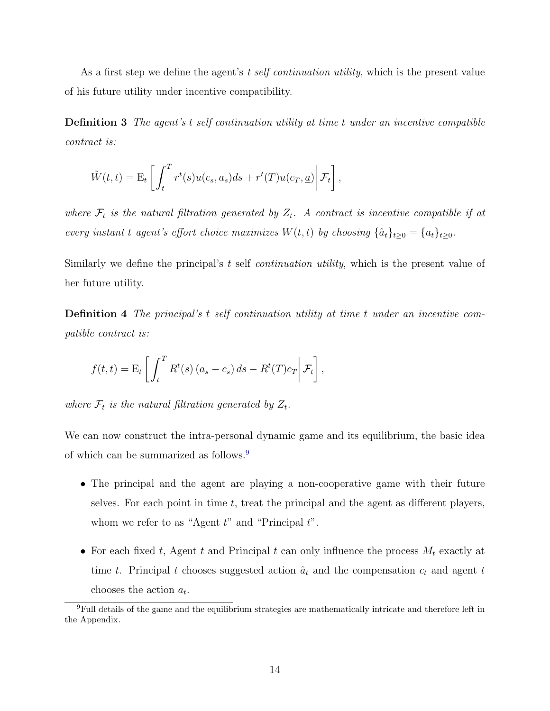As a first step we define the agent's t self continuation utility, which is the present value of his future utility under incentive compatibility.

Definition 3 The agent's t self continuation utility at time t under an incentive compatible contract is:

$$
\tilde{W}(t,t) = \mathbf{E}_t \left[ \int_t^T r^t(s) u(c_s, a_s) ds + r^t(T) u(c_T, \underline{a}) \middle| \mathcal{F}_t \right],
$$

where  $\mathcal{F}_t$  is the natural filtration generated by  $Z_t$ . A contract is incentive compatible if at every instant t agent's effort choice maximizes  $W(t, t)$  by choosing  $\{\hat{a}_t\}_{t>0} = \{a_t\}_{t>0}$ .

Similarly we define the principal's  $t$  self *continuation utility*, which is the present value of her future utility.

Definition 4 The principal's t self continuation utility at time t under an incentive compatible contract is:

$$
f(t,t) = \mathbf{E}_t \left[ \int_t^T R^t(s) (a_s - c_s) ds - R^t(T) c_T \middle| \mathcal{F}_t \right],
$$

where  $\mathcal{F}_t$  is the natural filtration generated by  $Z_t$ .

We can now construct the intra-personal dynamic game and its equilibrium, the basic idea of which can be summarized as follows.<sup>[9](#page-13-0)</sup>

- The principal and the agent are playing a non-cooperative game with their future selves. For each point in time  $t$ , treat the principal and the agent as different players, whom we refer to as "Agent  $t$ " and "Principal  $t$ ".
- For each fixed t, Agent t and Principal t can only influence the process  $M_t$  exactly at time t. Principal t chooses suggested action  $\hat{a}_t$  and the compensation  $c_t$  and agent t chooses the action  $a_t$ .

<span id="page-13-0"></span><sup>9</sup>Full details of the game and the equilibrium strategies are mathematically intricate and therefore left in the Appendix.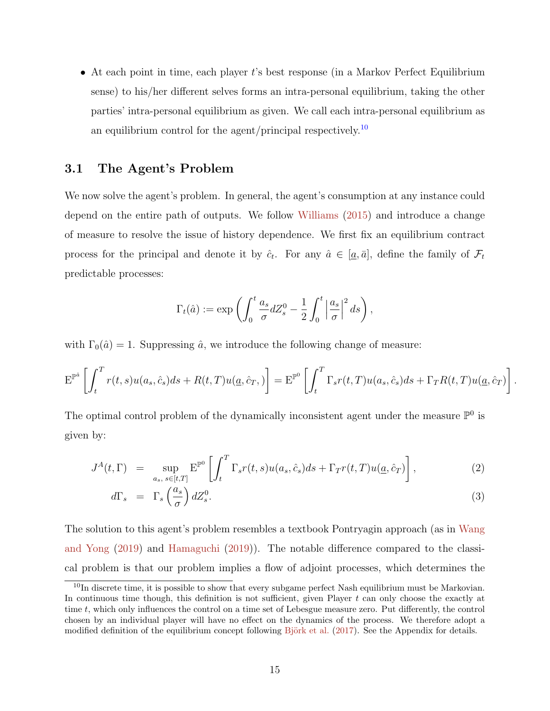• At each point in time, each player t's best response (in a Markov Perfect Equilibrium sense) to his/her different selves forms an intra-personal equilibrium, taking the other parties' intra-personal equilibrium as given. We call each intra-personal equilibrium as an equilibrium control for the agent/principal respectively.<sup>[10](#page-14-0)</sup>

## 3.1 The Agent's Problem

We now solve the agent's problem. In general, the agent's consumption at any instance could depend on the entire path of outputs. We follow [Williams](#page-54-4) [\(2015\)](#page-54-4) and introduce a change of measure to resolve the issue of history dependence. We first fix an equilibrium contract process for the principal and denote it by  $\hat{c}_t$ . For any  $\hat{a} \in [\underline{a}, \overline{a}]$ , define the family of  $\mathcal{F}_t$ predictable processes:

$$
\Gamma_t(\hat{a}) := \exp\left(\int_0^t \frac{a_s}{\sigma} dZ_s^0 - \frac{1}{2} \int_0^t \left|\frac{a_s}{\sigma}\right|^2 ds\right),\,
$$

with  $\Gamma_0(\hat{a}) = 1$ . Suppressing  $\hat{a}$ , we introduce the following change of measure:

$$
\mathbf{E}^{\mathbb{P}^{\hat{a}}}\left[\int_{t}^{T} r(t,s)u(a_s,\hat{c}_s)ds + R(t,T)u(\underline{a},\hat{c}_T,\cdot)\right] = \mathbf{E}^{\mathbb{P}^0}\left[\int_{t}^{T} \Gamma_s r(t,T)u(a_s,\hat{c}_s)ds + \Gamma_T R(t,T)u(\underline{a},\hat{c}_T)\right]
$$

.

The optimal control problem of the dynamically inconsistent agent under the measure  $\mathbb{P}^0$  is given by:

$$
J^{A}(t,\Gamma) = \sup_{a_{s}, s \in [t,T]} \mathcal{E}^{\mathbb{P}^{0}} \left[ \int_{t}^{T} \Gamma_{s} r(t,s) u(a_{s}, \hat{c}_{s}) ds + \Gamma_{T} r(t,T) u(\underline{a}, \hat{c}_{T}) \right], \tag{2}
$$

$$
d\Gamma_s = \Gamma_s \left(\frac{a_s}{\sigma}\right) dZ_s^0. \tag{3}
$$

The solution to this agent's problem resembles a textbook Pontryagin approach (as in [Wang](#page-54-5) [and Yong](#page-54-5) [\(2019\)](#page-54-5) and [Hamaguchi](#page-51-12) [\(2019\)](#page-51-12)). The notable difference compared to the classical problem is that our problem implies a flow of adjoint processes, which determines the

<span id="page-14-0"></span> $10$ In discrete time, it is possible to show that every subgame perfect Nash equilibrium must be Markovian. In continuous time though, this definition is not sufficient, given Player  $t$  can only choose the exactly at time t, which only influences the control on a time set of Lebesgue measure zero. Put differently, the control chosen by an individual player will have no effect on the dynamics of the process. We therefore adopt a modified definition of the equilibrium concept following Björk et al. [\(2017\)](#page-49-2). See the Appendix for details.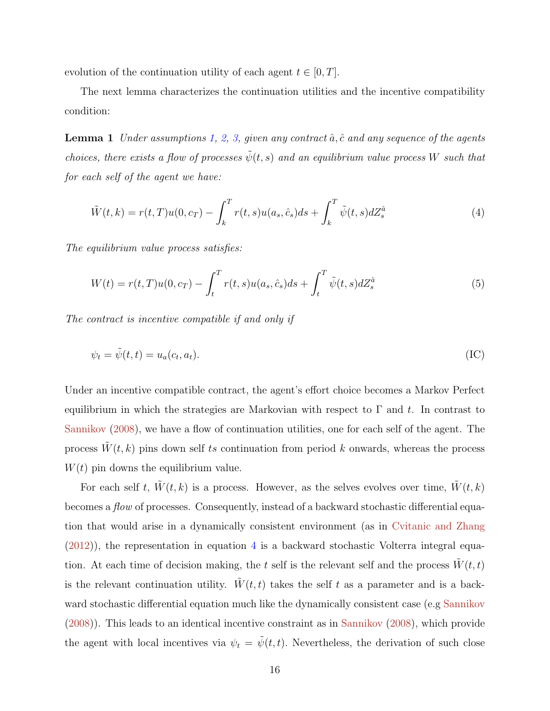evolution of the continuation utility of each agent  $t \in [0, T]$ .

<span id="page-15-3"></span>The next lemma characterizes the continuation utilities and the incentive compatibility condition:

**Lemma 1** Under assumptions [1,](#page-9-0) [2,](#page-10-0) [3,](#page-10-1) given any contract  $\hat{a}$ ,  $\hat{c}$  and any sequence of the agents choices, there exists a flow of processes  $\tilde{\psi}(t,s)$  and an equilibrium value process W such that for each self of the agent we have:

<span id="page-15-0"></span>
$$
\tilde{W}(t,k) = r(t,T)u(0,c_T) - \int_k^T r(t,s)u(a_s,\hat{c}_s)ds + \int_k^T \tilde{\psi}(t,s)dZ_s^{\hat{a}}
$$
\n(4)

The equilibrium value process satisfies:

<span id="page-15-2"></span>
$$
W(t) = r(t, T)u(0, c_T) - \int_t^T r(t, s)u(a_s, \hat{c}_s)ds + \int_t^T \tilde{\psi}(t, s)dZ_s^{\hat{a}}
$$
(5)

The contract is incentive compatible if and only if

<span id="page-15-1"></span>
$$
\psi_t = \tilde{\psi}(t, t) = u_a(c_t, a_t). \tag{IC}
$$

Under an incentive compatible contract, the agent's effort choice becomes a Markov Perfect equilibrium in which the strategies are Markovian with respect to  $\Gamma$  and t. In contrast to [Sannikov](#page-53-7) [\(2008\)](#page-53-7), we have a flow of continuation utilities, one for each self of the agent. The process  $W(t, k)$  pins down self ts continuation from period k onwards, whereas the process  $W(t)$  pin downs the equilibrium value.

For each self t,  $W(t, k)$  is a process. However, as the selves evolves over time,  $W(t, k)$ becomes a flow of processes. Consequently, instead of a backward stochastic differential equation that would arise in a dynamically consistent environment (as in [Cvitanic and Zhang](#page-50-12)  $(2012)$ , the representation in equation [4](#page-15-0) is a backward stochastic Volterra integral equation. At each time of decision making, the t self is the relevant self and the process  $W(t, t)$ is the relevant continuation utility.  $W(t, t)$  takes the self t as a parameter and is a backward stochastic differential equation much like the dynamically consistent case (e.g [Sannikov](#page-53-7) [\(2008\)](#page-53-7)). This leads to an identical incentive constraint as in [Sannikov](#page-53-7) [\(2008\)](#page-53-7), which provide the agent with local incentives via  $\psi_t = \tilde{\psi}(t, t)$ . Nevertheless, the derivation of such close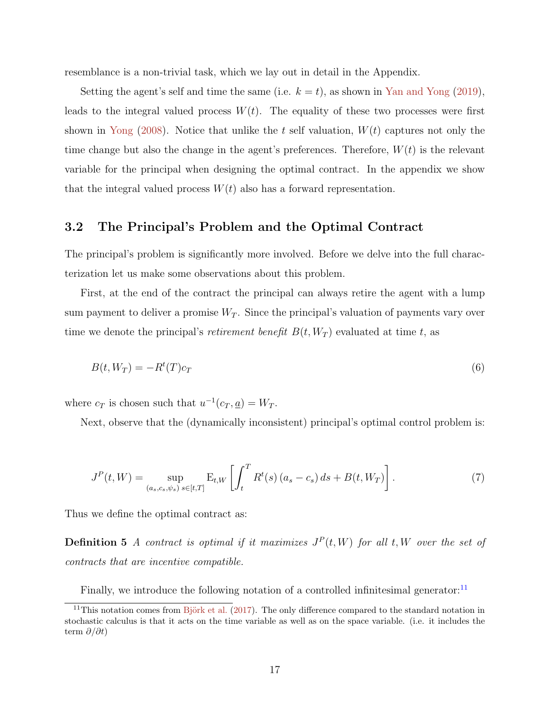resemblance is a non-trivial task, which we lay out in detail in the Appendix.

Setting the agent's self and time the same (i.e.  $k = t$ ), as shown in [Yan and Yong](#page-54-6) [\(2019\)](#page-54-6), leads to the integral valued process  $W(t)$ . The equality of these two processes were first shown in [Yong](#page-54-7) [\(2008\)](#page-54-7). Notice that unlike the t self valuation,  $W(t)$  captures not only the time change but also the change in the agent's preferences. Therefore,  $W(t)$  is the relevant variable for the principal when designing the optimal contract. In the appendix we show that the integral valued process  $W(t)$  also has a forward representation.

## 3.2 The Principal's Problem and the Optimal Contract

The principal's problem is significantly more involved. Before we delve into the full characterization let us make some observations about this problem.

First, at the end of the contract the principal can always retire the agent with a lump sum payment to deliver a promise  $W_T$ . Since the principal's valuation of payments vary over time we denote the principal's *retirement benefit*  $B(t, W_T)$  evaluated at time t, as

$$
B(t, W_T) = -R^t(T)c_T \tag{6}
$$

where  $c_T$  is chosen such that  $u^{-1}(c_T, \underline{a}) = W_T$ .

Next, observe that the (dynamically inconsistent) principal's optimal control problem is:

$$
J^{P}(t, W) = \sup_{(a_s, c_s, \psi_s)} \mathbb{E}_{t, W} \left[ \int_t^T R^t(s) (a_s - c_s) ds + B(t, W_T) \right].
$$
 (7)

Thus we define the optimal contract as:

**Definition 5** A contract is optimal if it maximizes  $J^P(t, W)$  for all t, W over the set of contracts that are incentive compatible.

Finally, we introduce the following notation of a controlled infinitesimal generator: $^{11}$  $^{11}$  $^{11}$ 

<span id="page-16-0"></span><sup>&</sup>lt;sup>11</sup>This notation comes from Björk et al.  $(2017)$ . The only difference compared to the standard notation in stochastic calculus is that it acts on the time variable as well as on the space variable. (i.e. it includes the term  $\partial/\partial t$ )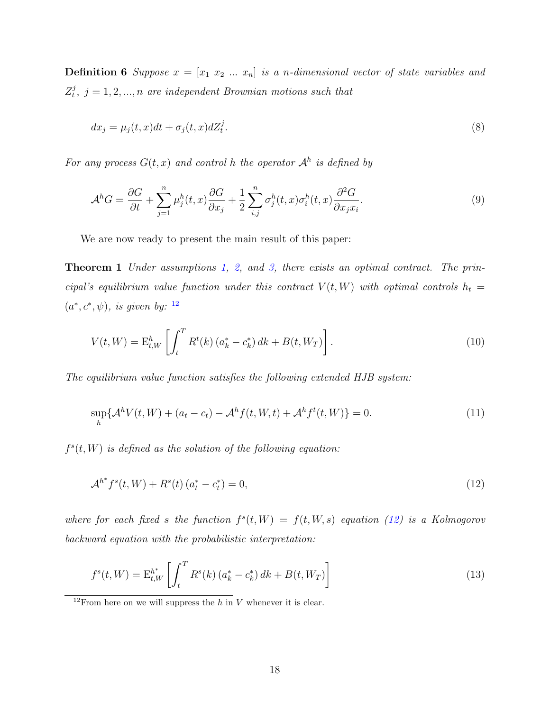**Definition 6** Suppose  $x = [x_1 \ x_2 \ ... \ x_n]$  is a n-dimensional vector of state variables and  $Z_t^j$  $t_i^j, j = 1, 2, ..., n$  are independent Brownian motions such that

$$
dx_j = \mu_j(t, x)dt + \sigma_j(t, x)dZ_t^j.
$$
\n(8)

For any process  $G(t, x)$  and control h the operator  $\mathcal{A}^h$  is defined by

<span id="page-17-0"></span>
$$
\mathcal{A}^h G = \frac{\partial G}{\partial t} + \sum_{j=1}^n \mu_j^h(t, x) \frac{\partial G}{\partial x_j} + \frac{1}{2} \sum_{i,j}^n \sigma_j^h(t, x) \sigma_i^h(t, x) \frac{\partial^2 G}{\partial x_j x_i}.
$$
\n(9)

We are now ready to present the main result of this paper:

Theorem 1 Under assumptions [1,](#page-9-0) [2,](#page-10-0) and [3,](#page-10-1) there exists an optimal contract. The principal's equilibrium value function under this contract  $V(t, W)$  with optimal controls  $h_t =$  $(a^*, c^*, \psi)$ , is given by: <sup>[12](#page-17-1)</sup>

$$
V(t, W) = \mathcal{E}_{t, W}^{h} \left[ \int_{t}^{T} R^{t}(k) \left( a_{k}^{*} - c_{k}^{*} \right) dk + B(t, W_{T}) \right]. \tag{10}
$$

The equilibrium value function satisfies the following extended HJB system:

<span id="page-17-3"></span>
$$
\sup_{h} \{ \mathcal{A}^{h} V(t, W) + (a_{t} - c_{t}) - \mathcal{A}^{h} f(t, W, t) + \mathcal{A}^{h} f^{t}(t, W) \} = 0.
$$
\n(11)

 $f^s(t, W)$  is defined as the solution of the following equation:

<span id="page-17-2"></span>
$$
\mathcal{A}^{h^*} f^s(t, W) + R^s(t) \left( a_t^* - c_t^* \right) = 0,\tag{12}
$$

where for each fixed s the function  $f^{s}(t, W) = f(t, W, s)$  equation [\(12\)](#page-17-2) is a Kolmogorov backward equation with the probabilistic interpretation:

$$
f^{s}(t, W) = \mathcal{E}_{t, W}^{h^{*}} \left[ \int_{t}^{T} R^{s}(k) \left( a_{k}^{*} - c_{k}^{*} \right) dk + B(t, W_{T}) \right]
$$
\n(13)

<span id="page-17-1"></span><sup>&</sup>lt;sup>12</sup>From here on we will suppress the h in V whenever it is clear.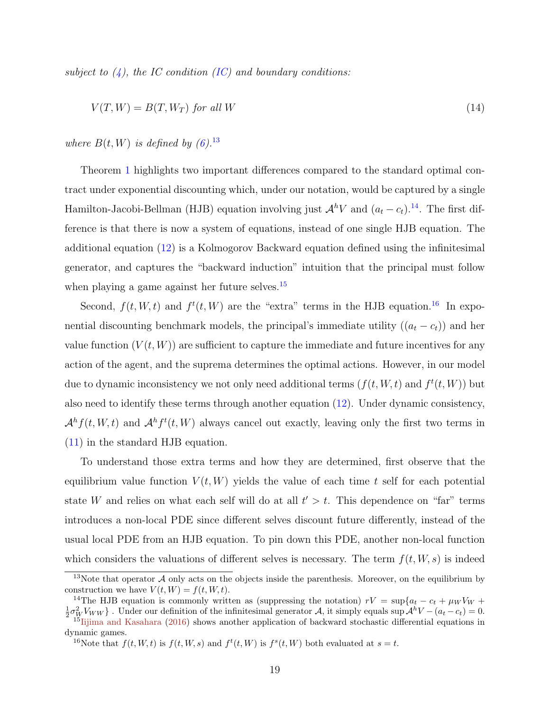subject to  $(4)$ , the IC condition [\(IC\)](#page-15-1) and boundary conditions:

$$
V(T, W) = B(T, W_T) \text{ for all } W
$$
\n<sup>(14)</sup>

where  $B(t, W)$  is defined by  $(6).^{13}$  $(6).^{13}$  $(6).^{13}$  $(6).^{13}$ 

Theorem [1](#page-17-0) highlights two important differences compared to the standard optimal contract under exponential discounting which, under our notation, would be captured by a single Hamilton-Jacobi-Bellman (HJB) equation involving just  $\mathcal{A}^hV$  and  $(a_t - c_t)$ .<sup>[14](#page-18-1)</sup>. The first difference is that there is now a system of equations, instead of one single HJB equation. The additional equation [\(12\)](#page-17-2) is a Kolmogorov Backward equation defined using the infinitesimal generator, and captures the "backward induction" intuition that the principal must follow when playing a game against her future selves.<sup>[15](#page-18-2)</sup>

Second,  $f(t, W, t)$  and  $f^{t}(t, W)$  are the "extra" terms in the HJB equation.<sup>[16](#page-18-3)</sup> In exponential discounting benchmark models, the principal's immediate utility  $((a_t - c_t))$  and her value function  $(V(t, W))$  are sufficient to capture the immediate and future incentives for any action of the agent, and the suprema determines the optimal actions. However, in our model due to dynamic inconsistency we not only need additional terms  $(f(t, W, t)$  and  $f^t(t, W)$  but also need to identify these terms through another equation [\(12\)](#page-17-2). Under dynamic consistency,  $\mathcal{A}^h f(t, W, t)$  and  $\mathcal{A}^h f^t(t, W)$  always cancel out exactly, leaving only the first two terms in [\(11\)](#page-17-3) in the standard HJB equation.

To understand those extra terms and how they are determined, first observe that the equilibrium value function  $V(t, W)$  yields the value of each time t self for each potential state W and relies on what each self will do at all  $t' > t$ . This dependence on "far" terms introduces a non-local PDE since different selves discount future differently, instead of the usual local PDE from an HJB equation. To pin down this PDE, another non-local function which considers the valuations of different selves is necessary. The term  $f(t, W, s)$  is indeed

<span id="page-18-0"></span><sup>&</sup>lt;sup>13</sup>Note that operator  $\mathcal A$  only acts on the objects inside the parenthesis. Moreover, on the equilibrium by construction we have  $V(t, W) = f(t, W, t)$ .

<span id="page-18-1"></span><sup>&</sup>lt;sup>14</sup>The HJB equation is commonly written as (suppressing the notation)  $rV = \sup\{a_t - c_t + \mu_W V_W +$  $\frac{1}{2}\sigma_W^2V_{WW}$ . Under our definition of the infinitesimal generator A, it simply equals sup  $\mathcal{A}^hV - (a_t - c_t) = 0$ .  $^{15}$ [Iijima and Kasahara](#page-51-13) [\(2016\)](#page-51-13) shows another application of backward stochastic differential equations in

<span id="page-18-3"></span><span id="page-18-2"></span>dynamic games. <sup>16</sup>Note that  $f(t, W, t)$  is  $f(t, W, s)$  and  $f^t(t, W)$  is  $f^s(t, W)$  both evaluated at  $s = t$ .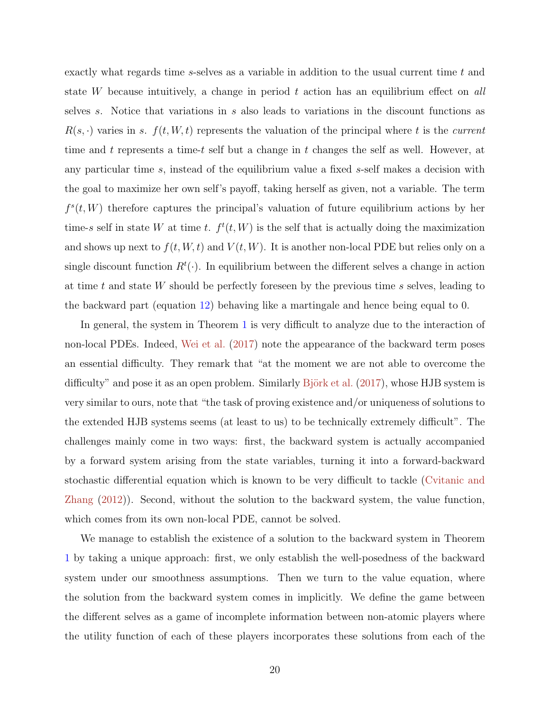exactly what regards time s-selves as a variable in addition to the usual current time t and state W because intuitively, a change in period  $t$  action has an equilibrium effect on all selves s. Notice that variations in s also leads to variations in the discount functions as  $R(s, \cdot)$  varies in s.  $f(t, W, t)$  represents the valuation of the principal where t is the current time and t represents a time-t self but a change in t changes the self as well. However, at any particular time s, instead of the equilibrium value a fixed s-self makes a decision with the goal to maximize her own self's payoff, taking herself as given, not a variable. The term  $f<sup>s</sup>(t, W)$  therefore captures the principal's valuation of future equilibrium actions by her time-s self in state W at time t.  $f^t(t, W)$  is the self that is actually doing the maximization and shows up next to  $f(t, W, t)$  and  $V(t, W)$ . It is another non-local PDE but relies only on a single discount function  $R^t(\cdot)$ . In equilibrium between the different selves a change in action at time t and state  $W$  should be perfectly foreseen by the previous time s selves, leading to the backward part (equation [12\)](#page-17-2) behaving like a martingale and hence being equal to 0.

In general, the system in Theorem [1](#page-17-0) is very difficult to analyze due to the interaction of non-local PDEs. Indeed, [Wei et al.](#page-54-3) [\(2017\)](#page-54-3) note the appearance of the backward term poses an essential difficulty. They remark that "at the moment we are not able to overcome the difficulty" and pose it as an open problem. Similarly Björk et al.  $(2017)$ , whose HJB system is very similar to ours, note that "the task of proving existence and/or uniqueness of solutions to the extended HJB systems seems (at least to us) to be technically extremely difficult". The challenges mainly come in two ways: first, the backward system is actually accompanied by a forward system arising from the state variables, turning it into a forward-backward stochastic differential equation which is known to be very difficult to tackle [\(Cvitanic and](#page-50-12) [Zhang](#page-50-12) [\(2012\)](#page-50-12)). Second, without the solution to the backward system, the value function, which comes from its own non-local PDE, cannot be solved.

We manage to establish the existence of a solution to the backward system in Theorem [1](#page-17-0) by taking a unique approach: first, we only establish the well-posedness of the backward system under our smoothness assumptions. Then we turn to the value equation, where the solution from the backward system comes in implicitly. We define the game between the different selves as a game of incomplete information between non-atomic players where the utility function of each of these players incorporates these solutions from each of the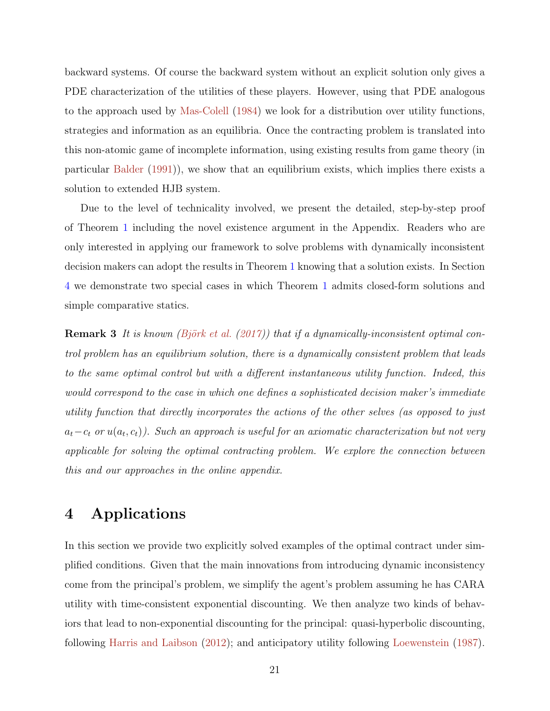backward systems. Of course the backward system without an explicit solution only gives a PDE characterization of the utilities of these players. However, using that PDE analogous to the approach used by [Mas-Colell](#page-52-6) [\(1984\)](#page-52-6) we look for a distribution over utility functions, strategies and information as an equilibria. Once the contracting problem is translated into this non-atomic game of incomplete information, using existing results from game theory (in particular [Balder](#page-49-4) [\(1991\)](#page-49-4)), we show that an equilibrium exists, which implies there exists a solution to extended HJB system.

Due to the level of technicality involved, we present the detailed, step-by-step proof of Theorem [1](#page-17-0) including the novel existence argument in the Appendix. Readers who are only interested in applying our framework to solve problems with dynamically inconsistent decision makers can adopt the results in Theorem [1](#page-17-0) knowing that a solution exists. In Section [4](#page-20-0) we demonstrate two special cases in which Theorem [1](#page-17-0) admits closed-form solutions and simple comparative statics.

**Remark 3** It is known (Björk et al. [\(2017\)](#page-49-2)) that if a dynamically-inconsistent optimal control problem has an equilibrium solution, there is a dynamically consistent problem that leads to the same optimal control but with a different instantaneous utility function. Indeed, this would correspond to the case in which one defines a sophisticated decision maker's immediate utility function that directly incorporates the actions of the other selves (as opposed to just  $a_t - c_t$  or  $u(a_t, c_t)$ ). Such an approach is useful for an axiomatic characterization but not very applicable for solving the optimal contracting problem. We explore the connection between this and our approaches in the online appendix.

# <span id="page-20-0"></span>4 Applications

In this section we provide two explicitly solved examples of the optimal contract under simplified conditions. Given that the main innovations from introducing dynamic inconsistency come from the principal's problem, we simplify the agent's problem assuming he has CARA utility with time-consistent exponential discounting. We then analyze two kinds of behaviors that lead to non-exponential discounting for the principal: quasi-hyperbolic discounting, following [Harris and Laibson](#page-51-0) [\(2012\)](#page-51-0); and anticipatory utility following [Loewenstein](#page-52-1) [\(1987\)](#page-52-1).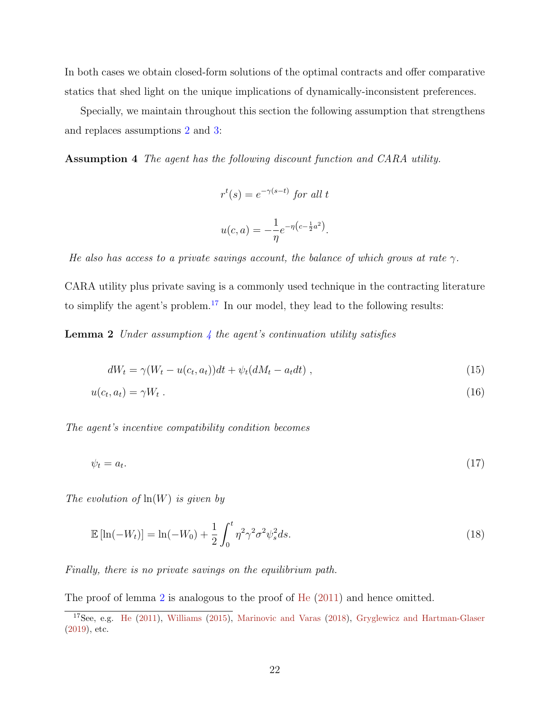In both cases we obtain closed-form solutions of the optimal contracts and offer comparative statics that shed light on the unique implications of dynamically-inconsistent preferences.

Specially, we maintain throughout this section the following assumption that strengthens and replaces assumptions [2](#page-10-0) and [3:](#page-10-1)

Assumption 4 The agent has the following discount function and CARA utility.

<span id="page-21-3"></span><span id="page-21-2"></span><span id="page-21-1"></span>
$$
r^{t}(s) = e^{-\gamma(s-t)} \text{ for all } t
$$

$$
u(c,a) = -\frac{1}{\eta}e^{-\eta(c-\frac{1}{2}a^{2})}.
$$

He also has access to a private savings account, the balance of which grows at rate  $\gamma$ .

CARA utility plus private saving is a commonly used technique in the contracting literature to simplify the agent's problem.<sup>[17](#page-21-0)</sup> In our model, they lead to the following results:

**Lemma 2** Under assumption  $\frac{1}{4}$  $\frac{1}{4}$  $\frac{1}{4}$  the agent's continuation utility satisfies

<span id="page-21-4"></span>
$$
dW_t = \gamma (W_t - u(c_t, a_t))dt + \psi_t (dM_t - a_t dt), \qquad (15)
$$

$$
u(c_t, a_t) = \gamma W_t \tag{16}
$$

The agent's incentive compatibility condition becomes

$$
\psi_t = a_t. \tag{17}
$$

The evolution of  $ln(W)$  is given by

$$
\mathbb{E}\left[\ln(-W_t)\right] = \ln(-W_0) + \frac{1}{2} \int_0^t \eta^2 \gamma^2 \sigma^2 \psi_s^2 ds. \tag{18}
$$

Finally, there is no private savings on the equilibrium path.

The proof of lemma [2](#page-21-2) is analogous to the proof of [He](#page-51-10) [\(2011\)](#page-51-10) and hence omitted.

<span id="page-21-0"></span><sup>&</sup>lt;sup>17</sup>See, e.g. [He](#page-51-10) [\(2011\)](#page-51-10), [Williams](#page-54-4) [\(2015\)](#page-54-4), [Marinovic and Varas](#page-52-12) [\(2018\)](#page-52-12), [Gryglewicz and Hartman-Glaser](#page-51-14) [\(2019\)](#page-51-14), etc.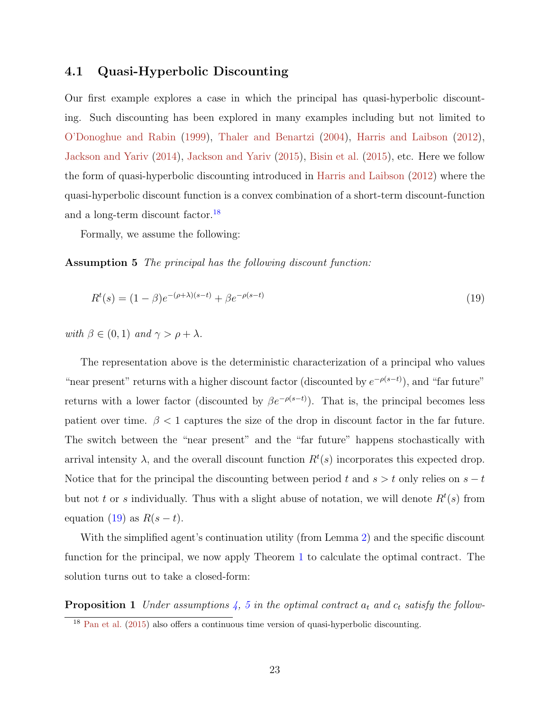# 4.1 Quasi-Hyperbolic Discounting

Our first example explores a case in which the principal has quasi-hyperbolic discounting. Such discounting has been explored in many examples including but not limited to [O'Donoghue and Rabin](#page-53-9) [\(1999\)](#page-53-9), [Thaler and Benartzi](#page-54-8) [\(2004\)](#page-54-8), [Harris and Laibson](#page-51-0) [\(2012\)](#page-51-0), [Jackson and Yariv](#page-52-13) [\(2014\)](#page-52-13), [Jackson and Yariv](#page-52-0) [\(2015\)](#page-52-0), [Bisin et al.](#page-49-9) [\(2015\)](#page-49-9), etc. Here we follow the form of quasi-hyperbolic discounting introduced in [Harris and Laibson](#page-51-0) [\(2012\)](#page-51-0) where the quasi-hyperbolic discount function is a convex combination of a short-term discount-function and a long-term discount factor.<sup>[18](#page-22-0)</sup>

<span id="page-22-2"></span>Formally, we assume the following:

Assumption 5 The principal has the following discount function:

<span id="page-22-1"></span>
$$
R^{t}(s) = (1 - \beta)e^{-(\rho + \lambda)(s - t)} + \beta e^{-\rho(s - t)}
$$
\n(19)

with  $\beta \in (0,1)$  and  $\gamma > \rho + \lambda$ .

The representation above is the deterministic characterization of a principal who values "near present" returns with a higher discount factor (discounted by  $e^{-\rho(s-t)}$ ), and "far future" returns with a lower factor (discounted by  $\beta e^{-\rho(s-t)}$ ). That is, the principal becomes less patient over time.  $\beta$  < 1 captures the size of the drop in discount factor in the far future. The switch between the "near present" and the "far future" happens stochastically with arrival intensity  $\lambda$ , and the overall discount function  $R<sup>t</sup>(s)$  incorporates this expected drop. Notice that for the principal the discounting between period t and  $s > t$  only relies on  $s - t$ but not t or s individually. Thus with a slight abuse of notation, we will denote  $R<sup>t</sup>(s)$  from equation [\(19\)](#page-22-1) as  $R(s-t)$ .

With the simplified agent's continuation utility (from Lemma [2\)](#page-21-2) and the specific discount function for the principal, we now apply Theorem [1](#page-17-0) to calculate the optimal contract. The solution turns out to take a closed-form:

**Proposition 1** Under assumptions [4,](#page-21-1) [5](#page-22-2) in the optimal contract  $a_t$  and  $c_t$  satisfy the follow-

<span id="page-22-3"></span><span id="page-22-0"></span><sup>18</sup> [Pan et al.](#page-53-12) [\(2015\)](#page-53-12) also offers a continuous time version of quasi-hyperbolic discounting.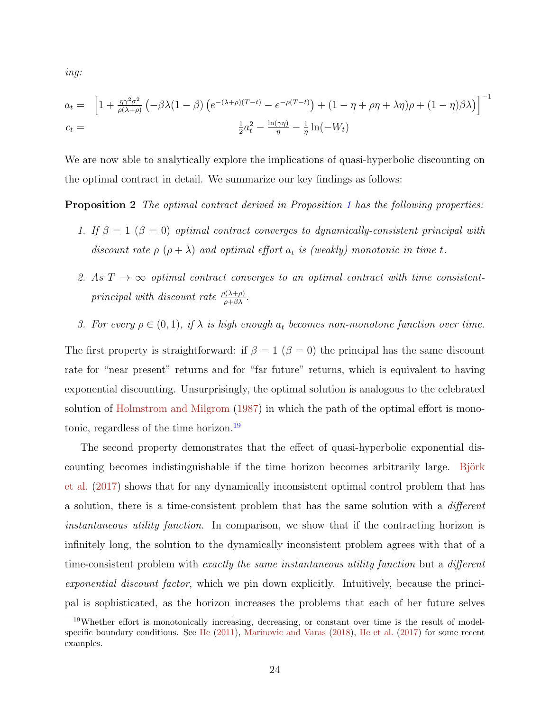ing:

$$
a_t = \left[1 + \frac{\eta \gamma^2 \sigma^2}{\rho(\lambda + \rho)} \left(-\beta \lambda (1 - \beta) \left(e^{-(\lambda + \rho)(T - t)} - e^{-\rho(T - t)}\right) + (1 - \eta + \rho \eta + \lambda \eta)\rho + (1 - \eta)\beta \lambda\right)\right]^{-1}
$$
  

$$
c_t = \frac{\frac{1}{2}a_t^2 - \frac{\ln(\gamma \eta)}{\eta} - \frac{1}{\eta}\ln(-W_t)}{2}
$$

We are now able to analytically explore the implications of quasi-hyperbolic discounting on the optimal contract in detail. We summarize our key findings as follows:

Proposition 2 The optimal contract derived in Proposition [1](#page-22-3) has the following properties:

- <span id="page-23-1"></span>1. If  $\beta = 1$  ( $\beta = 0$ ) optimal contract converges to dynamically-consistent principal with discount rate  $\rho$   $(\rho + \lambda)$  and optimal effort  $a_t$  is (weakly) monotonic in time t.
- 2. As  $T \rightarrow \infty$  optimal contract converges to an optimal contract with time consistentprincipal with discount rate  $\frac{\rho(\lambda+\rho)}{\rho+\beta\lambda}$ .
- 3. For every  $\rho \in (0,1)$ , if  $\lambda$  is high enough  $a_t$  becomes non-monotone function over time.

The first property is straightforward: if  $\beta = 1$  ( $\beta = 0$ ) the principal has the same discount rate for "near present" returns and for "far future" returns, which is equivalent to having exponential discounting. Unsurprisingly, the optimal solution is analogous to the celebrated solution of [Holmstrom and Milgrom](#page-51-15) [\(1987\)](#page-51-15) in which the path of the optimal effort is monotonic, regardless of the time horizon.[19](#page-23-0)

The second property demonstrates that the effect of quasi-hyperbolic exponential discounting becomes indistinguishable if the time horizon becomes arbitrarily large. Björk [et al.](#page-49-2) [\(2017\)](#page-49-2) shows that for any dynamically inconsistent optimal control problem that has a solution, there is a time-consistent problem that has the same solution with a different instantaneous utility function. In comparison, we show that if the contracting horizon is infinitely long, the solution to the dynamically inconsistent problem agrees with that of a time-consistent problem with exactly the same instantaneous utility function but a different exponential discount factor, which we pin down explicitly. Intuitively, because the principal is sophisticated, as the horizon increases the problems that each of her future selves

<span id="page-23-0"></span><sup>19</sup>Whether effort is monotonically increasing, decreasing, or constant over time is the result of model-specific boundary conditions. See [He](#page-51-10) [\(2011\)](#page-51-10), [Marinovic and Varas](#page-52-12) [\(2018\)](#page-52-12), [He et al.](#page-51-16) [\(2017\)](#page-51-16) for some recent examples.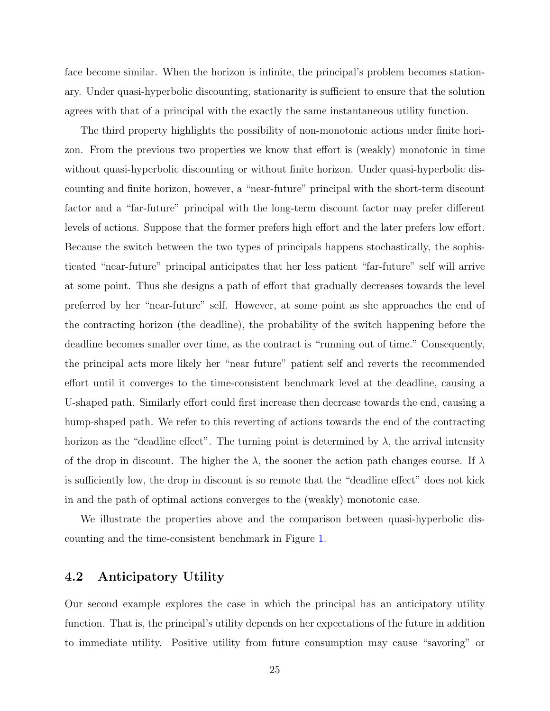face become similar. When the horizon is infinite, the principal's problem becomes stationary. Under quasi-hyperbolic discounting, stationarity is sufficient to ensure that the solution agrees with that of a principal with the exactly the same instantaneous utility function.

The third property highlights the possibility of non-monotonic actions under finite horizon. From the previous two properties we know that effort is (weakly) monotonic in time without quasi-hyperbolic discounting or without finite horizon. Under quasi-hyperbolic discounting and finite horizon, however, a "near-future" principal with the short-term discount factor and a "far-future" principal with the long-term discount factor may prefer different levels of actions. Suppose that the former prefers high effort and the later prefers low effort. Because the switch between the two types of principals happens stochastically, the sophisticated "near-future" principal anticipates that her less patient "far-future" self will arrive at some point. Thus she designs a path of effort that gradually decreases towards the level preferred by her "near-future" self. However, at some point as she approaches the end of the contracting horizon (the deadline), the probability of the switch happening before the deadline becomes smaller over time, as the contract is "running out of time." Consequently, the principal acts more likely her "near future" patient self and reverts the recommended effort until it converges to the time-consistent benchmark level at the deadline, causing a U-shaped path. Similarly effort could first increase then decrease towards the end, causing a hump-shaped path. We refer to this reverting of actions towards the end of the contracting horizon as the "deadline effect". The turning point is determined by  $\lambda$ , the arrival intensity of the drop in discount. The higher the  $\lambda$ , the sooner the action path changes course. If  $\lambda$ is sufficiently low, the drop in discount is so remote that the "deadline effect" does not kick in and the path of optimal actions converges to the (weakly) monotonic case.

We illustrate the properties above and the comparison between quasi-hyperbolic discounting and the time-consistent benchmark in Figure [1.](#page-25-0)

# 4.2 Anticipatory Utility

Our second example explores the case in which the principal has an anticipatory utility function. That is, the principal's utility depends on her expectations of the future in addition to immediate utility. Positive utility from future consumption may cause "savoring" or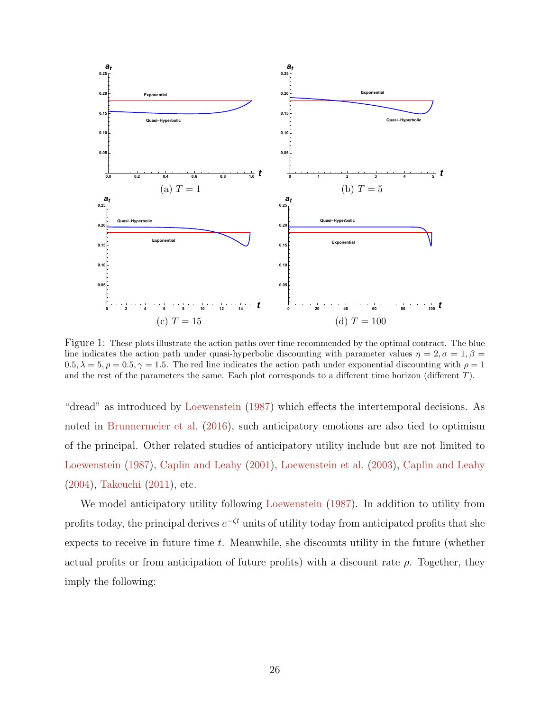<span id="page-25-0"></span>

Figure 1: These plots illustrate the action paths over time recommended by the optimal contract. The blue line indicates the action path under quasi-hyperbolic discounting with parameter values  $\eta = 2, \sigma = 1, \beta =$  $0.5, \lambda = 5, \rho = 0.5, \gamma = 1.5$ . The red line indicates the action path under exponential discounting with  $\rho = 1$ and the rest of the parameters the same. Each plot corresponds to a different time horizon (different T).

"dread" as introduced by [Loewenstein](#page-52-1) [\(1987\)](#page-52-1) which effects the intertemporal decisions. As noted in [Brunnermeier et al.](#page-49-1) [\(2016\)](#page-49-1), such anticipatory emotions are also tied to optimism of the principal. Other related studies of anticipatory utility include but are not limited to [Loewenstein](#page-52-1) [\(1987\)](#page-52-1), [Caplin and Leahy](#page-50-0) [\(2001\)](#page-50-0), [Loewenstein et al.](#page-52-14) [\(2003\)](#page-52-14), [Caplin and Leahy](#page-50-13) [\(2004\)](#page-50-13), [Takeuchi](#page-53-13) [\(2011\)](#page-53-13), etc.

<span id="page-25-1"></span>We model anticipatory utility following [Loewenstein](#page-52-1) [\(1987\)](#page-52-1). In addition to utility from profits today, the principal derives  $e^{-\zeta t}$  units of utility today from anticipated profits that she expects to receive in future time  $t$ . Meanwhile, she discounts utility in the future (whether actual profits or from anticipation of future profits) with a discount rate  $\rho$ . Together, they imply the following: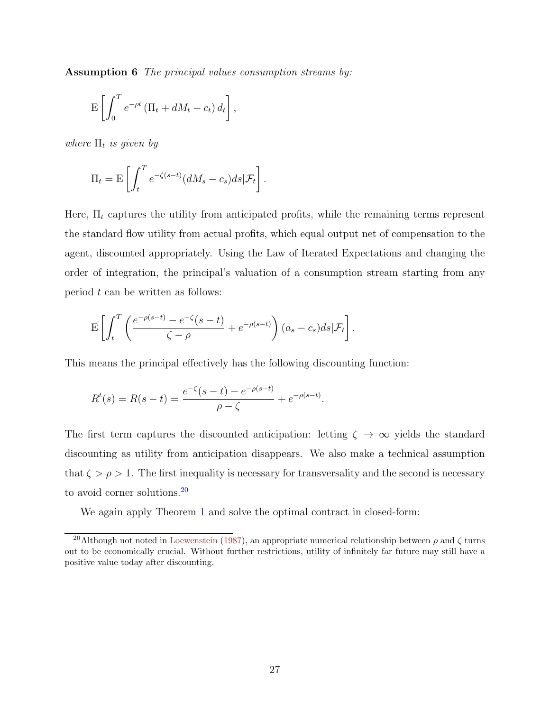Assumption 6 The principal values consumption streams by:

$$
\mathbf{E}\left[\int_0^T e^{-\rho t} \left(\Pi_t + dM_t - c_t\right) d_t\right],
$$

where  $\Pi_t$  is given by

$$
\Pi_t = \mathbf{E} \left[ \int_t^T e^{-\zeta(s-t)} (dM_s - c_s) ds | \mathcal{F}_t \right].
$$

Here,  $\Pi_t$  captures the utility from anticipated profits, while the remaining terms represent the standard flow utility from actual profits, which equal output net of compensation to the agent, discounted appropriately. Using the Law of Iterated Expectations and changing the order of integration, the principal's valuation of a consumption stream starting from any period  $t$  can be written as follows:

$$
\mathbf{E}\left[\int_t^T \left(\frac{e^{-\rho(s-t)}-e^{-\zeta(s-t)}}{\zeta-\rho}+e^{-\rho(s-t)}\right)(a_s-c_s)ds|\mathcal{F}_t\right].
$$

This means the principal effectively has the following discounting function:

$$
R^{t}(s) = R(s-t) = \frac{e^{-\zeta}(s-t) - e^{-\rho(s-t)}}{\rho - \zeta} + e^{-\rho(s-t)}.
$$

The first term captures the discounted anticipation: letting  $\zeta \to \infty$  yields the standard discounting as utility from anticipation disappears. We also make a technical assumption that  $\zeta > \rho > 1$ . The first inequality is necessary for transversality and the second is necessary to avoid corner solutions.[20](#page-26-0)

We again apply Theorem [1](#page-17-0) and solve the optimal contract in closed-form:

<span id="page-26-0"></span><sup>&</sup>lt;sup>20</sup>Although not noted in [Loewenstein](#page-52-1) [\(1987\)](#page-52-1), an appropriate numerical relationship between  $\rho$  and  $\zeta$  turns out to be economically crucial. Without further restrictions, utility of infinitely far future may still have a positive value today after discounting.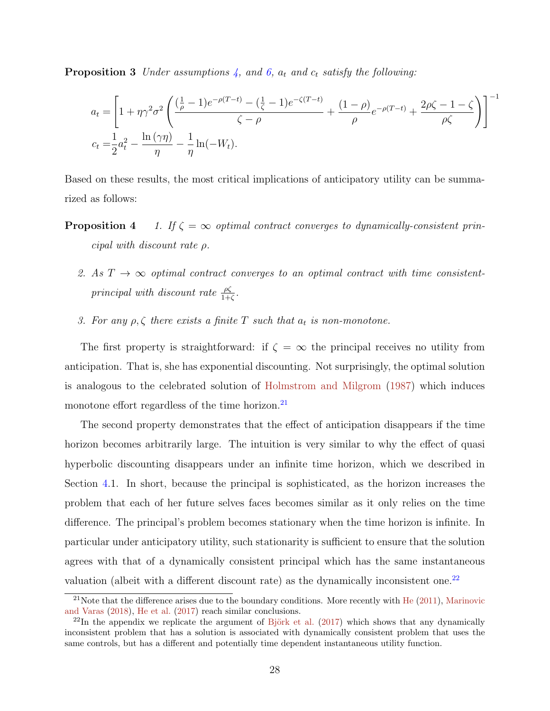**Proposition 3** Under assumptions [4,](#page-21-1) and [6,](#page-25-1)  $a_t$  and  $c_t$  satisfy the following:

$$
a_{t} = \left[1 + \eta \gamma^{2} \sigma^{2} \left(\frac{(\frac{1}{\rho} - 1)e^{-\rho(T-t)} - (\frac{1}{\zeta} - 1)e^{-\zeta(T-t)}}{\zeta - \rho} + \frac{(1 - \rho)}{\rho} e^{-\rho(T-t)} + \frac{2\rho \zeta - 1 - \zeta}{\rho \zeta}\right)\right]^{-1}
$$
  

$$
c_{t} = \frac{1}{2}a_{t}^{2} - \frac{\ln(\gamma \eta)}{\eta} - \frac{1}{\eta}\ln(-W_{t}).
$$

<span id="page-27-2"></span>Based on these results, the most critical implications of anticipatory utility can be summarized as follows:

- **Proposition 4** 1. If  $\zeta = \infty$  optimal contract converges to dynamically-consistent principal with discount rate ρ.
	- 2. As  $T \rightarrow \infty$  optimal contract converges to an optimal contract with time consistentprincipal with discount rate  $\frac{\rho \zeta}{1+\zeta}$ .
	- 3. For any  $\rho, \zeta$  there exists a finite T such that  $a_t$  is non-monotone.

The first property is straightforward: if  $\zeta = \infty$  the principal receives no utility from anticipation. That is, she has exponential discounting. Not surprisingly, the optimal solution is analogous to the celebrated solution of [Holmstrom and Milgrom](#page-51-15) [\(1987\)](#page-51-15) which induces monotone effort regardless of the time horizon.<sup>[21](#page-27-0)</sup>

The second property demonstrates that the effect of anticipation disappears if the time horizon becomes arbitrarily large. The intuition is very similar to why the effect of quasi hyperbolic discounting disappears under an infinite time horizon, which we described in Section [4.](#page-20-0)1. In short, because the principal is sophisticated, as the horizon increases the problem that each of her future selves faces becomes similar as it only relies on the time difference. The principal's problem becomes stationary when the time horizon is infinite. In particular under anticipatory utility, such stationarity is sufficient to ensure that the solution agrees with that of a dynamically consistent principal which has the same instantaneous valuation (albeit with a different discount rate) as the dynamically inconsistent one.<sup>[22](#page-27-1)</sup>

<span id="page-27-0"></span> $21$ Note that the difference arises due to the boundary conditions. More recently with [He](#page-51-10) [\(2011\)](#page-51-10), [Marinovic](#page-52-12) [and Varas](#page-52-12) [\(2018\)](#page-52-12), [He et al.](#page-51-16) [\(2017\)](#page-51-16) reach similar conclusions.

<span id="page-27-1"></span> $^{22}$ In the appendix we replicate the argument of Björk et al. [\(2017\)](#page-49-2) which shows that any dynamically inconsistent problem that has a solution is associated with dynamically consistent problem that uses the same controls, but has a different and potentially time dependent instantaneous utility function.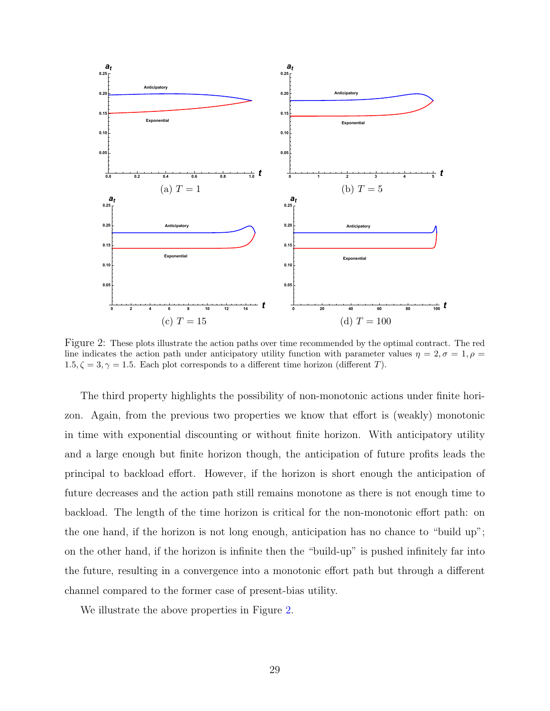<span id="page-28-0"></span>

Figure 2: These plots illustrate the action paths over time recommended by the optimal contract. The red line indicates the action path under anticipatory utility function with parameter values  $\eta = 2, \sigma = 1, \rho =$  $1.5, \zeta = 3, \gamma = 1.5$ . Each plot corresponds to a different time horizon (different T).

The third property highlights the possibility of non-monotonic actions under finite horizon. Again, from the previous two properties we know that effort is (weakly) monotonic in time with exponential discounting or without finite horizon. With anticipatory utility and a large enough but finite horizon though, the anticipation of future profits leads the principal to backload effort. However, if the horizon is short enough the anticipation of future decreases and the action path still remains monotone as there is not enough time to backload. The length of the time horizon is critical for the non-monotonic effort path: on the one hand, if the horizon is not long enough, anticipation has no chance to "build up"; on the other hand, if the horizon is infinite then the "build-up" is pushed infinitely far into the future, resulting in a convergence into a monotonic effort path but through a different channel compared to the former case of present-bias utility.

We illustrate the above properties in Figure [2.](#page-28-0)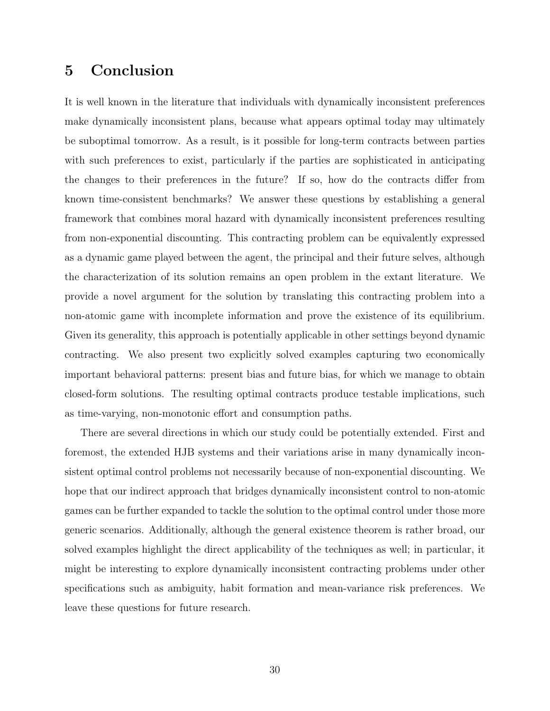# <span id="page-29-0"></span>5 Conclusion

It is well known in the literature that individuals with dynamically inconsistent preferences make dynamically inconsistent plans, because what appears optimal today may ultimately be suboptimal tomorrow. As a result, is it possible for long-term contracts between parties with such preferences to exist, particularly if the parties are sophisticated in anticipating the changes to their preferences in the future? If so, how do the contracts differ from known time-consistent benchmarks? We answer these questions by establishing a general framework that combines moral hazard with dynamically inconsistent preferences resulting from non-exponential discounting. This contracting problem can be equivalently expressed as a dynamic game played between the agent, the principal and their future selves, although the characterization of its solution remains an open problem in the extant literature. We provide a novel argument for the solution by translating this contracting problem into a non-atomic game with incomplete information and prove the existence of its equilibrium. Given its generality, this approach is potentially applicable in other settings beyond dynamic contracting. We also present two explicitly solved examples capturing two economically important behavioral patterns: present bias and future bias, for which we manage to obtain closed-form solutions. The resulting optimal contracts produce testable implications, such as time-varying, non-monotonic effort and consumption paths.

There are several directions in which our study could be potentially extended. First and foremost, the extended HJB systems and their variations arise in many dynamically inconsistent optimal control problems not necessarily because of non-exponential discounting. We hope that our indirect approach that bridges dynamically inconsistent control to non-atomic games can be further expanded to tackle the solution to the optimal control under those more generic scenarios. Additionally, although the general existence theorem is rather broad, our solved examples highlight the direct applicability of the techniques as well; in particular, it might be interesting to explore dynamically inconsistent contracting problems under other specifications such as ambiguity, habit formation and mean-variance risk preferences. We leave these questions for future research.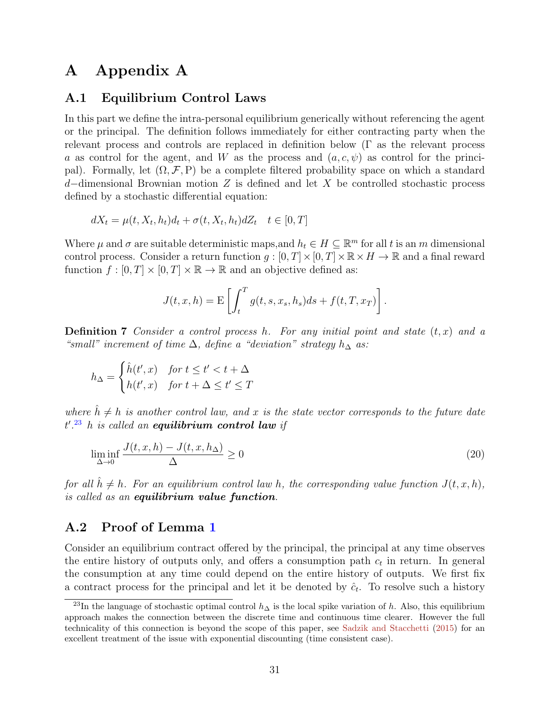# A Appendix A

## A.1 Equilibrium Control Laws

In this part we define the intra-personal equilibrium generically without referencing the agent or the principal. The definition follows immediately for either contracting party when the relevant process and controls are replaced in definition below (Γ as the relevant process a as control for the agent, and W as the process and  $(a, c, \psi)$  as control for the principal). Formally, let  $(\Omega, \mathcal{F}, P)$  be a complete filtered probability space on which a standard d–dimensional Brownian motion Z is defined and let X be controlled stochastic process defined by a stochastic differential equation:

$$
dX_t = \mu(t, X_t, h_t)d_t + \sigma(t, X_t, h_t)dZ_t \quad t \in [0, T]
$$

Where  $\mu$  and  $\sigma$  are suitable deterministic maps, and  $h_t \in H \subseteq \mathbb{R}^m$  for all t is an m dimensional control process. Consider a return function  $q:[0,T]\times[0,T]\times\mathbb{R}\times H\to\mathbb{R}$  and a final reward function  $f : [0, T] \times [0, T] \times \mathbb{R} \to \mathbb{R}$  and an objective defined as:

$$
J(t, x, h) = \mathbf{E}\left[\int_t^T g(t, s, x_s, h_s)ds + f(t, T, x_T)\right].
$$

**Definition 7** Consider a control process h. For any initial point and state  $(t, x)$  and a "small" increment of time  $\Delta$ , define a "deviation" strategy  $h_{\Delta}$  as:

$$
h_{\Delta} = \begin{cases} \hat{h}(t', x) & \text{for } t \le t' < t + \Delta \\ h(t', x) & \text{for } t + \Delta \le t' \le T \end{cases}
$$

where  $\hat{h} \neq h$  is another control law, and x is the state vector corresponds to the future date  $t'.^{23}$  $t'.^{23}$  $t'.^{23}$  h is called an **equilibrium control law** if

$$
\liminf_{\Delta \to 0} \frac{J(t, x, h) - J(t, x, h_{\Delta})}{\Delta} \ge 0
$$
\n(20)

for all  $\hat{h} \neq h$ . For an equilibrium control law h, the corresponding value function  $J(t, x, h)$ , is called as an equilibrium value function.

## A.2 Proof of Lemma [1](#page-15-3)

Consider an equilibrium contract offered by the principal, the principal at any time observes the entire history of outputs only, and offers a consumption path  $c_t$  in return. In general the consumption at any time could depend on the entire history of outputs. We first fix a contract process for the principal and let it be denoted by  $\hat{c}_t$ . To resolve such a history

<span id="page-30-0"></span><sup>&</sup>lt;sup>23</sup>In the language of stochastic optimal control  $h_{\Delta}$  is the local spike variation of h. Also, this equilibrium approach makes the connection between the discrete time and continuous time clearer. However the full technicality of this connection is beyond the scope of this paper, see [Sadzik and Stacchetti](#page-53-14) [\(2015\)](#page-53-14) for an excellent treatment of the issue with exponential discounting (time consistent case).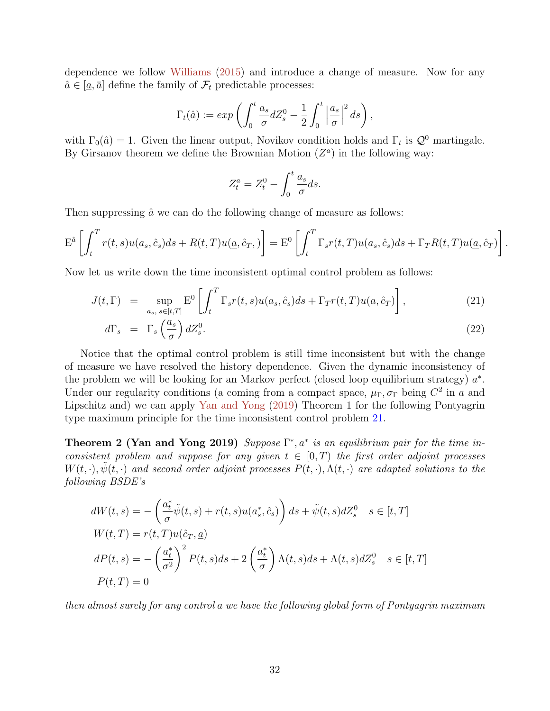dependence we follow [Williams](#page-54-4) [\(2015\)](#page-54-4) and introduce a change of measure. Now for any  $\hat{a} \in [\underline{a}, \overline{a}]$  define the family of  $\mathcal{F}_t$  predictable processes:

$$
\Gamma_t(\hat{a}) := exp\left(\int_0^t \frac{a_s}{\sigma} dZ_s^0 - \frac{1}{2} \int_0^t \left|\frac{a_s}{\sigma}\right|^2 ds\right),\,
$$

with  $\Gamma_0(\hat{a}) = 1$ . Given the linear output, Novikov condition holds and  $\Gamma_t$  is  $\mathcal{Q}^0$  martingale. By Girsanov theorem we define the Brownian Motion  $(Z^a)$  in the following way:

$$
Z_t^a = Z_t^0 - \int_0^t \frac{a_s}{\sigma} ds.
$$

Then suppressing  $\hat{a}$  we can do the following change of measure as follows:

$$
\mathbf{E}^{\hat{a}}\left[\int_{t}^{T} r(t,s)u(a_s,\hat{c}_s)ds + R(t,T)u(\underline{a},\hat{c}_T,\cdot)\right] = \mathbf{E}^{0}\left[\int_{t}^{T}\Gamma_{s}r(t,T)u(a_s,\hat{c}_s)ds + \Gamma_{T}R(t,T)u(\underline{a},\hat{c}_T)\right].
$$

Now let us write down the time inconsistent optimal control problem as follows:

<span id="page-31-0"></span>
$$
J(t,\Gamma) = \sup_{a_s, s \in [t,T]} \mathcal{E}^0 \left[ \int_t^T \Gamma_s r(t,s) u(a_s, \hat{c}_s) ds + \Gamma_T r(t,T) u(\underline{a}, \hat{c}_T) \right], \tag{21}
$$

$$
d\Gamma_s = \Gamma_s \left(\frac{a_s}{\sigma}\right) dZ_s^0. \tag{22}
$$

Notice that the optimal control problem is still time inconsistent but with the change of measure we have resolved the history dependence. Given the dynamic inconsistency of the problem we will be looking for an Markov perfect (closed loop equilibrium strategy)  $a^*$ . Under our regularity conditions (a coming from a compact space,  $\mu_{\Gamma}$ ,  $\sigma_{\Gamma}$  being  $C^2$  in a and Lipschitz and) we can apply [Yan and Yong](#page-54-6) [\(2019\)](#page-54-6) Theorem 1 for the following Pontyagrin type maximum principle for the time inconsistent control problem [21.](#page-31-0)

**Theorem 2 (Yan and Yong 2019)** Suppose  $\Gamma^*, a^*$  is an equilibrium pair for the time inconsistent problem and suppose for any given  $t \in [0,T)$  the first order adjoint processes  $W(t, \cdot), \psi(t, \cdot)$  and second order adjoint processes  $P(t, \cdot), \Lambda(t, \cdot)$  are adapted solutions to the following BSDE's

$$
dW(t,s) = -\left(\frac{a_t^*}{\sigma}\tilde{\psi}(t,s) + r(t,s)u(a_s^*, \hat{c}_s)\right)ds + \tilde{\psi}(t,s)dZ_s^0 \quad s \in [t,T]
$$
  
\n
$$
W(t,T) = r(t,T)u(\hat{c}_T, \underline{a})
$$
  
\n
$$
dP(t,s) = -\left(\frac{a_t^*}{\sigma^2}\right)^2 P(t,s)ds + 2\left(\frac{a_t^*}{\sigma}\right)\Lambda(t,s)ds + \Lambda(t,s)dZ_s^0 \quad s \in [t,T]
$$
  
\n
$$
P(t,T) = 0
$$

then almost surely for any control a we have the following global form of Pontyagrin maximum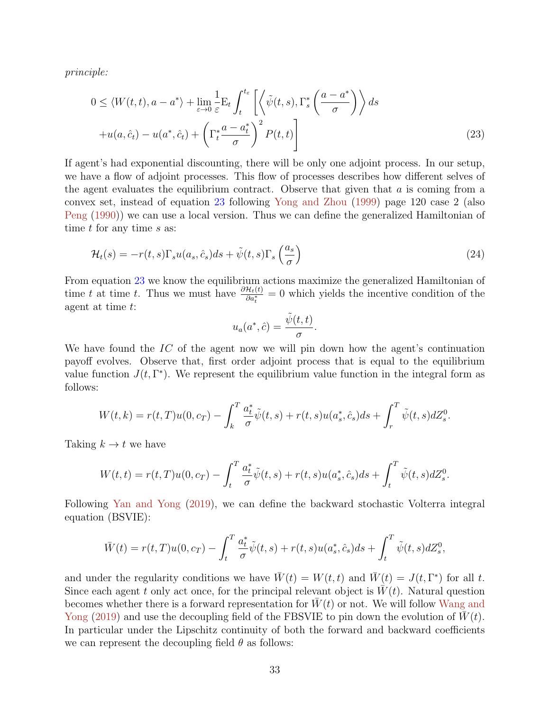principle:

$$
0 \leq \langle W(t,t), a - a^* \rangle + \lim_{\varepsilon \to 0} \frac{1}{\varepsilon} \mathcal{E}_t \int_t^{t_{\varepsilon}} \left[ \left\langle \tilde{\psi}(t,s), \Gamma_s^* \left( \frac{a - a^*}{\sigma} \right) \right\rangle ds \right. + u(a, \hat{c}_t) - u(a^*, \hat{c}_t) + \left( \Gamma_t^* \frac{a - a^*}{\sigma} \right)^2 P(t,t) \right]
$$
(23)

If agent's had exponential discounting, there will be only one adjoint process. In our setup, we have a flow of adjoint processes. This flow of processes describes how different selves of the agent evaluates the equilibrium contract. Observe that given that  $a$  is coming from a convex set, instead of equation [23](#page-32-0) following [Yong and Zhou](#page-54-9) [\(1999\)](#page-54-9) page 120 case 2 (also [Peng](#page-53-15) [\(1990\)](#page-53-15)) we can use a local version. Thus we can define the generalized Hamiltonian of time  $t$  for any time  $s$  as:

$$
\mathcal{H}_t(s) = -r(t,s)\Gamma_s u(a_s,\hat{c}_s)ds + \tilde{\psi}(t,s)\Gamma_s\left(\frac{a_s}{\sigma}\right)
$$
\n(24)

From equation [23](#page-32-0) we know the equilibrium actions maximize the generalized Hamiltonian of time t at time t. Thus we must have  $\frac{\partial \mathcal{H}_t(t)}{\partial a_t^*} = 0$  which yields the incentive condition of the agent at time t:

<span id="page-32-0"></span>
$$
u_a(a^*, \hat{c}) = \frac{\tilde{\psi}(t, t)}{\sigma}.
$$

We have found the  $IC$  of the agent now we will pin down how the agent's continuation payoff evolves. Observe that, first order adjoint process that is equal to the equilibrium value function  $J(t, \Gamma^*)$ . We represent the equilibrium value function in the integral form as follows:

$$
W(t,k) = r(t,T)u(0,c_T) - \int_k^T \frac{a_t^*}{\sigma} \tilde{\psi}(t,s) + r(t,s)u(a_s^*,\hat{c}_s)ds + \int_r^T \tilde{\psi}(t,s)dZ_s^0.
$$

Taking  $k \to t$  we have

$$
W(t,t) = r(t,T)u(0,c_T) - \int_t^T \frac{a_t^*}{\sigma} \tilde{\psi}(t,s) + r(t,s)u(a_s^*,\hat{c}_s)ds + \int_t^T \tilde{\psi}(t,s)dZ_s^0.
$$

Following [Yan and Yong](#page-54-6) [\(2019\)](#page-54-6), we can define the backward stochastic Volterra integral equation (BSVIE):

$$
\bar{W}(t) = r(t,T)u(0,c_T) - \int_t^T \frac{a_t^*}{\sigma} \tilde{\psi}(t,s) + r(t,s)u(a_s^*,\hat{c}_s)ds + \int_t^T \tilde{\psi}(t,s)dZ_s^0,
$$

and under the regularity conditions we have  $\overline{W}(t) = W(t, t)$  and  $\overline{W}(t) = J(t, \Gamma^*)$  for all t. Since each agent t only act once, for the principal relevant object is  $W(t)$ . Natural question becomes whether there is a forward representation for  $W(t)$  or not. We will follow [Wang and](#page-54-5) [Yong](#page-54-5) [\(2019\)](#page-54-5) and use the decoupling field of the FBSVIE to pin down the evolution of  $W(t)$ . In particular under the Lipschitz continuity of both the forward and backward coefficients we can represent the decoupling field  $\theta$  as follows: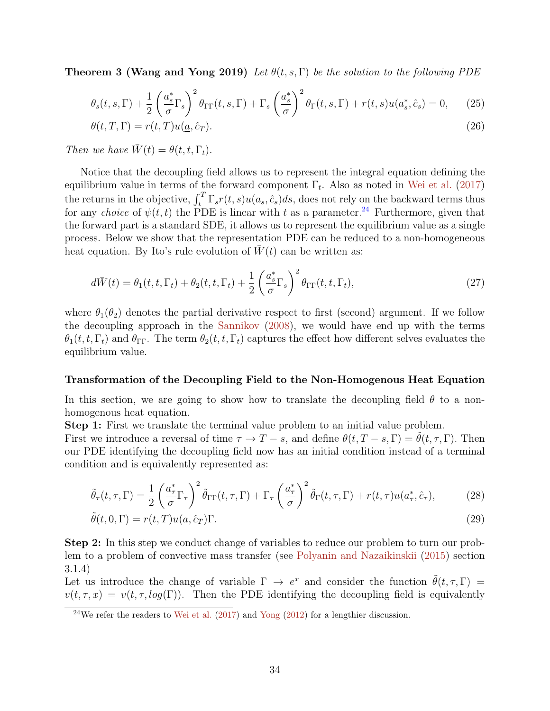**Theorem 3 (Wang and Yong 2019)** Let  $\theta(t, s, \Gamma)$  be the solution to the following PDE

$$
\theta_s(t,s,\Gamma) + \frac{1}{2} \left(\frac{a_s^*}{\sigma} \Gamma_s\right)^2 \theta_{\Gamma \Gamma}(t,s,\Gamma) + \Gamma_s \left(\frac{a_s^*}{\sigma}\right)^2 \theta_{\Gamma}(t,s,\Gamma) + r(t,s) u(a_s^*,\hat{c}_s) = 0, \tag{25}
$$

$$
\theta(t,T,\Gamma) = r(t,T)u(\underline{a},\hat{c}_T). \tag{26}
$$

Then we have  $\overline{W}(t) = \theta(t, t, \Gamma_t)$ .

Notice that the decoupling field allows us to represent the integral equation defining the equilibrium value in terms of the forward component  $\Gamma_t$ . Also as noted in [Wei et al.](#page-54-3) [\(2017\)](#page-54-3) the returns in the objective,  $\int_t^T \Gamma_s r(t,s) u(a_s, \hat{c}_s) ds$ , does not rely on the backward terms thus for any *choice* of  $\psi(t, t)$  the PDE is linear with t as a parameter.<sup>[24](#page-33-0)</sup> Furthermore, given that the forward part is a standard SDE, it allows us to represent the equilibrium value as a single process. Below we show that the representation PDE can be reduced to a non-homogeneous heat equation. By Ito's rule evolution of  $\bar{W}(t)$  can be written as:

$$
d\bar{W}(t) = \theta_1(t, t, \Gamma_t) + \theta_2(t, t, \Gamma_t) + \frac{1}{2} \left(\frac{a_s^*}{\sigma} \Gamma_s\right)^2 \theta_{\Gamma \Gamma}(t, t, \Gamma_t),\tag{27}
$$

where  $\theta_1(\theta_2)$  denotes the partial derivative respect to first (second) argument. If we follow the decoupling approach in the [Sannikov](#page-53-7) [\(2008\)](#page-53-7), we would have end up with the terms  $\theta_1(t, t, \Gamma_t)$  and  $\theta_{\Gamma\Gamma}$ . The term  $\theta_2(t, t, \Gamma_t)$  captures the effect how different selves evaluates the equilibrium value.

#### Transformation of the Decoupling Field to the Non-Homogenous Heat Equation

In this section, we are going to show how to translate the decoupling field  $\theta$  to a nonhomogenous heat equation.

Step 1: First we translate the terminal value problem to an initial value problem.

First we introduce a reversal of time  $\tau \to T - s$ , and define  $\theta(t, T - s, \Gamma) = \tilde{\theta}(t, \tau, \Gamma)$ . Then our PDE identifying the decoupling field now has an initial condition instead of a terminal condition and is equivalently represented as:

$$
\tilde{\theta}_{\tau}(t,\tau,\Gamma) = \frac{1}{2} \left( \frac{a_{\tau}^{*}}{\sigma} \Gamma_{\tau} \right)^{2} \tilde{\theta}_{\Gamma\Gamma}(t,\tau,\Gamma) + \Gamma_{\tau} \left( \frac{a_{\tau}^{*}}{\sigma} \right)^{2} \tilde{\theta}_{\Gamma}(t,\tau,\Gamma) + r(t,\tau) u(a_{\tau}^{*},\hat{c}_{\tau}), \tag{28}
$$

$$
\tilde{\theta}(t,0,\Gamma) = r(t,T)u(\underline{a},\hat{c}_T)\Gamma.
$$
\n(29)

Step 2: In this step we conduct change of variables to reduce our problem to turn our problem to a problem of convective mass transfer (see [Polyanin and Nazaikinskii](#page-53-16) [\(2015\)](#page-53-16) section 3.1.4)

Let us introduce the change of variable  $\Gamma \to e^x$  and consider the function  $\tilde{\theta}(t, \tau, \Gamma)$  =  $v(t, \tau, x) = v(t, \tau, \log(\Gamma))$ . Then the PDE identifying the decoupling field is equivalently

<span id="page-33-0"></span><sup>&</sup>lt;sup>24</sup>We refer the readers to [Wei et al.](#page-54-3)  $(2017)$  and [Yong](#page-54-1)  $(2012)$  for a lengthier discussion.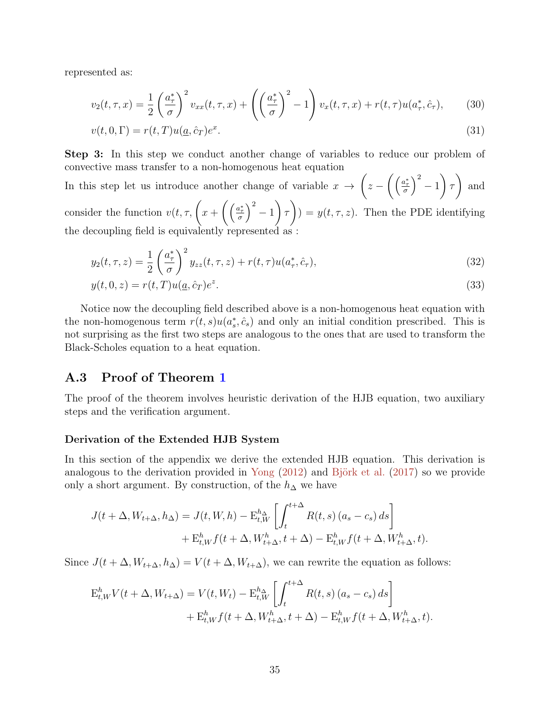represented as:

$$
v_2(t,\tau,x) = \frac{1}{2} \left(\frac{a_{\tau}^*}{\sigma}\right)^2 v_{xx}(t,\tau,x) + \left(\left(\frac{a_{\tau}^*}{\sigma}\right)^2 - 1\right) v_x(t,\tau,x) + r(t,\tau)u(a_{\tau}^*,\hat{c}_{\tau}),\tag{30}
$$

$$
v(t,0,\Gamma) = r(t,T)u(\underline{a},\hat{c}_T)e^x.
$$
\n(31)

Step 3: In this step we conduct another change of variables to reduce our problem of convective mass transfer to a non-homogenous heat equation

In this step let us introduce another change of variable  $x \rightarrow$  $\sqrt{ }$  $z-\left(\left(\frac{a_{\tau}^{*}}{\sigma}\right)^{2}-1\right)$  $\setminus$ τ  $\setminus$ and consider the function  $v(t, \tau, \left(x + \left(\left(\frac{a_{\tau}^{*}}{\sigma}\right)^{2} - 1\right)\right)$  $\setminus$ τ  $\setminus$  $) = y(t, \tau, z)$ . Then the PDE identifying

the decoupling field is equivalently represented as :

$$
y_2(t,\tau,z) = \frac{1}{2} \left(\frac{a_{\tau}^*}{\sigma}\right)^2 y_{zz}(t,\tau,z) + r(t,\tau)u(a_{\tau}^*,\hat{c}_{\tau}),
$$
\n(32)

$$
y(t,0,z) = r(t,T)u(\underline{a},\hat{c}_T)e^z.
$$
\n
$$
(33)
$$

Notice now the decoupling field described above is a non-homogenous heat equation with the non-homogenous term  $r(t, s)u(a_s^*, \hat{c}_s)$  and only an initial condition prescribed. This is not surprising as the first two steps are analogous to the ones that are used to transform the Black-Scholes equation to a heat equation.

## A.3 Proof of Theorem [1](#page-17-0)

The proof of the theorem involves heuristic derivation of the HJB equation, two auxiliary steps and the verification argument.

#### Derivation of the Extended HJB System

In this section of the appendix we derive the extended HJB equation. This derivation is analogous to the derivation provided in [Yong](#page-54-1)  $(2012)$  and Björk et al.  $(2017)$  so we provide only a short argument. By construction, of the  $h_{\Delta}$  we have

$$
J(t+\Delta, W_{t+\Delta}, h_{\Delta}) = J(t, W, h) - \mathcal{E}_{t, W}^{h_{\Delta}} \left[ \int_{t}^{t+\Delta} R(t, s) (a_s - c_s) ds \right] + \mathcal{E}_{t, W}^{h} f(t + \Delta, W_{t+\Delta}^{h}, t + \Delta) - \mathcal{E}_{t, W}^{h} f(t + \Delta, W_{t+\Delta}^{h}, t).
$$

Since  $J(t + \Delta, W_{t+\Delta}, h_{\Delta}) = V(t + \Delta, W_{t+\Delta})$ , we can rewrite the equation as follows:

$$
E_{t,W}^h V(t + \Delta, W_{t+\Delta}) = V(t, W_t) - E_{t,W}^{h_{\Delta}} \left[ \int_t^{t+\Delta} R(t, s) (a_s - c_s) ds \right]
$$
  
+ 
$$
E_{t,W}^h f(t + \Delta, W_{t+\Delta}^h, t + \Delta) - E_{t,W}^h f(t + \Delta, W_{t+\Delta}^h, t).
$$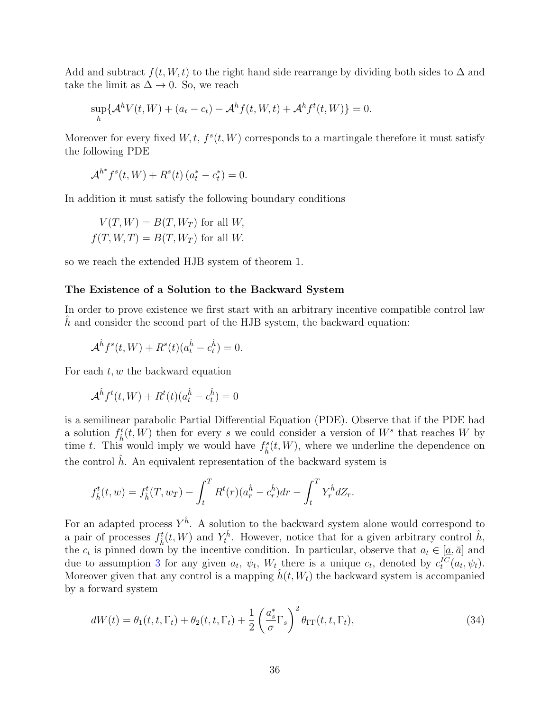Add and subtract  $f(t, W, t)$  to the right hand side rearrange by dividing both sides to  $\Delta$  and take the limit as  $\Delta \rightarrow 0$ . So, we reach

$$
\sup_{h} \{ \mathcal{A}^h V(t, W) + (a_t - c_t) - \mathcal{A}^h f(t, W, t) + \mathcal{A}^h f^t(t, W) \} = 0.
$$

Moreover for every fixed  $W, t, f^s(t, W)$  corresponds to a martingale therefore it must satisfy the following PDE

$$
\mathcal{A}^{h^*} f^s(t, W) + R^s(t) (a_t^* - c_t^*) = 0.
$$

In addition it must satisfy the following boundary conditions

$$
V(T, W) = B(T, W_T)
$$
 for all W,  

$$
f(T, W, T) = B(T, W_T)
$$
 for all W.

so we reach the extended HJB system of theorem 1.

#### The Existence of a Solution to the Backward System

In order to prove existence we first start with an arbitrary incentive compatible control law h and consider the second part of the HJB system, the backward equation:

$$
\mathcal{A}^{\hat{h}}f^s(t,W) + R^s(t)(a_t^{\hat{h}} - c_t^{\hat{h}}) = 0.
$$

For each  $t, w$  the backward equation

$$
\mathcal{A}^{\hat{h}}f^{t}(t,W) + R^{t}(t)(a_{t}^{\hat{h}} - c_{t}^{\hat{h}}) = 0
$$

is a semilinear parabolic Partial Differential Equation (PDE). Observe that if the PDE had a solution  $f_{\hat{h}}^t(t, W)$  then for every s we could consider a version of  $W^s$  that reaches W by time t. This would imply we would have  $f_{\hat{h}}^{s}(t, W)$ , where we underline the dependence on the control  $h$ . An equivalent representation of the backward system is

$$
f_{\hat{h}}^{t}(t, w) = f_{\hat{h}}^{t}(T, w_{T}) - \int_{t}^{T} R^{t}(r)(a_{r}^{\hat{h}} - c_{r}^{\hat{h}})dr - \int_{t}^{T} Y_{r}^{\hat{h}} dZ_{r}.
$$

For an adapted process  $Y^{\hat{h}}$ . A solution to the backward system alone would correspond to a pair of processes  $f_{\hat{h}}^t(t, W)$  and  $Y_t^{\hat{h}}$ . However, notice that for a given arbitrary control  $\hat{h}$ , the  $c_t$  is pinned down by the incentive condition. In particular, observe that  $a_t \in [\underline{a}, \overline{a}]$  and due to assumption [3](#page-10-1) for any given  $a_t$ ,  $\psi_t$ ,  $W_t$  there is a unique  $c_t$ , denoted by  $c_t^{IC}(a_t, \psi_t)$ . Moreover given that any control is a mapping  $h(t, W_t)$  the backward system is accompanied by a forward system

$$
dW(t) = \theta_1(t, t, \Gamma_t) + \theta_2(t, t, \Gamma_t) + \frac{1}{2} \left(\frac{a_s^*}{\sigma} \Gamma_s\right)^2 \theta_{\Gamma \Gamma}(t, t, \Gamma_t),\tag{34}
$$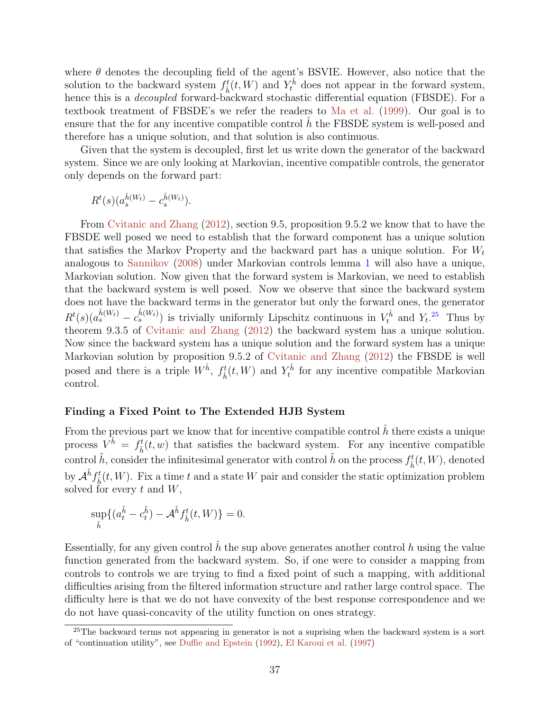where  $\theta$  denotes the decoupling field of the agent's BSVIE. However, also notice that the solution to the backward system  $f_{\hat{h}}^t(t, W)$  and  $Y_t^{\hat{h}}$  does not appear in the forward system, hence this is a *decoupled* forward-backward stochastic differential equation (FBSDE). For a textbook treatment of FBSDE's we refer the readers to [Ma et al.](#page-52-15) [\(1999\)](#page-52-15). Our goal is to ensure that the for any incentive compatible control h the FBSDE system is well-posed and therefore has a unique solution, and that solution is also continuous.

Given that the system is decoupled, first let us write down the generator of the backward system. Since we are only looking at Markovian, incentive compatible controls, the generator only depends on the forward part:

$$
R^t(s)(a_s^{\hat{h}(W_t)}-c_s^{\hat{h}(W_t)}).
$$

From [Cvitanic and Zhang](#page-50-12) [\(2012\)](#page-50-12), section 9.5, proposition 9.5.2 we know that to have the FBSDE well posed we need to establish that the forward component has a unique solution that satisfies the Markov Property and the backward part has a unique solution. For  $W_t$ analogous to [Sannikov](#page-53-7) [\(2008\)](#page-53-7) under Markovian controls lemma [1](#page-15-3) will also have a unique, Markovian solution. Now given that the forward system is Markovian, we need to establish that the backward system is well posed. Now we observe that since the backward system does not have the backward terms in the generator but only the forward ones, the generator  $R^t(s)(a_s^{\hat{h}(W_t)}-c_s^{\hat{h}(W_t)})$  is trivially uniformly Lipschitz continuous in  $V_t^{\hat{h}}$  and  $Y_t$ .<sup>[25](#page-36-0)</sup> Thus by theorem 9.3.5 of [Cvitanic and Zhang](#page-50-12) [\(2012\)](#page-50-12) the backward system has a unique solution. Now since the backward system has a unique solution and the forward system has a unique Markovian solution by proposition 9.5.2 of [Cvitanic and Zhang](#page-50-12) [\(2012\)](#page-50-12) the FBSDE is well posed and there is a triple  $W^{\hat{h}}$ ,  $f_{\hat{h}}^t(t, W)$  and  $Y_t^{\hat{h}}$  for any incentive compatible Markovian control.

#### Finding a Fixed Point to The Extended HJB System

From the previous part we know that for incentive compatible control  $\hat{h}$  there exists a unique process  $V^{\hat{h}} = f_{\hat{h}}^{t}(t, w)$  that satisfies the backward system. For any incentive compatible control  $\tilde{h}$ , consider the infinitesimal generator with control  $\tilde{h}$  on the process  $f_{\hat{h}}^t(t, W)$ , denoted by  $\mathcal{A}^{\tilde{h}} f_{\hat{h}}^{t}(t, W)$ . Fix a time t and a state W pair and consider the static optimization problem solved for every  $t$  and  $W$ ,

$$
\sup_{\tilde{h}} \{ (a_t^{\tilde{h}} - c_t^{\tilde{h}}) - \mathcal{A}^{\tilde{h}} f_{\hat{h}}^t(t, W) \} = 0.
$$

Essentially, for any given control  $\hat{h}$  the sup above generates another control  $h$  using the value function generated from the backward system. So, if one were to consider a mapping from controls to controls we are trying to find a fixed point of such a mapping, with additional difficulties arising from the filtered information structure and rather large control space. The difficulty here is that we do not have convexity of the best response correspondence and we do not have quasi-concavity of the utility function on ones strategy.

<span id="page-36-0"></span> $^{25}$ The backward terms not appearing in generator is not a suprising when the backward system is a sort of "continuation utility", see [Duffie and Epstein](#page-50-14) [\(1992\)](#page-50-14), [El Karoui et al.](#page-50-15) [\(1997\)](#page-50-15)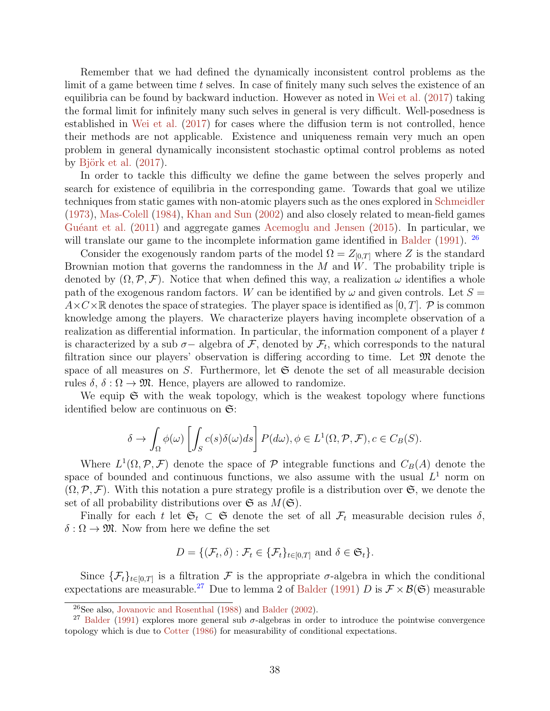Remember that we had defined the dynamically inconsistent control problems as the limit of a game between time t selves. In case of finitely many such selves the existence of an equilibria can be found by backward induction. However as noted in [Wei et al.](#page-54-3) [\(2017\)](#page-54-3) taking the formal limit for infinitely many such selves in general is very difficult. Well-posedness is established in [Wei et al.](#page-54-3) [\(2017\)](#page-54-3) for cases where the diffusion term is not controlled, hence their methods are not applicable. Existence and uniqueness remain very much an open problem in general dynamically inconsistent stochastic optimal control problems as noted by Björk et al.  $(2017)$ .

In order to tackle this difficulty we define the game between the selves properly and search for existence of equilibria in the corresponding game. Towards that goal we utilize techniques from static games with non-atomic players such as the ones explored in [Schmeidler](#page-53-8) [\(1973\)](#page-53-8), [Mas-Colell](#page-52-6) [\(1984\)](#page-52-6), [Khan and Sun](#page-52-11) [\(2002\)](#page-52-11) and also closely related to mean-field games Guéant et al. [\(2011\)](#page-51-17) and aggregate games [Acemoglu and Jensen](#page-49-14) [\(2015\)](#page-49-14). In particular, we will translate our game to the incomplete information game identified in [Balder](#page-49-4) [\(1991\)](#page-49-4). <sup>[26](#page-37-0)</sup>

Consider the exogenously random parts of the model  $\Omega = Z_{[0,T]}$  where Z is the standard Brownian motion that governs the randomness in the  $M$  and  $W$ . The probability triple is denoted by  $(\Omega, \mathcal{P}, \mathcal{F})$ . Notice that when defined this way, a realization  $\omega$  identifies a whole path of the exogenous random factors. W can be identified by  $\omega$  and given controls. Let  $S =$  $A \times C \times \mathbb{R}$  denotes the space of strategies. The player space is identified as [0, T]. P is common knowledge among the players. We characterize players having incomplete observation of a realization as differential information. In particular, the information component of a player t is characterized by a sub  $\sigma-$  algebra of  $\mathcal{F}$ , denoted by  $\mathcal{F}_t$ , which corresponds to the natural filtration since our players' observation is differing according to time. Let  $\mathfrak{M}$  denote the space of all measures on  $S$ . Furthermore, let  $\mathfrak S$  denote the set of all measurable decision rules  $\delta$ ,  $\delta$  :  $\Omega \to \mathfrak{M}$ . Hence, players are allowed to randomize.

We equip  $\mathfrak S$  with the weak topology, which is the weakest topology where functions identified below are continuous on  $\mathfrak{S}$ :

$$
\delta \to \int_{\Omega} \phi(\omega) \left[ \int_{S} c(s) \delta(\omega) ds \right] P(d\omega), \phi \in L^{1}(\Omega, \mathcal{P}, \mathcal{F}), c \in C_{B}(S).
$$

Where  $L^1(\Omega, \mathcal{P}, \mathcal{F})$  denote the space of  $\mathcal P$  integrable functions and  $C_B(A)$  denote the space of bounded and continuous functions, we also assume with the usual  $L^1$  norm on  $(\Omega, \mathcal{P}, \mathcal{F})$ . With this notation a pure strategy profile is a distribution over  $\mathfrak{S}$ , we denote the set of all probability distributions over  $\mathfrak{S}$  as  $M(\mathfrak{S})$ .

Finally for each t let  $\mathfrak{S}_t \subset \mathfrak{S}$  denote the set of all  $\mathcal{F}_t$  measurable decision rules  $\delta$ ,  $\delta : \Omega \to \mathfrak{M}$ . Now from here we define the set

$$
D = \{(\mathcal{F}_t, \delta) : \mathcal{F}_t \in \{\mathcal{F}_t\}_{t \in [0,T]} \text{ and } \delta \in \mathfrak{S}_t\}.
$$

Since  $\{\mathcal{F}_t\}_{t\in[0,T]}$  is a filtration  $\mathcal F$  is the appropriate  $\sigma$ -algebra in which the conditional expectations are measurable.<sup>[27](#page-37-1)</sup> Due to lemma 2 of [Balder](#page-49-4) [\(1991\)](#page-49-4) D is  $\mathcal{F} \times \mathcal{B}(\mathfrak{S})$  measurable

<span id="page-37-1"></span><span id="page-37-0"></span><sup>26</sup>See also, [Jovanovic and Rosenthal](#page-52-16) [\(1988\)](#page-52-16) and [Balder](#page-49-12) [\(2002\)](#page-49-12).

<sup>&</sup>lt;sup>27</sup> [Balder](#page-49-4) [\(1991\)](#page-49-4) explores more general sub  $\sigma$ -algebras in order to introduce the pointwise convergence topology which is due to [Cotter](#page-50-16) [\(1986\)](#page-50-16) for measurability of conditional expectations.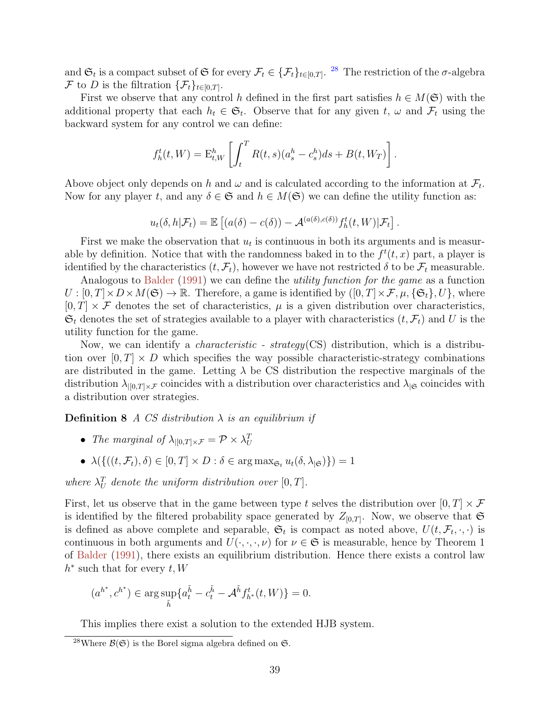and  $\mathfrak{S}_t$  is a compact subset of  $\mathfrak{S}$  for every  $\mathcal{F}_t \in {\{\mathcal{F}_t\}}_{t \in [0,T]}$ . <sup>[28](#page-38-0)</sup> The restriction of the  $\sigma$ -algebra F to D is the filtration  $\{\mathcal{F}_t\}_{t\in[0,T]}.$ 

First we observe that any control h defined in the first part satisfies  $h \in M(\mathfrak{S})$  with the additional property that each  $h_t \in \mathfrak{S}_t$ . Observe that for any given t,  $\omega$  and  $\mathcal{F}_t$  using the backward system for any control we can define:

$$
f_h^t(t, W) = \mathbf{E}_{t, W}^h \left[ \int_t^T R(t, s) (a_s^h - c_s^h) ds + B(t, W_T) \right].
$$

Above object only depends on h and  $\omega$  and is calculated according to the information at  $\mathcal{F}_t$ . Now for any player t, and any  $\delta \in \mathfrak{S}$  and  $h \in M(\mathfrak{S})$  we can define the utility function as:

$$
u_t(\delta, h|\mathcal{F}_t) = \mathbb{E}\left[ (a(\delta) - c(\delta)) - \mathcal{A}^{(a(\delta), c(\delta))} f_h^t(t, W)|\mathcal{F}_t \right].
$$

First we make the observation that  $u_t$  is continuous in both its arguments and is measurable by definition. Notice that with the randomness baked in to the  $f^t(t, x)$  part, a player is identified by the characteristics  $(t, \mathcal{F}_t)$ , however we have not restricted  $\delta$  to be  $\mathcal{F}_t$  measurable.

Analogous to [Balder](#page-49-4) [\(1991\)](#page-49-4) we can define the *utility function for the game* as a function  $U : [0, T] \times D \times M(\mathfrak{S}) \to \mathbb{R}$ . Therefore, a game is identified by  $([0, T] \times \mathcal{F}, \mu, {\{\mathfrak{S}_t\}}, U$ , where  $[0, T] \times \mathcal{F}$  denotes the set of characteristics,  $\mu$  is a given distribution over characteristics,  $\mathfrak{S}_t$  denotes the set of strategies available to a player with characteristics  $(t, \mathcal{F}_t)$  and U is the utility function for the game.

Now, we can identify a characteristic - strategy(CS) distribution, which is a distribution over  $[0, T] \times D$  which specifies the way possible characteristic-strategy combinations are distributed in the game. Letting  $\lambda$  be CS distribution the respective marginals of the distribution  $\lambda_{|[0,T]\times\mathcal{F}}$  coincides with a distribution over characteristics and  $\lambda_{|\mathfrak{S}}$  coincides with a distribution over strategies.

**Definition 8** A CS distribution  $\lambda$  is an equilibrium if

- The marginal of  $\lambda_{|[0,T]\times \mathcal{F}} = \mathcal{P} \times \lambda_U^T$
- $\lambda(\{((t, \mathcal{F}_t), \delta) \in [0, T] \times D : \delta \in \arg \max_{\mathfrak{S}_t} u_t(\delta, \lambda_{|\mathfrak{S}})\}) = 1$

where  $\lambda_U^T$  denote the uniform distribution over  $[0, T]$ .

First, let us observe that in the game between type t selves the distribution over  $[0, T] \times \mathcal{F}$ is identified by the filtered probability space generated by  $Z_{[0,T]}$ . Now, we observe that  $\mathfrak{S}$ is defined as above complete and separable,  $\mathfrak{S}_t$  is compact as noted above,  $U(t, \mathcal{F}_t, \cdot, \cdot)$  is continuous in both arguments and  $U(\cdot, \cdot, \cdot, \nu)$  for  $\nu \in \mathfrak{S}$  is measurable, hence by Theorem 1 of [Balder](#page-49-4) [\(1991\)](#page-49-4), there exists an equilibrium distribution. Hence there exists a control law  $h^*$  such that for every  $t, W$ 

$$
(a^{h^*}, c^{h^*}) \in \arg \sup_{\tilde{h}} \{ a_t^{\tilde{h}} - c_t^{\tilde{h}} - \mathcal{A}^{\tilde{h}} f_{h^*}^t(t, W) \} = 0.
$$

This implies there exist a solution to the extended HJB system.

<span id="page-38-0"></span><sup>&</sup>lt;sup>28</sup>Where  $\mathcal{B}(\mathfrak{S})$  is the Borel sigma algebra defined on  $\mathfrak{S}$ .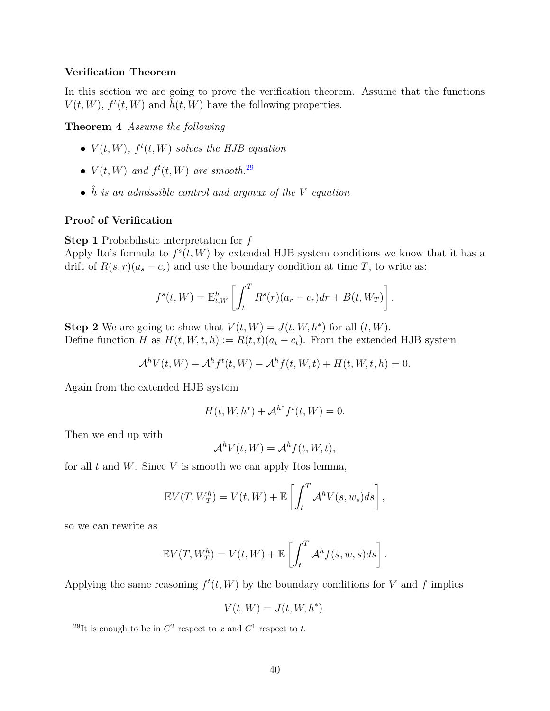#### Verification Theorem

In this section we are going to prove the verification theorem. Assume that the functions  $V(t, W)$ ,  $f^t(t, W)$  and  $\tilde{h}(t, W)$  have the following properties.

Theorem 4 Assume the following

- $V(t, W)$ ,  $f^t(t, W)$  solves the HJB equation
- $V(t, W)$  and  $f^t(t, W)$  are smooth.<sup>[29](#page-39-0)</sup>
- $\hat{h}$  is an admissible control and argmax of the V equation

#### Proof of Verification

Step 1 Probabilistic interpretation for f

Apply Ito's formula to  $f^{s}(t, W)$  by extended HJB system conditions we know that it has a drift of  $R(s,r)(a_s - c_s)$  and use the boundary condition at time T, to write as:

$$
f^{s}(t, W) = \mathbf{E}_{t, W}^{h} \left[ \int_{t}^{T} R^{s}(r)(a_{r} - c_{r}) dr + B(t, W_{T}) \right].
$$

**Step 2** We are going to show that  $V(t, W) = J(t, W, h^*)$  for all  $(t, W)$ . Define function H as  $H(t, W, t, h) := R(t, t)(a_t - c_t)$ . From the extended HJB system

$$
\mathcal{A}^h V(t, W) + \mathcal{A}^h f^t(t, W) - \mathcal{A}^h f(t, W, t) + H(t, W, t, h) = 0.
$$

Again from the extended HJB system

$$
H(t, W, h^*) + \mathcal{A}^{h^*} f^t(t, W) = 0.
$$

Then we end up with

$$
\mathcal{A}^h V(t, W) = \mathcal{A}^h f(t, W, t),
$$

for all t and W. Since V is smooth we can apply Itos lemma,

$$
\mathbb{E}V(T, W_T^h) = V(t, W) + \mathbb{E}\left[\int_t^T \mathcal{A}^h V(s, w_s) ds\right],
$$

so we can rewrite as

$$
\mathbb{E}V(T, W_T^h) = V(t, W) + \mathbb{E}\left[\int_t^T \mathcal{A}^h f(s, w, s)ds\right].
$$

Applying the same reasoning  $f^t(t, W)$  by the boundary conditions for V and f implies

$$
V(t,W)=J(t,W,h^{\ast}).
$$

<span id="page-39-0"></span><sup>&</sup>lt;sup>29</sup>It is enough to be in  $C^2$  respect to x and  $C^1$  respect to t.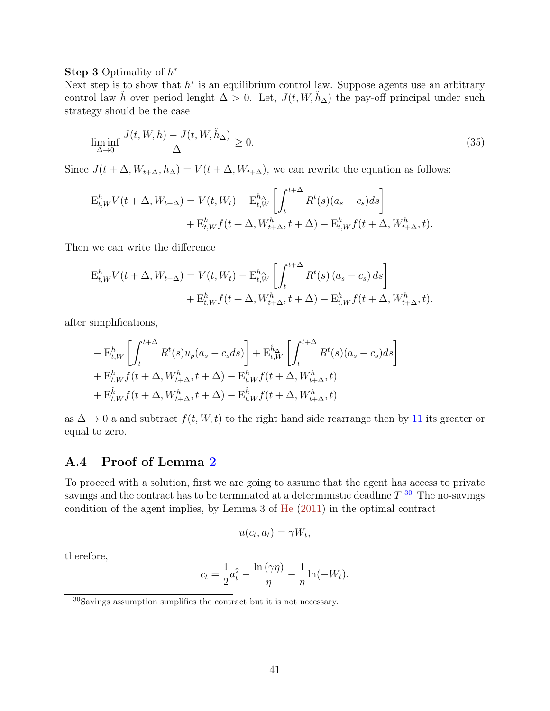## Step 3 Optimality of  $h^*$

Next step is to show that  $h^*$  is an equilibrium control law. Suppose agents use an arbitrary control law  $\hat{h}$  over period lenght  $\Delta > 0$ . Let,  $J(t, W, \hat{h}_{\Delta})$  the pay-off principal under such strategy should be the case

$$
\liminf_{\Delta \to 0} \frac{J(t, W, h) - J(t, W, \hat{h}_{\Delta})}{\Delta} \ge 0.
$$
\n(35)

Since  $J(t + \Delta, W_{t+\Delta}, h_{\Delta}) = V(t + \Delta, W_{t+\Delta})$ , we can rewrite the equation as follows:

$$
E_{t,W}^h V(t + \Delta, W_{t+\Delta}) = V(t, W_t) - E_{t,W}^{h_{\Delta}} \left[ \int_t^{t+\Delta} R^t(s)(a_s - c_s)ds \right] + E_{t,W}^h f(t + \Delta, W_{t+\Delta}^h, t + \Delta) - E_{t,W}^h f(t + \Delta, W_{t+\Delta}^h, t).
$$

Then we can write the difference

$$
E_{t,W}^h V(t + \Delta, W_{t+\Delta}) = V(t, W_t) - E_{t,W}^{h_{\Delta}} \left[ \int_t^{t+\Delta} R^t(s) (a_s - c_s) ds \right]
$$
  
+ 
$$
E_{t,W}^h f(t + \Delta, W_{t+\Delta}^h, t + \Delta) - E_{t,W}^h f(t + \Delta, W_{t+\Delta}^h, t).
$$

after simplifications,

$$
- \mathbf{E}_{t,W}^h \left[ \int_t^{t+\Delta} R^t(s) u_p(a_s - c_s ds) \right] + \mathbf{E}_{t,W}^{\hat{h}_{\Delta}} \left[ \int_t^{t+\Delta} R^t(s) (a_s - c_s) ds \right]
$$
  
+  $\mathbf{E}_{t,W}^h f(t + \Delta, W_{t+\Delta}^h, t + \Delta) - \mathbf{E}_{t,W}^h f(t + \Delta, W_{t+\Delta}^h, t)$   
+  $\mathbf{E}_{t,W}^{\hat{h}} f(t + \Delta, W_{t+\Delta}^h, t + \Delta) - \mathbf{E}_{t,W}^{\hat{h}} f(t + \Delta, W_{t+\Delta}^h, t)$ 

as  $\Delta \to 0$  a and subtract  $f(t, W, t)$  to the right hand side rearrange then by [11](#page-17-3) its greater or equal to zero.

# A.4 Proof of Lemma [2](#page-21-2)

To proceed with a solution, first we are going to assume that the agent has access to private savings and the contract has to be terminated at a deterministic deadline  $T.^{30}$  $T.^{30}$  $T.^{30}$  The no-savings condition of the agent implies, by Lemma 3 of [He](#page-51-10) [\(2011\)](#page-51-10) in the optimal contract

$$
u(c_t, a_t) = \gamma W_t,
$$

therefore,

$$
c_t = \frac{1}{2}a_t^2 - \frac{\ln(\gamma\eta)}{\eta} - \frac{1}{\eta}\ln(-W_t).
$$

<span id="page-40-0"></span> $\rm{^{30}S}$  assumption simplifies the contract but it is not necessary.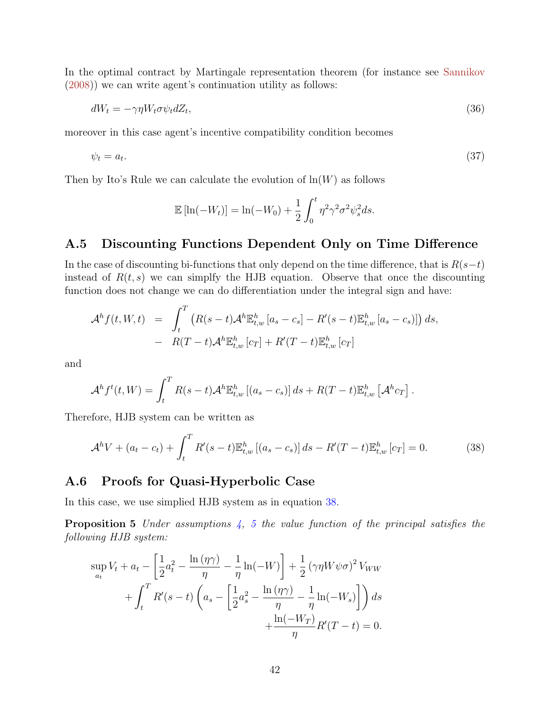In the optimal contract by Martingale representation theorem (for instance see [Sannikov](#page-53-7) [\(2008\)](#page-53-7)) we can write agent's continuation utility as follows:

$$
dW_t = -\gamma \eta W_t \sigma \psi_t dZ_t,\tag{36}
$$

moreover in this case agent's incentive compatibility condition becomes

$$
\psi_t = a_t. \tag{37}
$$

Then by Ito's Rule we can calculate the evolution of  $ln(W)$  as follows

$$
\mathbb{E}\left[\ln(-W_t)\right] = \ln(-W_0) + \frac{1}{2} \int_0^t \eta^2 \gamma^2 \sigma^2 \psi_s^2 ds.
$$

# A.5 Discounting Functions Dependent Only on Time Difference

In the case of discounting bi-functions that only depend on the time difference, that is  $R(s-t)$ instead of  $R(t, s)$  we can simplfy the HJB equation. Observe that once the discounting function does not change we can do differentiation under the integral sign and have:

$$
\mathcal{A}^h f(t, W, t) = \int_t^T \left( R(s-t) \mathcal{A}^h \mathbb{E}^h_{t,w} \left[ a_s - c_s \right] - R'(s-t) \mathbb{E}^h_{t,w} \left[ a_s - c_s \right] \right) ds,
$$
  
- 
$$
R(T-t) \mathcal{A}^h \mathbb{E}^h_{t,w} \left[ c_T \right] + R'(T-t) \mathbb{E}^h_{t,w} \left[ c_T \right]
$$

and

<span id="page-41-0"></span>
$$
\mathcal{A}^h f^t(t, W) = \int_t^T R(s-t) \mathcal{A}^h \mathbb{E}^h_{t,w} \left[ (a_s - c_s) \right] ds + R(T-t) \mathbb{E}^h_{t,w} \left[ \mathcal{A}^h c_T \right].
$$

Therefore, HJB system can be written as

$$
\mathcal{A}^h V + (a_t - c_t) + \int_t^T R'(s - t) \mathbb{E}_{t,w}^h [(a_s - c_s)] ds - R'(T - t) \mathbb{E}_{t,w}^h [c_T] = 0.
$$
 (38)

# A.6 Proofs for Quasi-Hyperbolic Case

In this case, we use simplied HJB system as in equation [38.](#page-41-0)

**Proposition [5](#page-22-2)** Under assumptions  $\frac{1}{4}$ , 5 the value function of the principal satisfies the following HJB system:

$$
\sup_{a_t} V_t + a_t - \left[\frac{1}{2}a_t^2 - \frac{\ln(\eta \gamma)}{\eta} - \frac{1}{\eta}\ln(-W)\right] + \frac{1}{2}(\gamma \eta W \psi \sigma)^2 V_{WW}
$$

$$
+ \int_t^T R'(s-t) \left(a_s - \left[\frac{1}{2}a_s^2 - \frac{\ln(\eta \gamma)}{\eta} - \frac{1}{\eta}\ln(-W_s)\right]\right) ds
$$

$$
+ \frac{\ln(-W_T)}{\eta}R'(T-t) = 0.
$$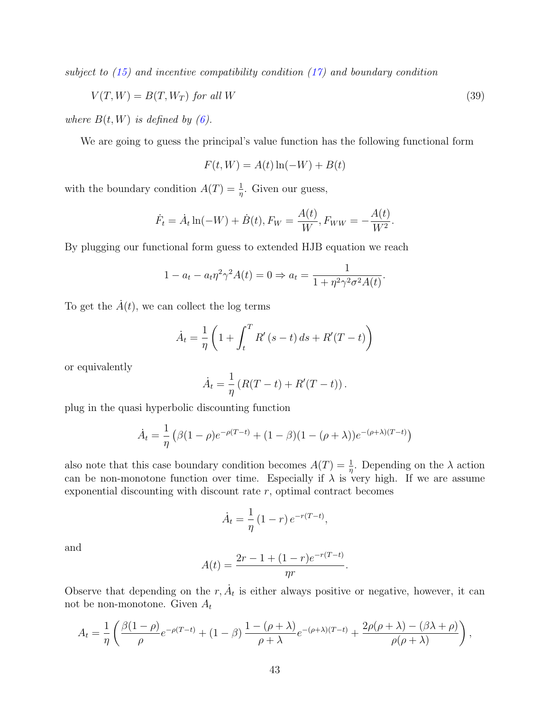subject to  $(15)$  and incentive compatibility condition  $(17)$  and boundary condition

$$
V(T, W) = B(T, W_T) \text{ for all } W
$$
\n<sup>(39)</sup>

where  $B(t, W)$  is defined by [\(6\)](#page-15-2).

We are going to guess the principal's value function has the following functional form

$$
F(t, W) = A(t) \ln(-W) + B(t)
$$

with the boundary condition  $A(T) = \frac{1}{\eta}$ . Given our guess,

$$
\dot{F}_t = \dot{A}_t \ln(-W) + \dot{B}(t), F_W = \frac{A(t)}{W}, F_{WW} = -\frac{A(t)}{W^2}.
$$

By plugging our functional form guess to extended HJB equation we reach

$$
1 - a_t - a_t \eta^2 \gamma^2 A(t) = 0 \Rightarrow a_t = \frac{1}{1 + \eta^2 \gamma^2 \sigma^2 A(t)}.
$$

To get the  $\dot{A}(t)$ , we can collect the log terms

$$
\dot{A}_t = \frac{1}{\eta} \left( 1 + \int_t^T R'(s - t) \, ds + R'(T - t) \right)
$$

or equivalently

$$
\dot{A}_t = \frac{1}{\eta} (R(T - t) + R'(T - t)).
$$

plug in the quasi hyperbolic discounting function

$$
\dot{A}_t = \frac{1}{\eta} \left( \beta (1 - \rho) e^{-\rho (T - t)} + (1 - \beta)(1 - (\rho + \lambda)) e^{-(\rho + \lambda)(T - t)} \right)
$$

also note that this case boundary condition becomes  $A(T) = \frac{1}{\eta}$ . Depending on the  $\lambda$  action can be non-monotone function over time. Especially if  $\lambda$  is very high. If we are assume exponential discounting with discount rate  $r$ , optimal contract becomes

$$
\dot{A}_t = \frac{1}{\eta} (1 - r) e^{-r(T - t)},
$$

and

$$
A(t) = \frac{2r - 1 + (1 - r)e^{-r(T - t)}}{nr}
$$

.

Observe that depending on the  $r, \dot{A}_t$  is either always positive or negative, however, it can not be non-monotone. Given  $A_t$ 

$$
A_t = \frac{1}{\eta} \left( \frac{\beta(1-\rho)}{\rho} e^{-\rho(T-t)} + (1-\beta) \frac{1-(\rho+\lambda)}{\rho+\lambda} e^{-(\rho+\lambda)(T-t)} + \frac{2\rho(\rho+\lambda) - (\beta\lambda+\rho)}{\rho(\rho+\lambda)} \right),
$$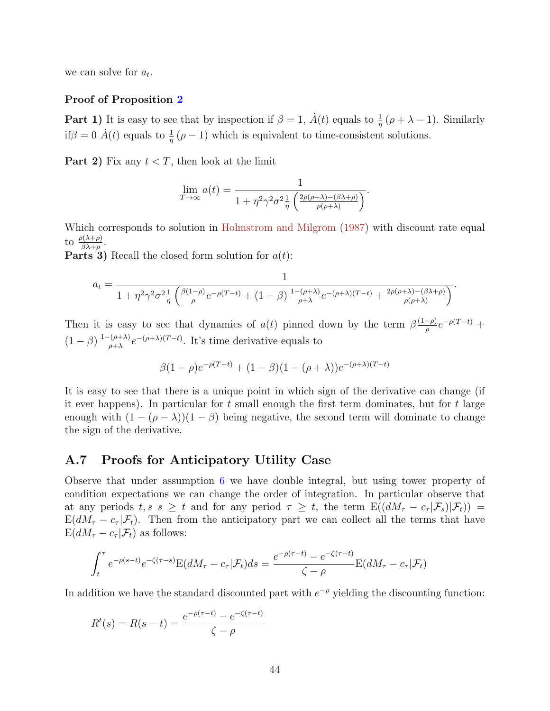we can solve for  $a_t$ .

#### Proof of Proposition [2](#page-23-1)

**Part 1)** It is easy to see that by inspection if  $\beta = 1$ ,  $\dot{A}(t)$  equals to  $\frac{1}{\eta}(\rho + \lambda - 1)$ . Similarly if $\beta = 0$   $\dot{A}(t)$  equals to  $\frac{1}{\eta}(\rho - 1)$  which is equivalent to time-consistent solutions.

**Part 2)** Fix any  $t < T$ , then look at the limit

$$
\lim_{T \to \infty} a(t) = \frac{1}{1 + \eta^2 \gamma^2 \sigma^2 \frac{1}{\eta} \left( \frac{2\rho(\rho + \lambda) - (\beta \lambda + \rho)}{\rho(\rho + \lambda)} \right)}.
$$

Which corresponds to solution in [Holmstrom and Milgrom](#page-51-15) [\(1987\)](#page-51-15) with discount rate equal to  $\frac{\rho(\lambda+\rho)}{\beta\lambda+\rho}$ .

**Parts 3)** Recall the closed form solution for  $a(t)$ :

$$
a_t = \frac{1}{1 + \eta^2 \gamma^2 \sigma^2 \frac{1}{\eta} \left( \frac{\beta(1-\rho)}{\rho} e^{-\rho(T-t)} + (1-\beta) \frac{1-(\rho+\lambda)}{\rho+\lambda} e^{-(\rho+\lambda)(T-t)} + \frac{2\rho(\rho+\lambda)-(\beta\lambda+\rho)}{\rho(\rho+\lambda)} \right)}.
$$

Then it is easy to see that dynamics of  $a(t)$  pinned down by the term  $\beta \frac{(1-\rho)}{a}$  $\frac{(-\rho)}{\rho}e^{-\rho(T-t)} +$  $(1-\beta)\frac{1-(\rho+\lambda)}{2\alpha+\lambda}$  $\frac{(-(\rho+\lambda)}{\rho+\lambda}e^{-(\rho+\lambda)(T-t)}$ . It's time derivative equals to

$$
\beta(1-\rho)e^{-\rho(T-t)} + (1-\beta)(1-(\rho+\lambda))e^{-(\rho+\lambda)(T-t)}
$$

It is easy to see that there is a unique point in which sign of the derivative can change (if it ever happens). In particular for  $t$  small enough the first term dominates, but for  $t$  large enough with  $(1 - (\rho - \lambda))(1 - \beta)$  being negative, the second term will dominate to change the sign of the derivative.

## A.7 Proofs for Anticipatory Utility Case

Observe that under assumption [6](#page-25-1) we have double integral, but using tower property of condition expectations we can change the order of integration. In particular observe that at any periods  $t, s \geq t$  and for any period  $\tau \geq t$ , the term  $\mathbb{E}((dM_{\tau}-c_{\tau}|\mathcal{F}_s)|\mathcal{F}_t)$  =  $E(dM_{\tau}-c_{\tau}|\mathcal{F}_{t})$ . Then from the anticipatory part we can collect all the terms that have  $E(dM_{\tau}-c_{\tau}|\mathcal{F}_t)$  as follows:

$$
\int_t^\tau e^{-\rho(s-t)}e^{-\zeta(\tau-s)}\mathcal{E}(dM_\tau-c_\tau|\mathcal{F}_t)ds = \frac{e^{-\rho(\tau-t)}-e^{-\zeta(\tau-t)}}{\zeta-\rho}\mathcal{E}(dM_\tau-c_\tau|\mathcal{F}_t)
$$

In addition we have the standard discounted part with  $e^{-\rho}$  yielding the discounting function:

$$
R^{t}(s) = R(s-t) = \frac{e^{-\rho(\tau-t)} - e^{-\zeta(\tau-t)}}{\zeta - \rho}
$$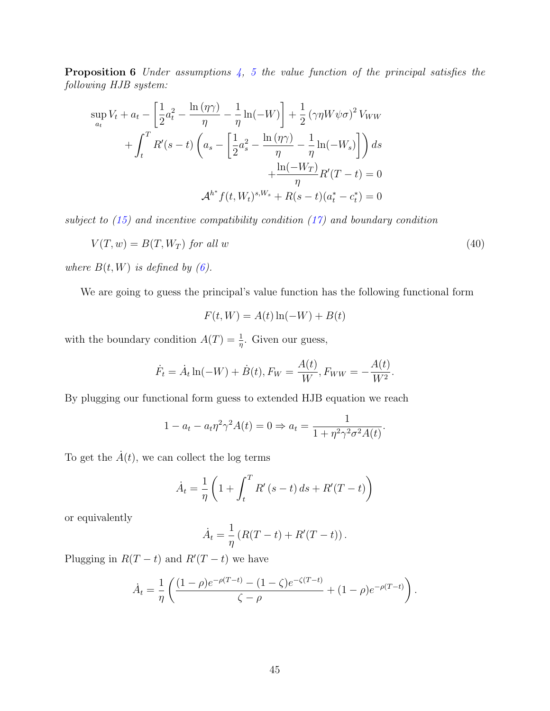**Proposition 6** Under assumptions  $\frac{1}{4}$ , [5](#page-22-2) the value function of the principal satisfies the following HJB system:

$$
\sup_{a_t} V_t + a_t - \left[\frac{1}{2}a_t^2 - \frac{\ln(\eta \gamma)}{\eta} - \frac{1}{\eta}\ln(-W)\right] + \frac{1}{2}(\gamma \eta W \psi \sigma)^2 V_{WW} + \int_t^T R'(s-t) \left(a_s - \left[\frac{1}{2}a_s^2 - \frac{\ln(\eta \gamma)}{\eta} - \frac{1}{\eta}\ln(-W_s)\right]\right) ds + \frac{\ln(-W_T)}{\eta} R'(T-t) = 0 \mathcal{A}^{h^*} f(t, W_t)^{s, W_s} + R(s-t)(a_t^* - c_t^*) = 0
$$

subject to  $(15)$  and incentive compatibility condition  $(17)$  and boundary condition

$$
V(T, w) = B(T, W_T) \text{ for all } w \tag{40}
$$

where  $B(t, W)$  is defined by [\(6\)](#page-15-2).

We are going to guess the principal's value function has the following functional form

$$
F(t, W) = A(t) \ln(-W) + B(t)
$$

with the boundary condition  $A(T) = \frac{1}{\eta}$ . Given our guess,

$$
\dot{F}_t = \dot{A}_t \ln(-W) + \dot{B}(t), F_W = \frac{A(t)}{W}, F_{WW} = -\frac{A(t)}{W^2}.
$$

By plugging our functional form guess to extended HJB equation we reach

$$
1 - a_t - a_t \eta^2 \gamma^2 A(t) = 0 \Rightarrow a_t = \frac{1}{1 + \eta^2 \gamma^2 \sigma^2 A(t)}.
$$

To get the  $\dot{A}(t)$ , we can collect the log terms

$$
\dot{A}_t = \frac{1}{\eta} \left( 1 + \int_t^T R'(s - t) \, ds + R'(T - t) \right)
$$

or equivalently

$$
\dot{A}_t = \frac{1}{\eta} (R(T - t) + R'(T - t)).
$$

Plugging in  $R(T-t)$  and  $R'(T-t)$  we have

$$
\dot{A}_t = \frac{1}{\eta} \left( \frac{(1-\rho)e^{-\rho(T-t)} - (1-\zeta)e^{-\zeta(T-t)}}{\zeta - \rho} + (1-\rho)e^{-\rho(T-t)} \right).
$$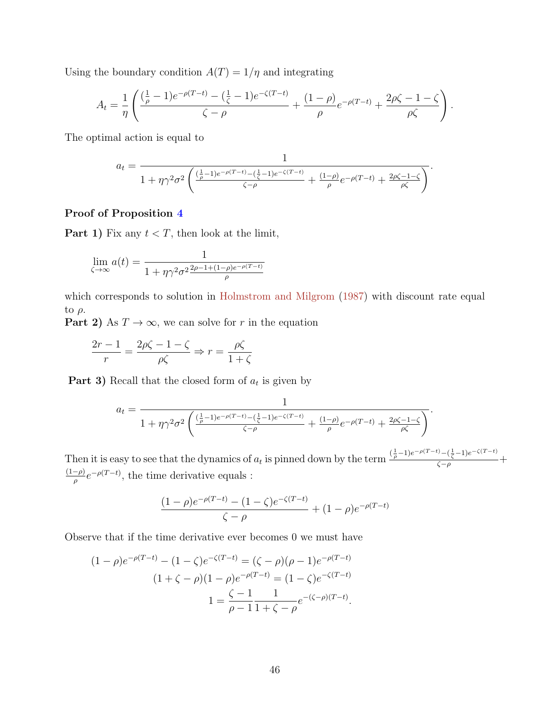Using the boundary condition  $A(T) = 1/\eta$  and integrating

$$
A_t = \frac{1}{\eta} \left( \frac{(\frac{1}{\rho} - 1)e^{-\rho(T-t)} - (\frac{1}{\zeta} - 1)e^{-\zeta(T-t)}}{\zeta - \rho} + \frac{(1 - \rho)}{\rho} e^{-\rho(T-t)} + \frac{2\rho\zeta - 1 - \zeta}{\rho\zeta} \right).
$$

The optimal action is equal to

$$
a_t = \frac{1}{1 + \eta \gamma^2 \sigma^2 \left( \frac{(\frac{1}{\rho} - 1)e^{-\rho(T-t)} - (\frac{1}{\zeta} - 1)e^{-\zeta(T-t)}}{\zeta - \rho} + \frac{(1 - \rho)e^{-\rho(T-t)} + \frac{2\rho\zeta - 1 - \zeta}{\rho\zeta}} \right)}.
$$

#### Proof of Proposition [4](#page-27-2)

**Part 1)** Fix any  $t < T$ , then look at the limit,

$$
\lim_{\zeta \to \infty} a(t) = \frac{1}{1 + \eta \gamma^2 \sigma^2 \frac{2\rho - 1 + (1 - \rho)e^{-\rho(T - t)}}{\rho}}
$$

which corresponds to solution in [Holmstrom and Milgrom](#page-51-15)  $(1987)$  with discount rate equal to  $\rho$ .

**Part 2)** As  $T \to \infty$ , we can solve for r in the equation

$$
\frac{2r-1}{r} = \frac{2\rho\zeta - 1 - \zeta}{\rho\zeta} \Rightarrow r = \frac{\rho\zeta}{1 + \zeta}
$$

**Part 3)** Recall that the closed form of  $a_t$  is given by

$$
a_t = \frac{1}{1 + \eta \gamma^2 \sigma^2 \left( \frac{(\frac{1}{\rho} - 1)e^{-\rho(T-t)} - (\frac{1}{\zeta} - 1)e^{-\zeta(T-t)}}{\zeta - \rho} + \frac{(1 - \rho)e^{-\rho(T-t)} + \frac{2\rho\zeta - 1 - \zeta}{\rho\zeta}} \right)}.
$$

Then it is easy to see that the dynamics of  $a_t$  is pinned down by the term  $\frac{\left(\frac{1}{\rho}-1\right)e^{-\rho(T-t)}-\left(\frac{1}{\zeta}-1\right)e^{-\zeta(T-t)}}{\zeta-\rho}+$  $(1-\rho)$  $\frac{-\rho}{\rho}e^{-\rho(T-t)}$ , the time derivative equals :

$$
\frac{(1-\rho)e^{-\rho(T-t)} - (1-\zeta)e^{-\zeta(T-t)}}{\zeta - \rho} + (1-\rho)e^{-\rho(T-t)}
$$

Observe that if the time derivative ever becomes 0 we must have

$$
(1 - \rho)e^{-\rho(T-t)} - (1 - \zeta)e^{-\zeta(T-t)} = (\zeta - \rho)(\rho - 1)e^{-\rho(T-t)}
$$

$$
(1 + \zeta - \rho)(1 - \rho)e^{-\rho(T-t)} = (1 - \zeta)e^{-\zeta(T-t)}
$$

$$
1 = \frac{\zeta - 1}{\rho - 1} \frac{1}{1 + \zeta - \rho}e^{-(\zeta - \rho)(T-t)}.
$$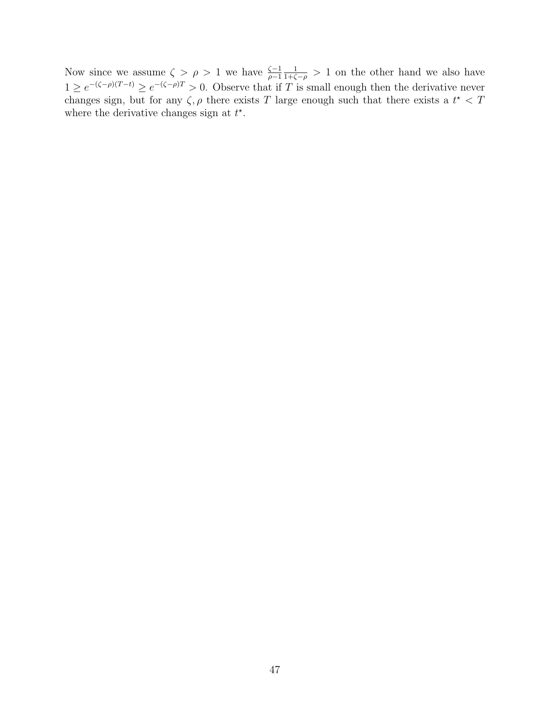Now since we assume  $\zeta > \rho > 1$  we have  $\frac{\zeta - 1}{\rho - 1}$ 1  $\frac{1}{1+\zeta-\rho} > 1$  on the other hand we also have  $1 \ge e^{-(\zeta-\rho)(T-t)} \ge e^{-(\zeta-\rho)T} > 0$ . Observe that if T is small enough then the derivative never changes sign, but for any  $\zeta$ ,  $\rho$  there exists T large enough such that there exists a  $t^* < T$ where the derivative changes sign at  $t^*$ .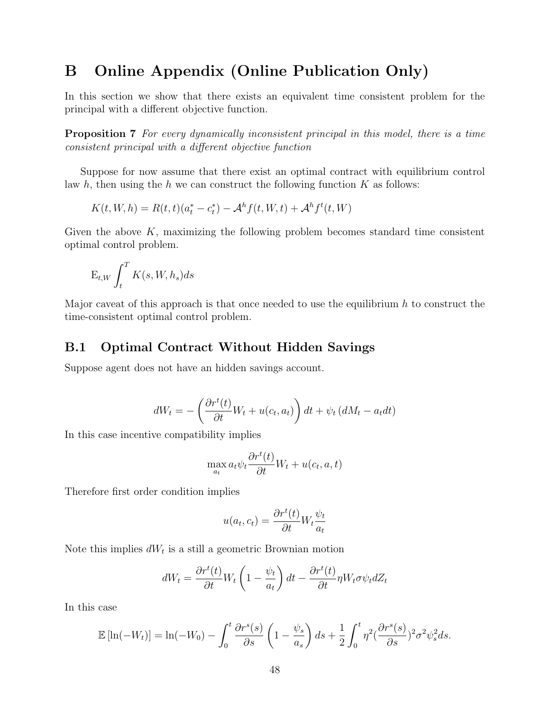# B Online Appendix (Online Publication Only)

In this section we show that there exists an equivalent time consistent problem for the principal with a different objective function.

Proposition 7 For every dynamically inconsistent principal in this model, there is a time consistent principal with a different objective function

Suppose for now assume that there exist an optimal contract with equilibrium control law h, then using the h we can construct the following function  $K$  as follows:

$$
K(t, W, h) = R(t, t)(a_t^* - c_t^*) - A^h f(t, W, t) + A^h f^t(t, W)
$$

Given the above  $K$ , maximizing the following problem becomes standard time consistent optimal control problem.

$$
\mathbf{E}_{t,W} \int_t^T K(s,W,h_s) ds
$$

Major caveat of this approach is that once needed to use the equilibrium  $h$  to construct the time-consistent optimal control problem.

# B.1 Optimal Contract Without Hidden Savings

Suppose agent does not have an hidden savings account.

$$
dW_t = -\left(\frac{\partial r^t(t)}{\partial t}W_t + u(c_t, a_t)\right)dt + \psi_t\left(dM_t - a_t dt\right)
$$

In this case incentive compatibility implies

$$
\max_{a_t} a_t \psi_t \frac{\partial r^t(t)}{\partial t} W_t + u(c_t, a, t)
$$

Therefore first order condition implies

$$
u(a_t, c_t) = \frac{\partial r^t(t)}{\partial t} W_t \frac{\psi_t}{a_t}
$$

Note this implies  $dW_t$  is a still a geometric Brownian motion

$$
dW_t = \frac{\partial r^t(t)}{\partial t} W_t \left( 1 - \frac{\psi_t}{a_t} \right) dt - \frac{\partial r^t(t)}{\partial t} \eta W_t \sigma \psi_t dZ_t
$$

In this case

$$
\mathbb{E}\left[\ln(-W_t)\right] = \ln(-W_0) - \int_0^t \frac{\partial r^s(s)}{\partial s} \left(1 - \frac{\psi_s}{a_s}\right) ds + \frac{1}{2} \int_0^t \eta^2 \left(\frac{\partial r^s(s)}{\partial s}\right)^2 \sigma^2 \psi_s^2 ds.
$$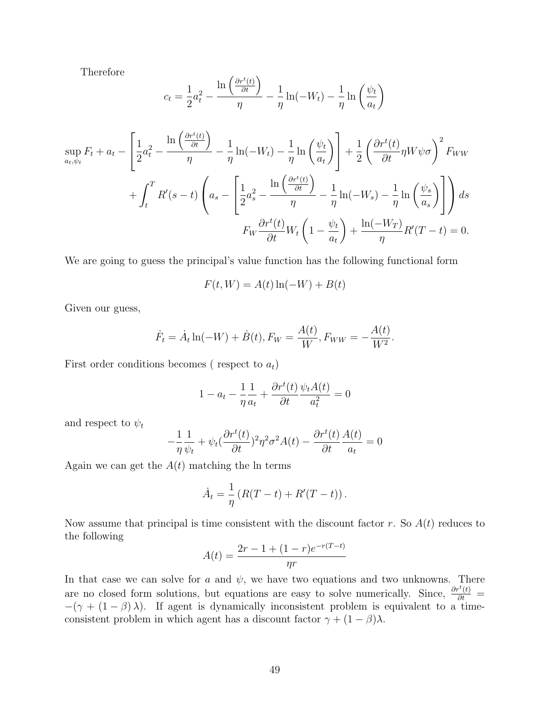Therefore

$$
c_{t} = \frac{1}{2}a_{t}^{2} - \frac{\ln\left(\frac{\partial r^{t}(t)}{\partial t}\right)}{\eta} - \frac{1}{\eta}\ln(-W_{t}) - \frac{1}{\eta}\ln\left(\frac{\psi_{t}}{a_{t}}\right)
$$

$$
\sup_{a_{t},\psi_{t}} F_{t} + a_{t} - \left[\frac{1}{2}a_{t}^{2} - \frac{\ln\left(\frac{\partial r^{t}(t)}{\partial t}\right)}{\eta} - \frac{1}{\eta}\ln(-W_{t}) - \frac{1}{\eta}\ln\left(\frac{\psi_{t}}{a_{t}}\right)\right] + \frac{1}{2}\left(\frac{\partial r^{t}(t)}{\partial t}\eta W\psi\sigma\right)^{2} F_{WW}
$$

$$
+ \int_{t}^{T} R'(s - t) \left(a_{s} - \left[\frac{1}{2}a_{s}^{2} - \frac{\ln\left(\frac{\partial r^{t}(t)}{\partial t}\right)}{\eta} - \frac{1}{\eta}\ln(-W_{s}) - \frac{1}{\eta}\ln\left(\frac{\psi_{s}}{a_{s}}\right)\right]\right) ds
$$

$$
F_{W}\frac{\partial r^{t}(t)}{\partial t}W_{t}\left(1 - \frac{\psi_{t}}{a_{t}}\right) + \frac{\ln(-W_{T})}{\eta}R'(T - t) = 0.
$$

We are going to guess the principal's value function has the following functional form

$$
F(t, W) = A(t) \ln(-W) + B(t)
$$

Given our guess,

$$
\dot{F}_t = \dot{A}_t \ln(-W) + \dot{B}(t), F_W = \frac{A(t)}{W}, F_{WW} = -\frac{A(t)}{W^2}.
$$

First order conditions becomes (respect to  $a_t$ )

$$
1 - a_t - \frac{1}{\eta} \frac{1}{a_t} + \frac{\partial r^t(t)}{\partial t} \frac{\psi_t A(t)}{a_t^2} = 0
$$

and respect to  $\psi_t$ 

$$
-\frac{1}{\eta}\frac{1}{\psi_t} + \psi_t(\frac{\partial r^t(t)}{\partial t})^2 \eta^2 \sigma^2 A(t) - \frac{\partial r^t(t)}{\partial t}\frac{A(t)}{a_t} = 0
$$

Again we can get the  $A(t)$  matching the ln terms

$$
\dot{A}_t = \frac{1}{\eta} \left( R(T-t) + R'(T-t) \right).
$$

Now assume that principal is time consistent with the discount factor r. So  $A(t)$  reduces to the following

$$
A(t) = \frac{2r - 1 + (1 - r)e^{-r(T - t)}}{nr}
$$

In that case we can solve for a and  $\psi$ , we have two equations and two unknowns. There are no closed form solutions, but equations are easy to solve numerically. Since,  $\frac{\partial r^t(t)}{\partial t}$  =  $-(\gamma + (1 - \beta)\lambda)$ . If agent is dynamically inconsistent problem is equivalent to a timeconsistent problem in which agent has a discount factor  $\gamma + (1 - \beta)\lambda$ .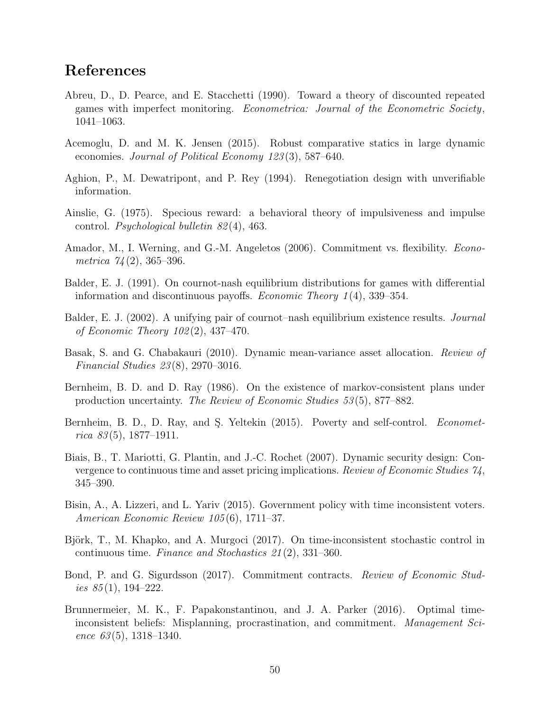# References

- <span id="page-49-10"></span>Abreu, D., D. Pearce, and E. Stacchetti (1990). Toward a theory of discounted repeated games with imperfect monitoring. Econometrica: Journal of the Econometric Society, 1041–1063.
- <span id="page-49-14"></span>Acemoglu, D. and M. K. Jensen (2015). Robust comparative statics in large dynamic economies. Journal of Political Economy 123(3), 587–640.
- <span id="page-49-13"></span>Aghion, P., M. Dewatripont, and P. Rey (1994). Renegotiation design with unverifiable information.
- <span id="page-49-0"></span>Ainslie, G. (1975). Specious reward: a behavioral theory of impulsiveness and impulse control. Psychological bulletin 82 (4), 463.
- <span id="page-49-5"></span>Amador, M., I. Werning, and G.-M. Angeletos (2006). Commitment vs. flexibility. Econometrica  $74(2)$ , 365–396.
- <span id="page-49-4"></span>Balder, E. J. (1991). On cournot-nash equilibrium distributions for games with differential information and discontinuous payoffs. Economic Theory 1 (4), 339–354.
- <span id="page-49-12"></span>Balder, E. J. (2002). A unifying pair of cournot–nash equilibrium existence results. Journal of Economic Theory 102 (2), 437–470.
- <span id="page-49-7"></span>Basak, S. and G. Chabakauri (2010). Dynamic mean-variance asset allocation. Review of Financial Studies 23 (8), 2970–3016.
- <span id="page-49-3"></span>Bernheim, B. D. and D. Ray (1986). On the existence of markov-consistent plans under production uncertainty. The Review of Economic Studies 53 (5), 877–882.
- <span id="page-49-8"></span>Bernheim, B. D., D. Ray, and S. Yeltekin (2015). Poverty and self-control. Econometrica  $83(5)$ , 1877–1911.
- <span id="page-49-11"></span>Biais, B., T. Mariotti, G. Plantin, and J.-C. Rochet (2007). Dynamic security design: Convergence to continuous time and asset pricing implications. Review of Economic Studies 74, 345–390.
- <span id="page-49-9"></span>Bisin, A., A. Lizzeri, and L. Yariv (2015). Government policy with time inconsistent voters. American Economic Review 105 (6), 1711–37.
- <span id="page-49-2"></span>Björk, T., M. Khapko, and A. Murgoci (2017). On time-inconsistent stochastic control in continuous time. Finance and Stochastics 21 (2), 331–360.
- <span id="page-49-6"></span>Bond, P. and G. Sigurdsson (2017). Commitment contracts. Review of Economic Studies  $85(1)$ , 194-222.
- <span id="page-49-1"></span>Brunnermeier, M. K., F. Papakonstantinou, and J. A. Parker (2016). Optimal timeinconsistent beliefs: Misplanning, procrastination, and commitment. Management Science  $63(5)$ , 1318–1340.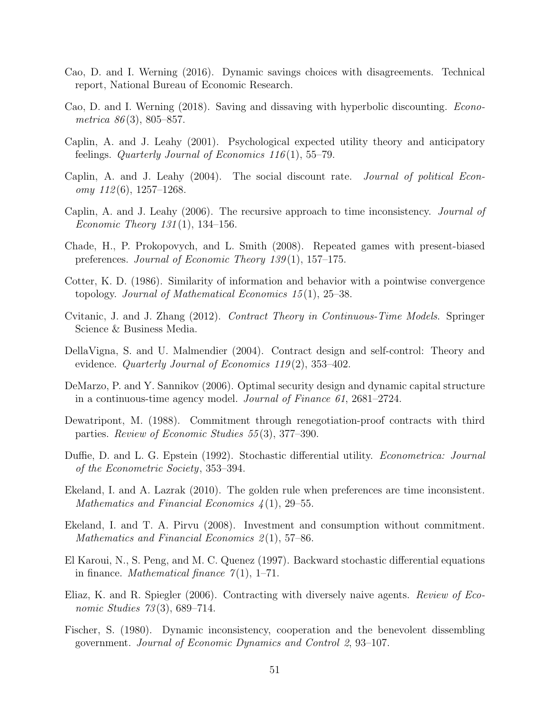- <span id="page-50-4"></span>Cao, D. and I. Werning (2016). Dynamic savings choices with disagreements. Technical report, National Bureau of Economic Research.
- <span id="page-50-5"></span>Cao, D. and I. Werning (2018). Saving and dissaving with hyperbolic discounting. Econometrica  $86(3)$ , 805–857.
- <span id="page-50-0"></span>Caplin, A. and J. Leahy (2001). Psychological expected utility theory and anticipatory feelings. Quarterly Journal of Economics  $116(1)$ , 55–79.
- <span id="page-50-13"></span>Caplin, A. and J. Leahy (2004). The social discount rate. Journal of political Econ $omy 112(6), 1257-1268.$
- <span id="page-50-10"></span>Caplin, A. and J. Leahy (2006). The recursive approach to time inconsistency. Journal of *Economic Theory 131*(1), 134–156.
- <span id="page-50-9"></span>Chade, H., P. Prokopovych, and L. Smith (2008). Repeated games with present-biased preferences. Journal of Economic Theory 139(1), 157–175.
- <span id="page-50-16"></span>Cotter, K. D. (1986). Similarity of information and behavior with a pointwise convergence topology. Journal of Mathematical Economics 15 (1), 25–38.
- <span id="page-50-12"></span>Cvitanic, J. and J. Zhang (2012). Contract Theory in Continuous-Time Models. Springer Science & Business Media.
- <span id="page-50-7"></span>DellaVigna, S. and U. Malmendier (2004). Contract design and self-control: Theory and evidence. Quarterly Journal of Economics  $119(2)$ , 353-402.
- <span id="page-50-3"></span>DeMarzo, P. and Y. Sannikov (2006). Optimal security design and dynamic capital structure in a continuous-time agency model. Journal of Finance 61, 2681–2724.
- <span id="page-50-11"></span>Dewatripont, M. (1988). Commitment through renegotiation-proof contracts with third parties. Review of Economic Studies 55 (3), 377–390.
- <span id="page-50-14"></span>Duffie, D. and L. G. Epstein (1992). Stochastic differential utility. *Econometrica: Journal* of the Econometric Society, 353–394.
- <span id="page-50-2"></span>Ekeland, I. and A. Lazrak (2010). The golden rule when preferences are time inconsistent. Mathematics and Financial Economics  $\lambda(1)$ , 29–55.
- <span id="page-50-1"></span>Ekeland, I. and T. A. Pirvu (2008). Investment and consumption without commitment. Mathematics and Financial Economics  $2(1)$ , 57–86.
- <span id="page-50-15"></span>El Karoui, N., S. Peng, and M. C. Quenez (1997). Backward stochastic differential equations in finance. *Mathematical finance*  $\gamma(1)$ , 1–71.
- <span id="page-50-8"></span>Eliaz, K. and R. Spiegler (2006). Contracting with diversely naive agents. Review of Economic Studies 73(3), 689–714.
- <span id="page-50-6"></span>Fischer, S. (1980). Dynamic inconsistency, cooperation and the benevolent dissembling government. Journal of Economic Dynamics and Control 2, 93–107.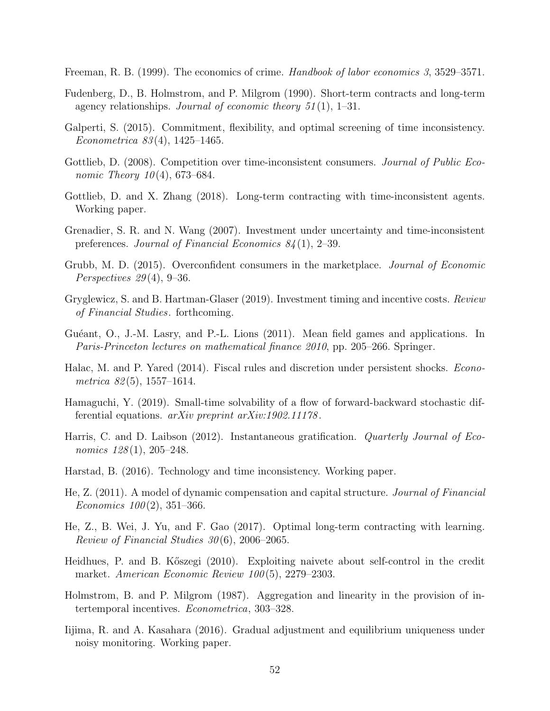<span id="page-51-5"></span>Freeman, R. B. (1999). The economics of crime. Handbook of labor economics 3, 3529–3571.

- <span id="page-51-11"></span>Fudenberg, D., B. Holmstrom, and P. Milgrom (1990). Short-term contracts and long-term agency relationships. Journal of economic theory  $51(1)$ , 1–31.
- <span id="page-51-8"></span>Galperti, S. (2015). Commitment, flexibility, and optimal screening of time inconsistency. Econometrica 83 (4), 1425–1465.
- <span id="page-51-1"></span>Gottlieb, D. (2008). Competition over time-inconsistent consumers. *Journal of Public Eco*nomic Theory  $10(4)$ , 673–684.
- <span id="page-51-2"></span>Gottlieb, D. and X. Zhang (2018). Long-term contracting with time-inconsistent agents. Working paper.
- <span id="page-51-3"></span>Grenadier, S. R. and N. Wang (2007). Investment under uncertainty and time-inconsistent preferences. Journal of Financial Economics 84 (1), 2–39.
- <span id="page-51-9"></span>Grubb, M. D. (2015). Overconfident consumers in the marketplace. Journal of Economic Perspectives  $29(4)$ , 9-36.
- <span id="page-51-14"></span>Gryglewicz, S. and B. Hartman-Glaser (2019). Investment timing and incentive costs. Review of Financial Studies. forthcoming.
- <span id="page-51-17"></span>Guéant, O., J.-M. Lasry, and P.-L. Lions (2011). Mean field games and applications. In Paris-Princeton lectures on mathematical finance 2010, pp. 205–266. Springer.
- <span id="page-51-4"></span>Halac, M. and P. Yared (2014). Fiscal rules and discretion under persistent shocks. Econometrica  $82(5)$ , 1557–1614.
- <span id="page-51-12"></span>Hamaguchi, Y. (2019). Small-time solvability of a flow of forward-backward stochastic differential equations. arXiv preprint arXiv:1902.11178.
- <span id="page-51-0"></span>Harris, C. and D. Laibson (2012). Instantaneous gratification. Quarterly Journal of Economics  $128(1)$ ,  $205-248$ .
- <span id="page-51-6"></span>Harstad, B. (2016). Technology and time inconsistency. Working paper.
- <span id="page-51-10"></span>He, Z. (2011). A model of dynamic compensation and capital structure. Journal of Financial Economics  $100(2)$ , 351–366.
- <span id="page-51-16"></span>He, Z., B. Wei, J. Yu, and F. Gao (2017). Optimal long-term contracting with learning. Review of Financial Studies  $30(6)$ , 2006–2065.
- <span id="page-51-7"></span>Heidhues, P. and B. Kőszegi (2010). Exploiting naivete about self-control in the credit market. American Economic Review 100(5), 2279–2303.
- <span id="page-51-15"></span>Holmstrom, B. and P. Milgrom (1987). Aggregation and linearity in the provision of intertemporal incentives. Econometrica, 303–328.
- <span id="page-51-13"></span>Iijima, R. and A. Kasahara (2016). Gradual adjustment and equilibrium uniqueness under noisy monitoring. Working paper.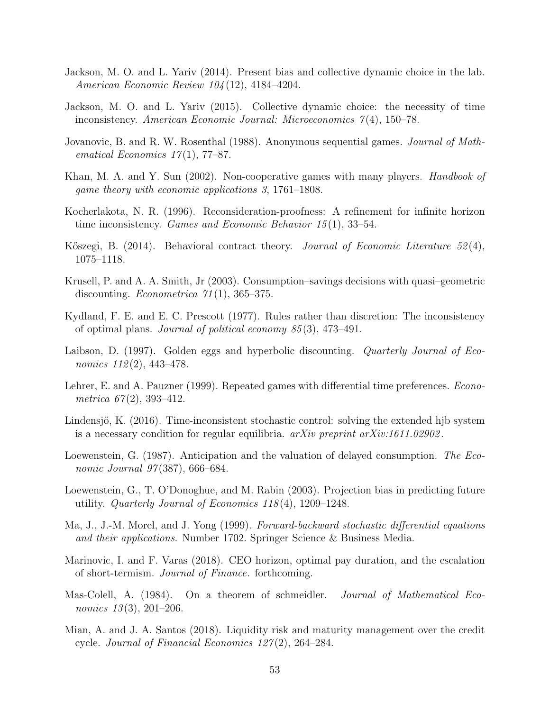- <span id="page-52-13"></span>Jackson, M. O. and L. Yariv (2014). Present bias and collective dynamic choice in the lab. American Economic Review 104 (12), 4184–4204.
- <span id="page-52-0"></span>Jackson, M. O. and L. Yariv (2015). Collective dynamic choice: the necessity of time inconsistency. American Economic Journal: Microeconomics 7 (4), 150–78.
- <span id="page-52-16"></span>Jovanovic, B. and R. W. Rosenthal (1988). Anonymous sequential games. *Journal of Math*ematical Economics  $17(1)$ , 77–87.
- <span id="page-52-11"></span>Khan, M. A. and Y. Sun (2002). Non-cooperative games with many players. *Handbook of* game theory with economic applications 3, 1761–1808.
- <span id="page-52-10"></span>Kocherlakota, N. R. (1996). Reconsideration-proofness: A refinement for infinite horizon time inconsistency. Games and Economic Behavior  $15(1)$ , 33–54.
- <span id="page-52-9"></span>Kőszegi, B. (2014). Behavioral contract theory. Journal of Economic Literature  $52(4)$ , 1075–1118.
- <span id="page-52-7"></span>Krusell, P. and A. A. Smith, Jr (2003). Consumption–savings decisions with quasi–geometric discounting. *Econometrica*  $\gamma_1(1)$ , 365–375.
- <span id="page-52-8"></span>Kydland, F. E. and E. C. Prescott (1977). Rules rather than discretion: The inconsistency of optimal plans. Journal of political economy 85 (3), 473–491.
- <span id="page-52-2"></span>Laibson, D. (1997). Golden eggs and hyperbolic discounting. Quarterly Journal of Economics  $112(2)$ , 443-478.
- <span id="page-52-3"></span>Lehrer, E. and A. Pauzner (1999). Repeated games with differential time preferences. *Econo*metrica  $67(2)$ , 393-412.
- <span id="page-52-5"></span>Lindensjö, K. (2016). Time-inconsistent stochastic control: solving the extended hjb system is a necessary condition for regular equilibria.  $arXiv$  preprint  $arXiv:1611.02902$ .
- <span id="page-52-1"></span>Loewenstein, G. (1987). Anticipation and the valuation of delayed consumption. The Economic Journal 97(387), 666–684.
- <span id="page-52-14"></span>Loewenstein, G., T. O'Donoghue, and M. Rabin (2003). Projection bias in predicting future utility. Quarterly Journal of Economics  $118(4)$ , 1209–1248.
- <span id="page-52-15"></span>Ma, J., J.-M. Morel, and J. Yong (1999). Forward-backward stochastic differential equations and their applications. Number 1702. Springer Science & Business Media.
- <span id="page-52-12"></span>Marinovic, I. and F. Varas (2018). CEO horizon, optimal pay duration, and the escalation of short-termism. Journal of Finance. forthcoming.
- <span id="page-52-6"></span>Mas-Colell, A. (1984). On a theorem of schmeidler. *Journal of Mathematical Eco*nomics  $13(3)$ , 201–206.
- <span id="page-52-4"></span>Mian, A. and J. A. Santos (2018). Liquidity risk and maturity management over the credit cycle. Journal of Financial Economics  $127(2)$ , 264–284.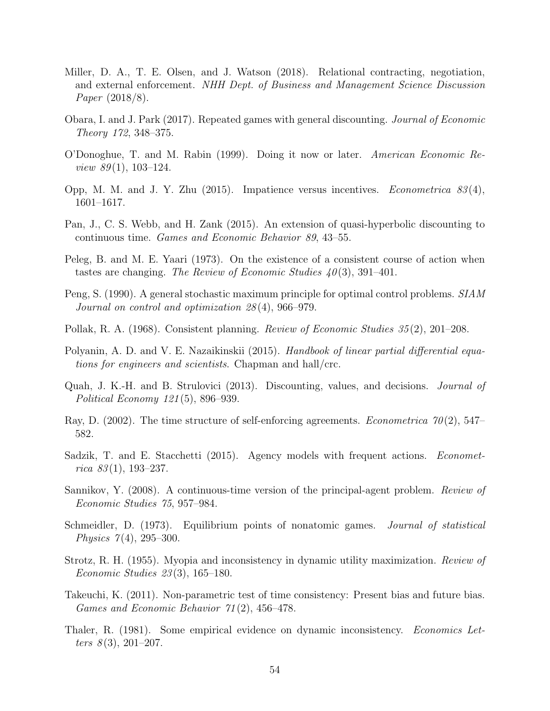- <span id="page-53-6"></span>Miller, D. A., T. E. Olsen, and J. Watson (2018). Relational contracting, negotiation, and external enforcement. NHH Dept. of Business and Management Science Discussion Paper (2018/8).
- <span id="page-53-10"></span>Obara, I. and J. Park (2017). Repeated games with general discounting. Journal of Economic Theory 172, 348–375.
- <span id="page-53-9"></span>O'Donoghue, T. and M. Rabin (1999). Doing it now or later. American Economic Re*view 89* $(1)$ , 103–124.
- <span id="page-53-4"></span>Opp, M. M. and J. Y. Zhu  $(2015)$ . Impatience versus incentives. *Econometrica* 83(4), 1601–1617.
- <span id="page-53-12"></span>Pan, J., C. S. Webb, and H. Zank (2015). An extension of quasi-hyperbolic discounting to continuous time. Games and Economic Behavior 89, 43–55.
- <span id="page-53-5"></span>Peleg, B. and M. E. Yaari (1973). On the existence of a consistent course of action when tastes are changing. The Review of Economic Studies  $40(3)$ , 391–401.
- <span id="page-53-15"></span>Peng, S. (1990). A general stochastic maximum principle for optimal control problems. SIAM Journal on control and optimization 28 (4), 966–979.
- <span id="page-53-2"></span>Pollak, R. A. (1968). Consistent planning. Review of Economic Studies 35 (2), 201–208.
- <span id="page-53-16"></span>Polyanin, A. D. and V. E. Nazaikinskii (2015). Handbook of linear partial differential equations for engineers and scientists. Chapman and hall/crc.
- <span id="page-53-11"></span>Quah, J. K.-H. and B. Strulovici (2013). Discounting, values, and decisions. Journal of Political Economy 121 (5), 896–939.
- <span id="page-53-3"></span>Ray, D. (2002). The time structure of self-enforcing agreements. *Econometrica* 70(2), 547– 582.
- <span id="page-53-14"></span>Sadzik, T. and E. Stacchetti (2015). Agency models with frequent actions. *Economet*rica  $83(1)$ , 193-237.
- <span id="page-53-7"></span>Sannikov, Y. (2008). A continuous-time version of the principal-agent problem. Review of Economic Studies 75, 957–984.
- <span id="page-53-8"></span>Schmeidler, D. (1973). Equilibrium points of nonatomic games. Journal of statistical *Physics* 7(4), 295–300.
- <span id="page-53-1"></span>Strotz, R. H. (1955). Myopia and inconsistency in dynamic utility maximization. Review of Economic Studies 23 (3), 165–180.
- <span id="page-53-13"></span>Takeuchi, K. (2011). Non-parametric test of time consistency: Present bias and future bias. Games and Economic Behavior 71 (2), 456–478.
- <span id="page-53-0"></span>Thaler, R. (1981). Some empirical evidence on dynamic inconsistency. *Economics Let*ters  $8(3)$ , 201–207.